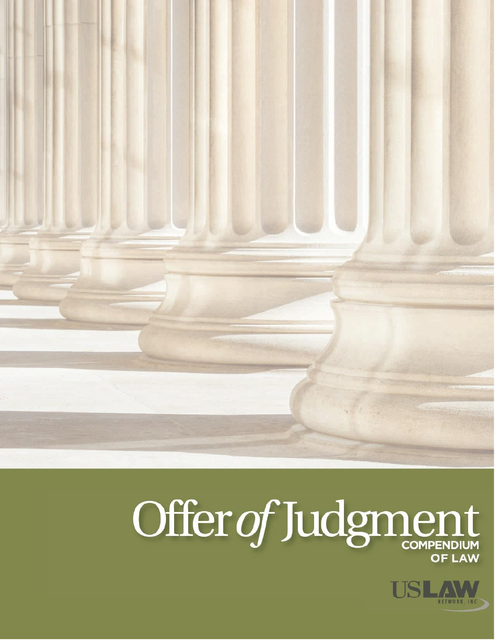

# Offer of Judgment **OF LAW**

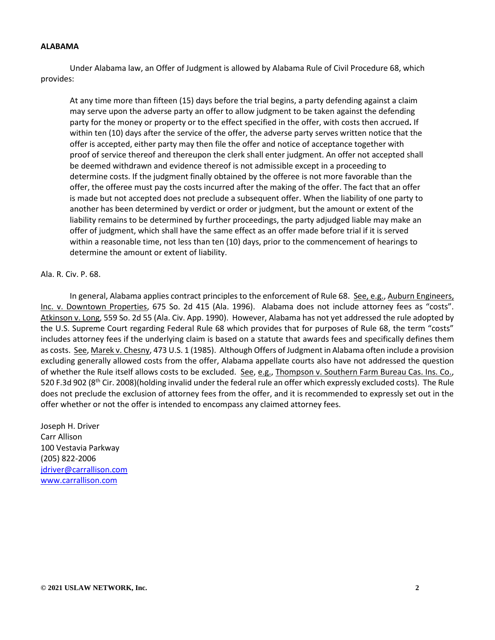#### **ALABAMA**

Under Alabama law, an Offer of Judgment is allowed by Alabama Rule of Civil Procedure 68, which provides:

At any time more than fifteen (15) days before the trial begins, a party defending against a claim may serve upon the adverse party an offer to allow judgment to be taken against the defending party for the money or property or to the effect specified in the offer, with costs then accrued**.** If within ten (10) days after the service of the offer, the adverse party serves written notice that the offer is accepted, either party may then file the offer and notice of acceptance together with proof of service thereof and thereupon the clerk shall enter judgment. An offer not accepted shall be deemed withdrawn and evidence thereof is not admissible except in a proceeding to determine costs. If the judgment finally obtained by the offeree is not more favorable than the offer, the offeree must pay the costs incurred after the making of the offer. The fact that an offer is made but not accepted does not preclude a subsequent offer. When the liability of one party to another has been determined by verdict or order or judgment, but the amount or extent of the liability remains to be determined by further proceedings, the party adjudged liable may make an offer of judgment, which shall have the same effect as an offer made before trial if it is served within a reasonable time, not less than ten (10) days, prior to the commencement of hearings to determine the amount or extent of liability.

Ala. R. Civ. P. 68.

In general, Alabama applies contract principles to the enforcement of Rule 68. See, e.g., Auburn Engineers, Inc. v. Downtown Properties, 675 So. 2d 415 (Ala. 1996). Alabama does not include attorney fees as "costs". Atkinson v. Long, 559 So. 2d 55 (Ala. Civ. App. 1990). However, Alabama has not yet addressed the rule adopted by the U.S. Supreme Court regarding Federal Rule 68 which provides that for purposes of Rule 68, the term "costs" includes attorney fees if the underlying claim is based on a statute that awards fees and specifically defines them as costs. See, Marek v. Chesny, 473 U.S. 1 (1985). Although Offers of Judgment in Alabama often include a provision excluding generally allowed costs from the offer, Alabama appellate courts also have not addressed the question of whether the Rule itself allows costs to be excluded. See, e.g., Thompson v. Southern Farm Bureau Cas. Ins. Co., 520 F.3d 902 (8<sup>th</sup> Cir. 2008)(holding invalid under the federal rule an offer which expressly excluded costs). The Rule does not preclude the exclusion of attorney fees from the offer, and it is recommended to expressly set out in the offer whether or not the offer is intended to encompass any claimed attorney fees.

Joseph H. Driver Carr Allison 100 Vestavia Parkway (205) 822-2006 [jdriver@carrallison.com](mailto:jdriver@carrallison.com) [www.carrallison.com](http://www.carrallison.com/)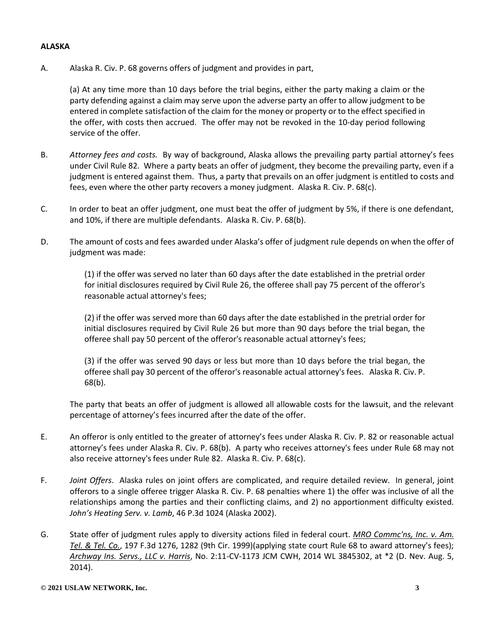## **ALASKA**

A. Alaska R. Civ. P. 68 governs offers of judgment and provides in part,

(a) At any time more than 10 days before the trial begins, either the party making a claim or the party defending against a claim may serve upon the adverse party an offer to allow judgment to be entered in complete satisfaction of the claim for the money or property or to the effect specified in the offer, with costs then accrued. The offer may not be revoked in the 10-day period following service of the offer.

- B. *Attorney fees and costs.* By way of background, Alaska allows the prevailing party partial attorney's fees under Civil Rule 82. Where a party beats an offer of judgment, they become the prevailing party, even if a judgment is entered against them. Thus, a party that prevails on an offer judgment is entitled to costs and fees, even where the other party recovers a money judgment. Alaska R. Civ. P. 68(c).
- C. In order to beat an offer judgment, one must beat the offer of judgment by 5%, if there is one defendant, and 10%, if there are multiple defendants. Alaska R. Civ. P. 68(b).
- D. The amount of costs and fees awarded under Alaska's offer of judgment rule depends on when the offer of judgment was made:

(1) if the offer was served no later than 60 days after the date established in the pretrial order for initial disclosures required by Civil Rule 26, the offeree shall pay 75 percent of the offeror's reasonable actual attorney's fees;

(2) if the offer was served more than 60 days after the date established in the pretrial order for initial disclosures required by Civil Rule 26 but more than 90 days before the trial began, the offeree shall pay 50 percent of the offeror's reasonable actual attorney's fees;

(3) if the offer was served 90 days or less but more than 10 days before the trial began, the offeree shall pay 30 percent of the offeror's reasonable actual attorney's fees. Alaska R. Civ. P. 68(b).

The party that beats an offer of judgment is allowed all allowable costs for the lawsuit, and the relevant percentage of attorney's fees incurred after the date of the offer.

- E. An offeror is only entitled to the greater of attorney's fees under Alaska R. Civ. P. 82 or reasonable actual attorney's fees under Alaska R. Civ. P. 68(b). A party who receives attorney's fees under Rule 68 may not also receive attorney's fees under Rule 82. Alaska R. Civ. P. 68(c).
- F. *Joint Offers*. Alaska rules on joint offers are complicated, and require detailed review. In general, joint offerors to a single offeree trigger Alaska R. Civ. P. 68 penalties where 1) the offer was inclusive of all the relationships among the parties and their conflicting claims, and 2) no apportionment difficulty existed. *John's Heating Serv. v. Lamb*, 46 P.3d 1024 (Alaska 2002).
- G. State offer of judgment rules apply to diversity actions filed in federal court. *MRO Commc'ns, Inc. v. Am. Tel. & Tel. Co.*, 197 F.3d 1276, 1282 (9th Cir. 1999)(applying state court Rule 68 to award attorney's fees); *Archway Ins. Servs., LLC v. Harris*, No. 2:11-CV-1173 JCM CWH, 2014 WL 3845302, at \*2 (D. Nev. Aug. 5, 2014).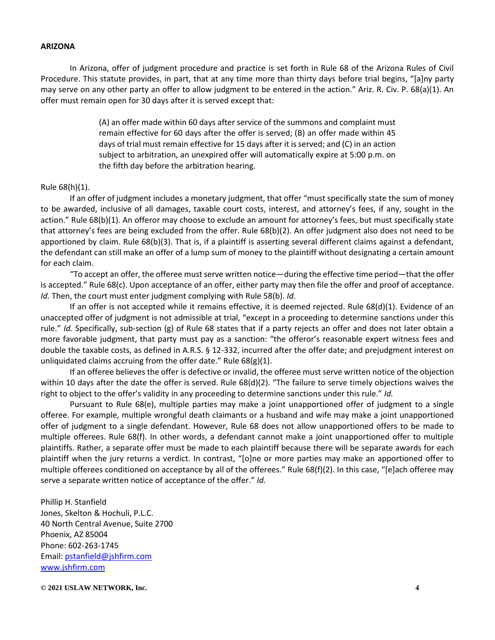#### **ARIZONA**

In Arizona, offer of judgment procedure and practice is set forth in Rule 68 of the Arizona Rules of Civil Procedure. This statute provides, in part, that at any time more than thirty days before trial begins, "[a]ny party may serve on any other party an offer to allow judgment to be entered in the action." Ariz. R. Civ. P. 68(a)(1). An offer must remain open for 30 days after it is served except that:

> (A) an offer made within 60 days after service of the summons and complaint must remain effective for 60 days after the offer is served; (B) an offer made within 45 days of trial must remain effective for 15 days after it is served; and (C) in an action subject to arbitration, an unexpired offer will automatically expire at 5:00 p.m. on the fifth day before the arbitration hearing.

#### Rule 68(h)(1).

If an offer of judgment includes a monetary judgment, that offer "must specifically state the sum of money to be awarded, inclusive of all damages, taxable court costs, interest, and attorney's fees, if any, sought in the action." Rule 68(b)(1). An offeror may choose to exclude an amount for attorney's fees, but must specifically state that attorney's fees are being excluded from the offer. Rule 68(b)(2). An offer judgment also does not need to be apportioned by claim. Rule 68(b)(3). That is, if a plaintiff is asserting several different claims against a defendant, the defendant can still make an offer of a lump sum of money to the plaintiff without designating a certain amount for each claim.

"To accept an offer, the offeree must serve written notice—during the effective time period—that the offer is accepted." Rule 68(c). Upon acceptance of an offer, either party may then file the offer and proof of acceptance. *Id.* Then, the court must enter judgment complying with Rule 58(b). *Id.*

If an offer is not accepted while it remains effective, it is deemed rejected. Rule 68(d)(1). Evidence of an unaccepted offer of judgment is not admissible at trial, "except in a proceeding to determine sanctions under this rule." *Id.* Specifically, sub-section (g) of Rule 68 states that if a party rejects an offer and does not later obtain a more favorable judgment, that party must pay as a sanction: "the offeror's reasonable expert witness fees and double the taxable costs, as defined in A.R.S. § 12-332, incurred after the offer date; and prejudgment interest on unliquidated claims accruing from the offer date." Rule  $68(g)(1)$ .

If an offeree believes the offer is defective or invalid, the offeree must serve written notice of the objection within 10 days after the date the offer is served. Rule 68(d)(2). "The failure to serve timely objections waives the right to object to the offer's validity in any proceeding to determine sanctions under this rule." *Id.*

Pursuant to Rule 68(e), multiple parties may make a joint unapportioned offer of judgment to a single offeree. For example, multiple wrongful death claimants or a husband and wife may make a joint unapportioned offer of judgment to a single defendant. However, Rule 68 does not allow unapportioned offers to be made to multiple offerees. Rule 68(f). In other words, a defendant cannot make a joint unapportioned offer to multiple plaintiffs. Rather, a separate offer must be made to each plaintiff because there will be separate awards for each plaintiff when the jury returns a verdict. In contrast, "[o]ne or more parties may make an apportioned offer to multiple offerees conditioned on acceptance by all of the offerees." Rule 68(f)(2). In this case, "[e]ach offeree may serve a separate written notice of acceptance of the offer." *Id.*

Phillip H. Stanfield Jones, Skelton & Hochuli, P.L.C. 40 North Central Avenue, Suite 2700 Phoenix, AZ 85004 Phone: 602-263-1745 Email: [pstanfield@jshfirm.com](mailto:pstanfield@jshfirm.com) [www.jshfirm.com](http://www.jshfirm.com/)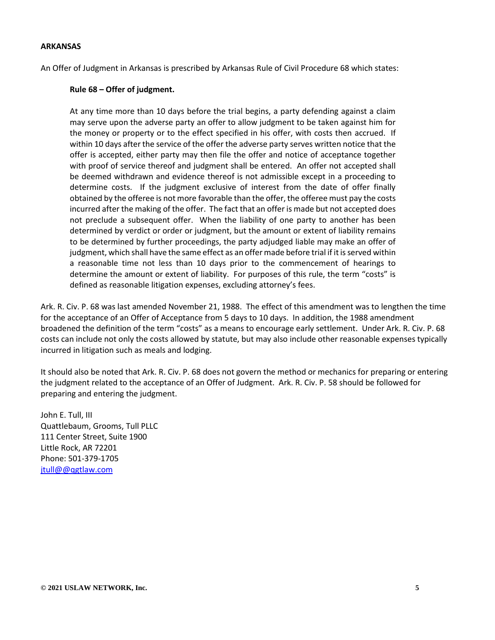## **ARKANSAS**

An Offer of Judgment in Arkansas is prescribed by Arkansas Rule of Civil Procedure 68 which states:

#### **Rule 68 – Offer of judgment.**

At any time more than 10 days before the trial begins, a party defending against a claim may serve upon the adverse party an offer to allow judgment to be taken against him for the money or property or to the effect specified in his offer, with costs then accrued. If within 10 days after the service of the offer the adverse party serves written notice that the offer is accepted, either party may then file the offer and notice of acceptance together with proof of service thereof and judgment shall be entered. An offer not accepted shall be deemed withdrawn and evidence thereof is not admissible except in a proceeding to determine costs. If the judgment exclusive of interest from the date of offer finally obtained by the offeree is not more favorable than the offer, the offeree must pay the costs incurred after the making of the offer. The fact that an offer is made but not accepted does not preclude a subsequent offer. When the liability of one party to another has been determined by verdict or order or judgment, but the amount or extent of liability remains to be determined by further proceedings, the party adjudged liable may make an offer of judgment, which shall have the same effect as an offer made before trial if it is served within a reasonable time not less than 10 days prior to the commencement of hearings to determine the amount or extent of liability. For purposes of this rule, the term "costs" is defined as reasonable litigation expenses, excluding attorney's fees.

Ark. R. Civ. P. 68 was last amended November 21, 1988. The effect of this amendment was to lengthen the time for the acceptance of an Offer of Acceptance from 5 days to 10 days. In addition, the 1988 amendment broadened the definition of the term "costs" as a means to encourage early settlement. Under Ark. R. Civ. P. 68 costs can include not only the costs allowed by statute, but may also include other reasonable expenses typically incurred in litigation such as meals and lodging.

It should also be noted that Ark. R. Civ. P. 68 does not govern the method or mechanics for preparing or entering the judgment related to the acceptance of an Offer of Judgment. Ark. R. Civ. P. 58 should be followed for preparing and entering the judgment.

John E. Tull, III Quattlebaum, Grooms, Tull PLLC 111 Center Street, Suite 1900 Little Rock, AR 72201 Phone: 501-379-1705 [jtull@@qgtlaw.com](mailto:jtull@qgtlaw.com)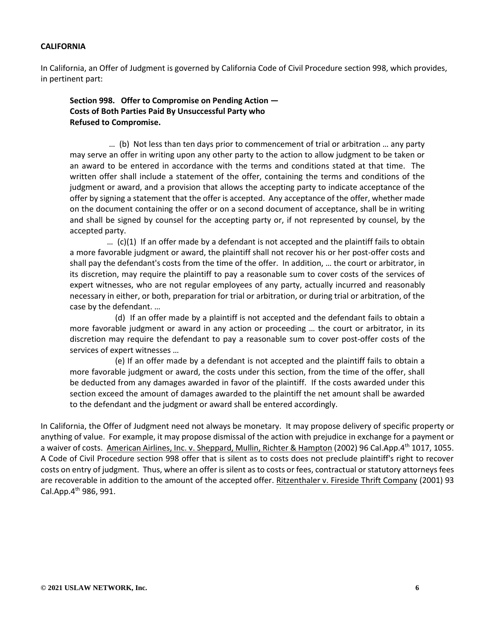## **CALIFORNIA**

In California, an Offer of Judgment is governed by California Code of Civil Procedure section 998, which provides, in pertinent part:

## **Section 998. Offer to Compromise on Pending Action — Costs of Both Parties Paid By Unsuccessful Party who Refused to Compromise.**

 … (b) Not less than ten days prior to commencement of trial or arbitration … any party may serve an offer in writing upon any other party to the action to allow judgment to be taken or an award to be entered in accordance with the terms and conditions stated at that time. The written offer shall include a statement of the offer, containing the terms and conditions of the judgment or award, and a provision that allows the accepting party to indicate acceptance of the offer by signing a statement that the offer is accepted. Any acceptance of the offer, whether made on the document containing the offer or on a second document of acceptance, shall be in writing and shall be signed by counsel for the accepting party or, if not represented by counsel, by the accepted party.

 $\ldots$  (c)(1) If an offer made by a defendant is not accepted and the plaintiff fails to obtain a more favorable judgment or award, the plaintiff shall not recover his or her post-offer costs and shall pay the defendant's costs from the time of the offer. In addition, … the court or arbitrator, in its discretion, may require the plaintiff to pay a reasonable sum to cover costs of the services of expert witnesses, who are not regular employees of any party, actually incurred and reasonably necessary in either, or both, preparation for trial or arbitration, or during trial or arbitration, of the case by the defendant. …

 (d) If an offer made by a plaintiff is not accepted and the defendant fails to obtain a more favorable judgment or award in any action or proceeding … the court or arbitrator, in its discretion may require the defendant to pay a reasonable sum to cover post-offer costs of the services of expert witnesses …

 (e) If an offer made by a defendant is not accepted and the plaintiff fails to obtain a more favorable judgment or award, the costs under this section, from the time of the offer, shall be deducted from any damages awarded in favor of the plaintiff. If the costs awarded under this section exceed the amount of damages awarded to the plaintiff the net amount shall be awarded to the defendant and the judgment or award shall be entered accordingly.

In California, the Offer of Judgment need not always be monetary. It may propose delivery of specific property or anything of value. For example, it may propose dismissal of the action with prejudice in exchange for a payment or a waiver of costs. American Airlines, Inc. v. Sheppard, Mullin, Richter & Hampton (2002) 96 Cal.App.4<sup>th</sup> 1017, 1055. A Code of Civil Procedure section 998 offer that is silent as to costs does not preclude plaintiff's right to recover costs on entry of judgment. Thus, where an offer is silent as to costs or fees, contractual or statutory attorneys fees are recoverable in addition to the amount of the accepted offer. Ritzenthaler v. Fireside Thrift Company (2001) 93 Cal.App. $4^{th}$  986, 991.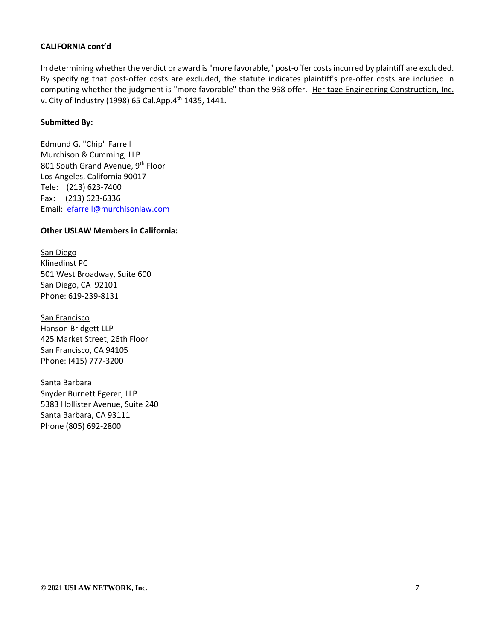# **CALIFORNIA cont'd**

In determining whether the verdict or award is "more favorable," post-offer costs incurred by plaintiff are excluded. By specifying that post-offer costs are excluded, the statute indicates plaintiff's pre-offer costs are included in computing whether the judgment is "more favorable" than the 998 offer. Heritage Engineering Construction, Inc. v. City of Industry (1998) 65 Cal. App. 4<sup>th</sup> 1435, 1441.

#### **Submitted By:**

Edmund G. "Chip" Farrell Murchison & Cumming, LLP 801 South Grand Avenue, 9<sup>th</sup> Floor Los Angeles, California 90017 Tele: (213) 623-7400 Fax: (213) 623-6336 Email: [efarrell@murchisonlaw.com](mailto:efarrell@murchisonlaw.com)

## **Other USLAW Members in California:**

San Diego Klinedinst PC 501 West Broadway, Suite 600 San Diego, CA 92101 Phone: 619-239-8131

San Francisco Hanson Bridgett LLP 425 Market Street, 26th Floor San Francisco, CA 94105 Phone: (415) 777-3200

Santa Barbara Snyder Burnett Egerer, LLP 5383 Hollister Avenue, Suite 240 Santa Barbara, CA 93111 Phone (805) 692-2800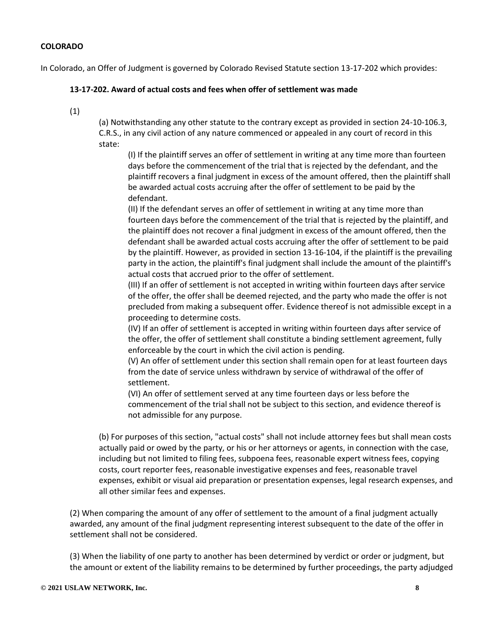## **COLORADO**

In Colorado, an Offer of Judgment is governed by Colorado Revised Statute section 13-17-202 which provides:

## **13-17-202. Award of actual costs and fees when offer of settlement was made**

(1)

(a) Notwithstanding any other statute to the contrary except as provided in section 24-10-106.3, C.R.S., in any civil action of any nature commenced or appealed in any court of record in this state:

(I) If the plaintiff serves an offer of settlement in writing at any time more than fourteen days before the commencement of the trial that is rejected by the defendant, and the plaintiff recovers a final judgment in excess of the amount offered, then the plaintiff shall be awarded actual costs accruing after the offer of settlement to be paid by the defendant.

(II) If the defendant serves an offer of settlement in writing at any time more than fourteen days before the commencement of the trial that is rejected by the plaintiff, and the plaintiff does not recover a final judgment in excess of the amount offered, then the defendant shall be awarded actual costs accruing after the offer of settlement to be paid by the plaintiff. However, as provided in section 13-16-104, if the plaintiff is the prevailing party in the action, the plaintiff's final judgment shall include the amount of the plaintiff's actual costs that accrued prior to the offer of settlement.

(III) If an offer of settlement is not accepted in writing within fourteen days after service of the offer, the offer shall be deemed rejected, and the party who made the offer is not precluded from making a subsequent offer. Evidence thereof is not admissible except in a proceeding to determine costs.

(IV) If an offer of settlement is accepted in writing within fourteen days after service of the offer, the offer of settlement shall constitute a binding settlement agreement, fully enforceable by the court in which the civil action is pending.

(V) An offer of settlement under this section shall remain open for at least fourteen days from the date of service unless withdrawn by service of withdrawal of the offer of settlement.

(VI) An offer of settlement served at any time fourteen days or less before the commencement of the trial shall not be subject to this section, and evidence thereof is not admissible for any purpose.

(b) For purposes of this section, "actual costs" shall not include attorney fees but shall mean costs actually paid or owed by the party, or his or her attorneys or agents, in connection with the case, including but not limited to filing fees, subpoena fees, reasonable expert witness fees, copying costs, court reporter fees, reasonable investigative expenses and fees, reasonable travel expenses, exhibit or visual aid preparation or presentation expenses, legal research expenses, and all other similar fees and expenses.

(2) When comparing the amount of any offer of settlement to the amount of a final judgment actually awarded, any amount of the final judgment representing interest subsequent to the date of the offer in settlement shall not be considered.

(3) When the liability of one party to another has been determined by verdict or order or judgment, but the amount or extent of the liability remains to be determined by further proceedings, the party adjudged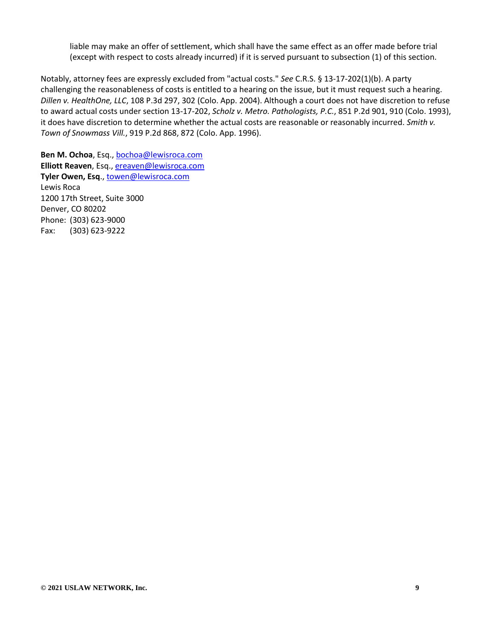liable may make an offer of settlement, which shall have the same effect as an offer made before trial (except with respect to costs already incurred) if it is served pursuant to subsection (1) of this section.

Notably, attorney fees are expressly excluded from "actual costs." *See* C.R.S. § 13-17-202(1)(b). A party challenging the reasonableness of costs is entitled to a hearing on the issue, but it must request such a hearing. *Dillen v. HealthOne, LLC*, 108 P.3d 297, 302 (Colo. App. 2004). Although a court does not have discretion to refuse to award actual costs under section 13-17-202, *Scholz v. Metro. Pathologists, P.C.*, 851 P.2d 901, 910 (Colo. 1993), it does have discretion to determine whether the actual costs are reasonable or reasonably incurred. *Smith v. Town of Snowmass Vill.*, 919 P.2d 868, 872 (Colo. App. 1996).

**Ben M. Ochoa**, Esq.[, bochoa@lewisroca.com](mailto:bochoa@lewisroca.com) **Elliott Reaven**, Esq.[, ereaven@lewisroca.com](mailto:ereaven@lewisroca.com) **Tyler Owen, Esq**., [towen@lewisroca.com](mailto:towen@lewisroca.com) Lewis Roca 1200 17th Street, Suite 3000 Denver, CO 80202 Phone: (303) 623-9000 Fax: (303) 623-9222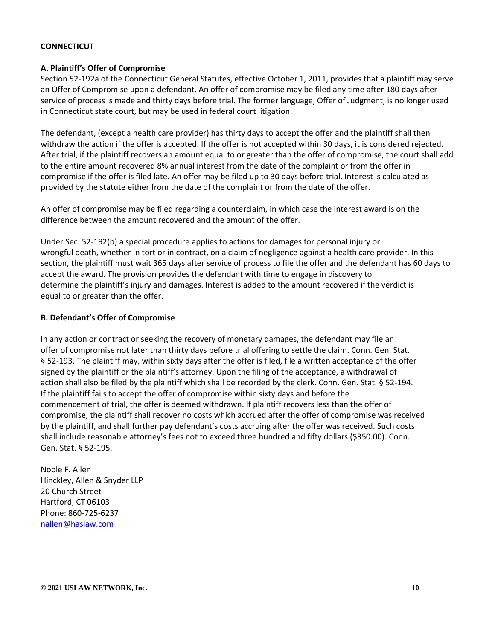## **CONNECTICUT**

#### **A. Plaintiff's Offer of Compromise**

Section 52-192a of the Connecticut General Statutes, effective October 1, 2011, provides that a plaintiff may serve an Offer of Compromise upon a defendant. An offer of compromise may be filed any time after 180 days after service of process is made and thirty days before trial. The former language, Offer of Judgment, is no longer used in Connecticut state court, but may be used in federal court litigation.

The defendant, (except a health care provider) has thirty days to accept the offer and the plaintiff shall then withdraw the action if the offer is accepted. If the offer is not accepted within 30 days, it is considered rejected. After trial, if the plaintiff recovers an amount equal to or greater than the offer of compromise, the court shall add to the entire amount recovered 8% annual interest from the date of the complaint or from the offer in compromise if the offer is filed late. An offer may be filed up to 30 days before trial. Interest is calculated as provided by the statute either from the date of the complaint or from the date of the offer.

An offer of compromise may be filed regarding a counterclaim, in which case the interest award is on the difference between the amount recovered and the amount of the offer.

Under Sec. 52-192(b) a special procedure applies to actions for damages for personal injury or wrongful death, whether in tort or in contract, on a claim of negligence against a health care provider. In this section, the plaintiff must wait 365 days after service of process to file the offer and the defendant has 60 days to accept the award. The provision provides the defendant with time to engage in discovery to determine the plaintiff's injury and damages. Interest is added to the amount recovered if the verdict is equal to or greater than the offer.

## **B. Defendant's Offer of Compromise**

In any action or contract or seeking the recovery of monetary damages, the defendant may file an offer of compromise not later than thirty days before trial offering to settle the claim. Conn. Gen. Stat. § 52-193. The plaintiff may, within sixty days after the offer is filed, file a written acceptance of the offer signed by the plaintiff or the plaintiff's attorney. Upon the filing of the acceptance, a withdrawal of action shall also be filed by the plaintiff which shall be recorded by the clerk. Conn. Gen. Stat. § 52-194. If the plaintiff fails to accept the offer of compromise within sixty days and before the commencement of trial, the offer is deemed withdrawn. If plaintiff recovers less than the offer of compromise, the plaintiff shall recover no costs which accrued after the offer of compromise was received by the plaintiff, and shall further pay defendant's costs accruing after the offer was received. Such costs shall include reasonable attorney's fees not to exceed three hundred and fifty dollars (\$350.00). Conn. Gen. Stat. § 52-195.

Noble F. Allen Hinckley, Allen & Snyder LLP 20 Church Street Hartford, CT 06103 Phone: 860-725-6237 [nallen@haslaw.com](mailto:nallen@haslaw.com)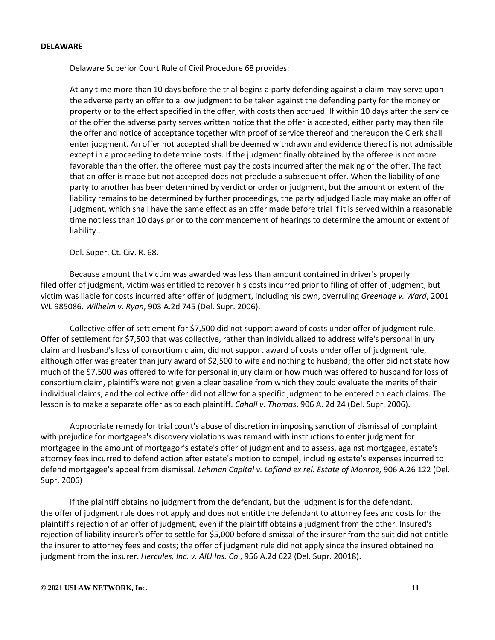#### **DELAWARE**

Delaware Superior Court Rule of Civil Procedure 68 provides:

At any time more than 10 days before the trial begins a party defending against a claim may serve upon the adverse party an offer to allow judgment to be taken against the defending party for the money or property or to the effect specified in the offer, with costs then accrued. If within 10 days after the service of the offer the adverse party serves written notice that the offer is accepted, either party may then file the offer and notice of acceptance together with proof of service thereof and thereupon the Clerk shall enter judgment. An offer not accepted shall be deemed withdrawn and evidence thereof is not admissible except in a proceeding to determine costs. If the judgment finally obtained by the offeree is not more favorable than the offer, the offeree must pay the costs incurred after the making of the offer. The fact that an offer is made but not accepted does not preclude a subsequent offer. When the liability of one party to another has been determined by verdict or order or judgment, but the amount or extent of the liability remains to be determined by further proceedings, the party adjudged liable may make an offer of judgment, which shall have the same effect as an offer made before trial if it is served within a reasonable time not less than 10 days prior to the commencement of hearings to determine the amount or extent of liability..

Del. Super. Ct. Civ. R. 68.

Because amount that victim was awarded was less than amount contained in driver's properly filed offer of judgment, victim was entitled to recover his costs incurred prior to filing of offer of judgment, but victim was liable for costs incurred after offer of judgment, including his own, overruling *[Greenage v. Ward](https://1.next.westlaw.com/Link/Document/FullText?findType=Y&serNum=2001747457&pubNum=0000999&originatingDoc=Ia08ac8a118c711dbbffafa490ee528f6&refType=RP&originationContext=document&transitionType=DocumentItem&contextData=(sc.Search))*, 2001 [WL 985086.](https://1.next.westlaw.com/Link/Document/FullText?findType=Y&serNum=2001747457&pubNum=0000999&originatingDoc=Ia08ac8a118c711dbbffafa490ee528f6&refType=RP&originationContext=document&transitionType=DocumentItem&contextData=(sc.Search)) *[Wilhelm v. Ryan](https://1.next.westlaw.com/Document/Ia08ac8a118c711dbbffafa490ee528f6/View/FullText.html?listSource=Search&navigationPath=Search%2fv3%2fsearch%2fresults%2fnavigation%2fi0ad6ad3f00000161b476082145c4f777%3fNav%3dCASE%26fragmentIdentifier%3dIa08ac8a118c711dbbffafa490ee528f6%26startIndex%3d1%26contextData%3d%2528sc.Search%2529%26transitionType%3dSearchItem&list=CASE&rank=1&listPageSource=b0744b9989922e707c977cb09c51ea22&originationContext=docHeader&contextData=(sc.Search)&transitionType=Document&needToInjectTerms=False&enableBestPortion=True&docSource=75cb0d14db7b40f3ab40398d69ec9187)*, 903 A.2d 745 (Del. Supr. 2006).

Collective offer of settlement for \$7,500 did not support award of costs under offer of judgment rule. Offer of settlement for \$7,500 that was collective, rather than individualized to address wife's personal injury claim and husband's loss of consortium claim, did not support award of costs under offer of judgment rule, although offer was greater than jury award of \$2,500 to wife and nothing to husband; the offer did not state how much of the \$7,500 was offered to wife for personal injury claim or how much was offered to husband for loss of consortium claim, plaintiffs were not given a clear baseline from which they could evaluate the merits of their individual claims, and the collective offer did not allow for a specific judgment to be entered on each claims. The lesson is to make a separate offer as to each plaintiff. *[Cahall v. Thomas](https://1.next.westlaw.com/Document/I610fc9d43ebc11db80c2e56cac103088/View/FullText.html?navigationPath=Search%2Fv3%2Fsearch%2Fresults%2Fnavigation%2Fi0ad6ad3f00000161b476082145c4f777%3FNav%3DCASE%26fragmentIdentifier%3DI610fc9d43ebc11db80c2e56cac103088%26startIndex%3D1%26contextData%3D%2528sc.Search%2529%26transitionType%3DSearchItem&listSource=Search&listPageSource=b0744b9989922e707c977cb09c51ea22&list=CASE&rank=2&sessionScopeId=7cff55181a6957dc0209c17f83804738bf844d7ef08146e58aa3a8fbe22cbbaf&originationContext=Search%20Result&transitionType=SearchItem&contextData=%28sc.Search%29)*, 906 A. 2d 24 (Del. Supr. 2006).

Appropriate remedy for trial court's abuse of discretion in imposing sanction of dismissal of complaint with prejudice for mortgagee's discovery violations was remand with instructions to enter judgment for mortgagee in the amount of mortgagor's estate's offer of judgment and to assess, against mortgagee, estate's attorney fees incurred to defend action after estate's motion to compel, including estate's expenses incurred to defend mortgagee's appeal from dismissal. *[Lehman Capital v. Lofland ex rel. Estate of Monroe,](https://1.next.westlaw.com/Document/I87012ced36a011dbb0d3b726c66cf290/View/FullText.html?listSource=Search&navigationPath=Search%2fv3%2fsearch%2fresults%2fnavigation%2fi0ad6ad3f00000161b476082145c4f777%3fNav%3dCASE%26fragmentIdentifier%3dI87012ced36a011dbb0d3b726c66cf290%26startIndex%3d1%26contextData%3d%2528sc.Search%2529%26transitionType%3dSearchItem&list=CASE&rank=3&listPageSource=b0744b9989922e707c977cb09c51ea22&originationContext=docHeader&contextData=(sc.Search)&transitionType=Document&needToInjectTerms=False&enableBestPortion=True&docSource=f5f65c1021ce47328239a4189a30d5d0)* 906 A.26 122 (Del. Supr. 2006)

If the plaintiff obtains no judgment from the defendant, but the judgment is for the defendant, the offer of judgment rule does not apply and does not entitle the defendant to attorney fees and costs for the plaintiff's rejection of an offer of judgment, even if the plaintiff obtains a judgment from the other. Insured's rejection of liability insurer's offer to settle for \$5,000 before dismissal of the insurer from the suit did not entitle the insurer to attorney fees and costs; the offer of judgment rule did not apply since the insured obtained no judgment from the insurer. *[Hercules, Inc. v. AIU Ins. Co](https://1.next.westlaw.com/Document/I7a2355b232d111d986b0aa9c82c164c0/View/FullText.html?navigationPath=Search%2Fv3%2Fsearch%2Fresults%2Fnavigation%2Fi0ad6ad3f00000161b476082145c4f777%3FNav%3DCASE%26fragmentIdentifier%3DI7a2355b232d111d986b0aa9c82c164c0%26startIndex%3D1%26contextData%3D%2528sc.Search%2529%26transitionType%3DSearchItem&listSource=Search&listPageSource=b0744b9989922e707c977cb09c51ea22&list=CASE&rank=4&sessionScopeId=7cff55181a6957dc0209c17f83804738bf844d7ef08146e58aa3a8fbe22cbbaf&originationContext=Search%20Result&transitionType=SearchItem&contextData=%28sc.Search%29)*., 956 A.2d 622 (Del. Supr. 20018).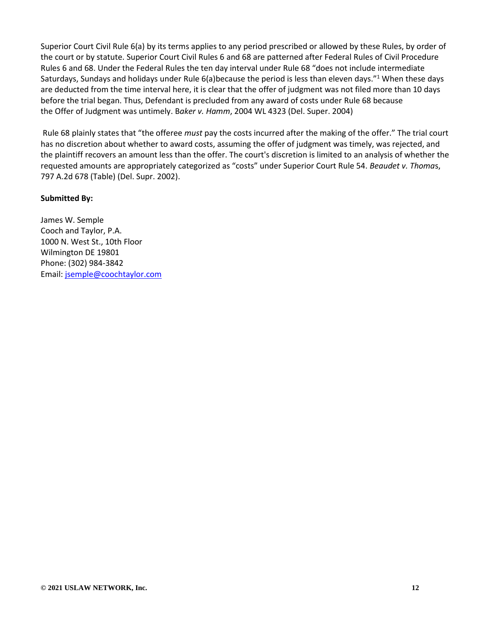[Superior Court Civil Rule 6\(a\)](https://1.next.westlaw.com/Link/Document/FullText?findType=L&pubNum=1006349&cite=DERSUPCTRCPR6&originatingDoc=I3975fda0330411d986b0aa9c82c164c0&refType=LQ&originationContext=document&transitionType=DocumentItem&contextData=(sc.Search)) by its terms applies to any period prescribed or allowed by these Rules, by order of the court or by statute. [Superior Court Civil Rules 6](https://1.next.westlaw.com/Link/Document/FullText?findType=L&pubNum=1006349&cite=DERSUPCTRCPR6&originatingDoc=I3975fda0330411d986b0aa9c82c164c0&refType=LQ&originationContext=document&transitionType=DocumentItem&contextData=(sc.Search)) and [68](https://1.next.westlaw.com/Link/Document/FullText?findType=L&pubNum=1006349&cite=DERSUPCTRCPR68&originatingDoc=I3975fda0330411d986b0aa9c82c164c0&refType=LQ&originationContext=document&transitionType=DocumentItem&contextData=(sc.Search)) are patterned after [Federal Rules of Civil Procedure](https://1.next.westlaw.com/Link/Document/FullText?findType=L&pubNum=1004365&cite=USFRCPR6&originatingDoc=I3975fda0330411d986b0aa9c82c164c0&refType=LQ&originationContext=document&transitionType=DocumentItem&contextData=(sc.Search))  [Rules 6](https://1.next.westlaw.com/Link/Document/FullText?findType=L&pubNum=1004365&cite=USFRCPR6&originatingDoc=I3975fda0330411d986b0aa9c82c164c0&refType=LQ&originationContext=document&transitionType=DocumentItem&contextData=(sc.Search)) and [68.](https://1.next.westlaw.com/Link/Document/FullText?findType=L&pubNum=1004365&cite=USFRCPR68&originatingDoc=I3975fda0330411d986b0aa9c82c164c0&refType=LQ&originationContext=document&transitionType=DocumentItem&contextData=(sc.Search)) Under the Federal Rules the ten day interval under [Rule 68](https://1.next.westlaw.com/Link/Document/FullText?findType=L&pubNum=1004365&cite=USFRCPR68&originatingDoc=I3975fda0330411d986b0aa9c82c164c0&refType=LQ&originationContext=document&transitionType=DocumentItem&contextData=(sc.Search)) "does not include intermediate Saturdays, Sundays and holidays under [Rule 6\(a\)](https://1.next.westlaw.com/Link/Document/FullText?findType=L&pubNum=1004365&cite=USFRCPR6&originatingDoc=I3975fda0330411d986b0aa9c82c164c0&refType=LQ&originationContext=document&transitionType=DocumentItem&contextData=(sc.Search))because the period is less than eleven days.["](https://1.next.westlaw.com/Document/I3975fda0330411d986b0aa9c82c164c0/View/FullText.html?listSource=Search&navigationPath=Search%2fv3%2fsearch%2fresults%2fnavigation%2fi0ad6ad3f00000161b48ca7b245c9fca0%3fNav%3dCASE%26fragmentIdentifier%3dI3975fda0330411d986b0aa9c82c164c0%26startIndex%3d1%26contextData%3d%2528sc.Search%2529%26transitionType%3dSearchItem&list=CASE&rank=2&listPageSource=e66f94549e862d40c2b3fc8135abe346&originationContext=docHeader&contextData=(sc.Search)&transitionType=Document&needToInjectTerms=False&enableBestPortion=True&docSource=952b470639554bd4af0c70b963862a91#co_footnote_B00112004057402)<sup>1</sup> When these days are deducted from the time interval here, it is clear that the offer of judgment was not filed more than 10 days before the trial began. Thus, Defendant is precluded from any award of costs under [Rule 68](https://1.next.westlaw.com/Link/Document/FullText?findType=L&pubNum=1004365&cite=USFRCPR68&originatingDoc=I3975fda0330411d986b0aa9c82c164c0&refType=LQ&originationContext=document&transitionType=DocumentItem&contextData=(sc.Search)) because the Offer of Judgment was untimely. B*[aker v. Hamm](https://1.next.westlaw.com/Document/I3975fda0330411d986b0aa9c82c164c0/View/FullText.html?listSource=Search&navigationPath=Search%2fv3%2fsearch%2fresults%2fnavigation%2fi0ad6ad3f00000161b48ca7b245c9fca0%3fNav%3dCASE%26fragmentIdentifier%3dI3975fda0330411d986b0aa9c82c164c0%26startIndex%3d1%26contextData%3d%2528sc.Search%2529%26transitionType%3dSearchItem&list=CASE&rank=2&listPageSource=e66f94549e862d40c2b3fc8135abe346&originationContext=docHeader&contextData=(sc.Search)&transitionType=Document&needToInjectTerms=False&enableBestPortion=True&docSource=952b470639554bd4af0c70b963862a91)*, 2004 WL 4323 (Del. Super. 2004)

[Rule 68](https://1.next.westlaw.com/Link/Document/FullText?findType=L&pubNum=1006349&cite=DERSUPCTRCPR68&originatingDoc=I69ec7b8b32dc11d98b61a35269fc5f88&refType=LQ&originationContext=document&transitionType=DocumentItem&contextData=(sc.Search)) plainly states that "the offeree *must* pay the costs incurred after the making of the offer." The trial court has no discretion about whether to award costs, assuming the offer of judgment was timely, was rejected, and the plaintiff recovers an amount less than the offer. The court's discretion is limited to an analysis of whether the requested amounts are appropriately categorized as "costs" under Superior Court Rule 54. *[Beaudet v. Thoma](https://1.next.westlaw.com/Document/I69ec7b8b32dc11d98b61a35269fc5f88/View/FullText.html?listSource=Search&navigationPath=Search%2fv3%2fsearch%2fresults%2fnavigation%2fi0ad6ad3f00000161b48ca7b245c9fca0%3fNav%3dCASE%26fragmentIdentifier%3dI69ec7b8b32dc11d98b61a35269fc5f88%26startIndex%3d1%26contextData%3d%2528sc.Search%2529%26transitionType%3dSearchItem&list=CASE&rank=3&listPageSource=e66f94549e862d40c2b3fc8135abe346&originationContext=docHeader&contextData=(sc.Search)&transitionType=Document&needToInjectTerms=False&enableBestPortion=True&docSource=147244ba810a4a4780516be47cc1fae5)*s, 797 A.2d 678 (Table) (Del. Supr. 2002).

## **Submitted By:**

James W. Semple Cooch and Taylor, P.A. 1000 N. West St., 10th Floor Wilmington DE 19801 Phone: (302) 984-3842 Email: [jsemple@coochtaylor.com](mailto:jsemple@coochtaylor.com)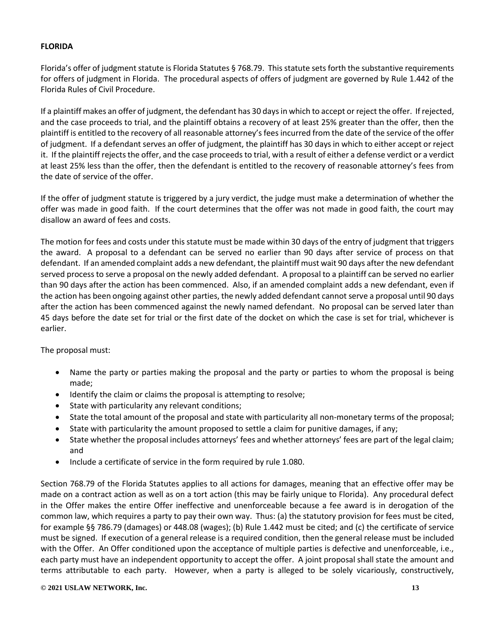## **FLORIDA**

Florida's offer of judgment statute is Florida Statutes § 768.79. This statute sets forth the substantive requirements for offers of judgment in Florida. The procedural aspects of offers of judgment are governed by Rule 1.442 of the Florida Rules of Civil Procedure.

If a plaintiff makes an offer of judgment, the defendant has 30 days in which to accept or reject the offer. If rejected, and the case proceeds to trial, and the plaintiff obtains a recovery of at least 25% greater than the offer, then the plaintiff is entitled to the recovery of all reasonable attorney's fees incurred from the date of the service of the offer of judgment. If a defendant serves an offer of judgment, the plaintiff has 30 days in which to either accept or reject it. If the plaintiff rejects the offer, and the case proceeds to trial, with a result of either a defense verdict or a verdict at least 25% less than the offer, then the defendant is entitled to the recovery of reasonable attorney's fees from the date of service of the offer.

If the offer of judgment statute is triggered by a jury verdict, the judge must make a determination of whether the offer was made in good faith. If the court determines that the offer was not made in good faith, the court may disallow an award of fees and costs.

The motion for fees and costs under this statute must be made within 30 days of the entry of judgment that triggers the award. A proposal to a defendant can be served no earlier than 90 days after service of process on that defendant. If an amended complaint adds a new defendant, the plaintiff must wait 90 days after the new defendant served process to serve a proposal on the newly added defendant. A proposal to a plaintiff can be served no earlier than 90 days after the action has been commenced. Also, if an amended complaint adds a new defendant, even if the action has been ongoing against other parties, the newly added defendant cannot serve a proposal until 90 days after the action has been commenced against the newly named defendant. No proposal can be served later than 45 days before the date set for trial or the first date of the docket on which the case is set for trial, whichever is earlier.

The proposal must:

- Name the party or parties making the proposal and the party or parties to whom the proposal is being made;
- Identify the claim or claims the proposal is attempting to resolve;
- State with particularity any relevant conditions;
- State the total amount of the proposal and state with particularity all non-monetary terms of the proposal;
- State with particularity the amount proposed to settle a claim for punitive damages, if any;
- State whether the proposal includes attorneys' fees and whether attorneys' fees are part of the legal claim; and
- Include a certificate of service in the form required by rule 1.080.

Section 768.79 of the Florida Statutes applies to all actions for damages, meaning that an effective offer may be made on a contract action as well as on a tort action (this may be fairly unique to Florida). Any procedural defect in the Offer makes the entire Offer ineffective and unenforceable because a fee award is in derogation of the common law, which requires a party to pay their own way. Thus: (a) the statutory provision for fees must be cited, for example §§ 786.79 (damages) or 448.08 (wages); (b) Rule 1.442 must be cited; and (c) the certificate of service must be signed. If execution of a general release is a required condition, then the general release must be included with the Offer. An Offer conditioned upon the acceptance of multiple parties is defective and unenforceable, i.e., each party must have an independent opportunity to accept the offer. A joint proposal shall state the amount and terms attributable to each party. However, when a party is alleged to be solely vicariously, constructively,

#### **© 2021 USLAW NETWORK, Inc. 13**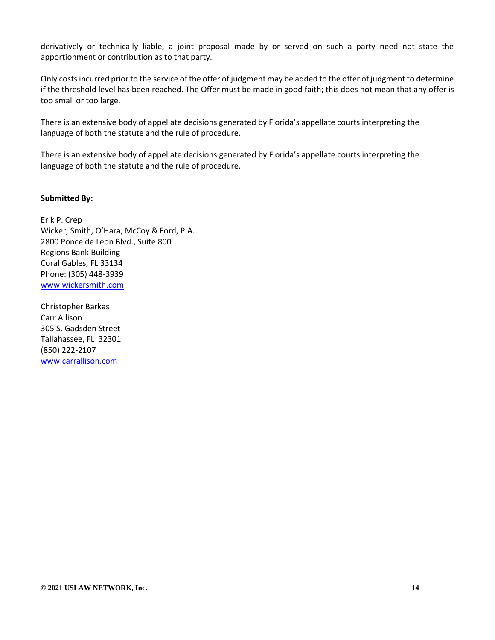derivatively or technically liable, a joint proposal made by or served on such a party need not state the apportionment or contribution as to that party.

Only costs incurred prior to the service of the offer of judgment may be added to the offer of judgment to determine if the threshold level has been reached. The Offer must be made in good faith; this does not mean that any offer is too small or too large.

There is an extensive body of appellate decisions generated by Florida's appellate courts interpreting the language of both the statute and the rule of procedure.

There is an extensive body of appellate decisions generated by Florida's appellate courts interpreting the language of both the statute and the rule of procedure.

## **Submitted By:**

Erik P. Crep Wicker, Smith, O'Hara, McCoy & Ford, P.A. 2800 Ponce de Leon Blvd., Suite 800 Regions Bank Building Coral Gables, FL 33134 Phone: (305) 448-3939 [www.wickersmith.com](http://www.wickersmith.com/)

Christopher Barkas Carr Allison 305 S. Gadsden Street Tallahassee, FL 32301 (850) 222-2107 [www.carrallison.com](http://www.carrallison.com/)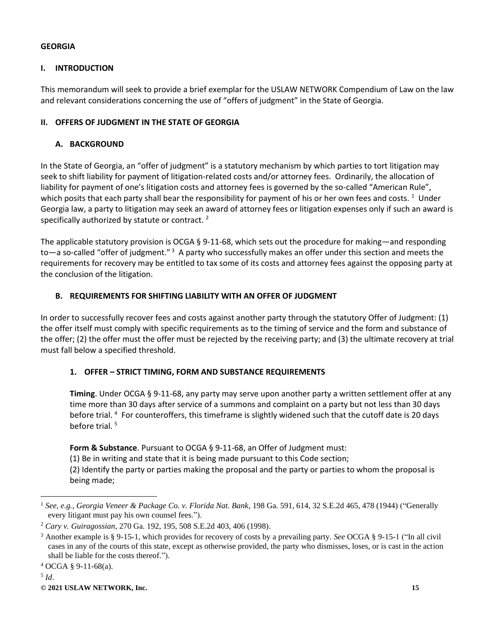# **GEORGIA**

# **I. INTRODUCTION**

This memorandum will seek to provide a brief exemplar for the USLAW NETWORK Compendium of Law on the law and relevant considerations concerning the use of "offers of judgment" in the State of Georgia.

# **II. OFFERS OF JUDGMENT IN THE STATE OF GEORGIA**

# **A. BACKGROUND**

In the State of Georgia, an "offer of judgment" is a statutory mechanism by which parties to tort litigation may seek to shift liability for payment of litigation-related costs and/or attorney fees. Ordinarily, the allocation of liability for payment of one's litigation costs and attorney fees is governed by the so-called "American Rule", which posits that each party shall bear the responsibility for payment of his or her own fees and costs.  $^1$  Under Georgia law, a party to litigation may seek an award of attorney fees or litigation expenses only if such an award is specifically authorized by statute or contract. <sup>2</sup>

The applicable statutory provision is OCGA § 9-11-68, which sets out the procedure for making—and responding to—a so-called "offer of judgment."<sup>3</sup> A party who successfully makes an offer under this section and meets the requirements for recovery may be entitled to tax some of its costs and attorney fees against the opposing party at the conclusion of the litigation.

# **B. REQUIREMENTS FOR SHIFTING LIABILITY WITH AN OFFER OF JUDGMENT**

In order to successfully recover fees and costs against another party through the statutory Offer of Judgment: (1) the offer itself must comply with specific requirements as to the timing of service and the form and substance of the offer; (2) the offer must the offer must be rejected by the receiving party; and (3) the ultimate recovery at trial must fall below a specified threshold.

# **1. OFFER – STRICT TIMING, FORM AND SUBSTANCE REQUIREMENTS**

**Timing**. Under OCGA § 9-11-68, any party may serve upon another party a written settlement offer at any time more than 30 days after service of a summons and complaint on a party but not less than 30 days before trial. <sup>4</sup> For counteroffers, this timeframe is slightly widened such that the cutoff date is 20 days before trial. <sup>5</sup>

**Form & Substance**. Pursuant to OCGA § 9-11-68, an Offer of Judgment must:

(1) Be in writing and state that it is being made pursuant to this Code section;

(2) Identify the party or parties making the proposal and the party or parties to whom the proposal is being made;

<sup>1</sup> *See, e.g.*, *Georgia Veneer & Package Co. v. Florida Nat. Bank*, 198 Ga. 591, 614, 32 S.E.2d 465, 478 (1944) ("Generally every litigant must pay his own counsel fees.").

<sup>2</sup> *Cary v. Guiragossian*, 270 Ga. 192, 195, 508 S.E.2d 403, 406 (1998).

<sup>3</sup> Another example is § 9-15-1, which provides for recovery of costs by a prevailing party. *See* OCGA § 9-15-1 ("In all civil cases in any of the courts of this state, except as otherwise provided, the party who dismisses, loses, or is cast in the action shall be liable for the costs thereof.").

 $4$  OCGA § 9-11-68(a).

<sup>5</sup> *Id*.

**<sup>© 2021</sup> USLAW NETWORK, Inc. 15**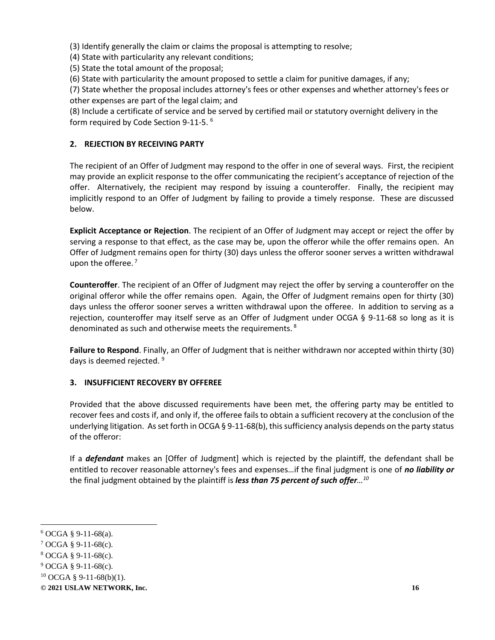(3) Identify generally the claim or claims the proposal is attempting to resolve;

(4) State with particularity any relevant conditions;

(5) State the total amount of the proposal;

(6) State with particularity the amount proposed to settle a claim for punitive damages, if any;

(7) State whether the proposal includes attorney's fees or other expenses and whether attorney's fees or other expenses are part of the legal claim; and

(8) Include a certificate of service and be served by certified mail or statutory overnight delivery in the form required by Code Section 9-11-5. <sup>6</sup>

# **2. REJECTION BY RECEIVING PARTY**

The recipient of an Offer of Judgment may respond to the offer in one of several ways. First, the recipient may provide an explicit response to the offer communicating the recipient's acceptance of rejection of the offer. Alternatively, the recipient may respond by issuing a counteroffer. Finally, the recipient may implicitly respond to an Offer of Judgment by failing to provide a timely response. These are discussed below.

**Explicit Acceptance or Rejection**. The recipient of an Offer of Judgment may accept or reject the offer by serving a response to that effect, as the case may be, upon the offeror while the offer remains open. An Offer of Judgment remains open for thirty (30) days unless the offeror sooner serves a written withdrawal upon the offeree.<sup>7</sup>

**Counteroffer**. The recipient of an Offer of Judgment may reject the offer by serving a counteroffer on the original offeror while the offer remains open. Again, the Offer of Judgment remains open for thirty (30) days unless the offeror sooner serves a written withdrawal upon the offeree. In addition to serving as a rejection, counteroffer may itself serve as an Offer of Judgment under OCGA § 9-11-68 so long as it is denominated as such and otherwise meets the requirements. <sup>8</sup>

**Failure to Respond**. Finally, an Offer of Judgment that is neither withdrawn nor accepted within thirty (30) days is deemed rejected. <sup>9</sup>

# **3. INSUFFICIENT RECOVERY BY OFFEREE**

Provided that the above discussed requirements have been met, the offering party may be entitled to recover fees and costs if, and only if, the offeree fails to obtain a sufficient recovery at the conclusion of the underlying litigation. As set forth in OCGA § 9-11-68(b), this sufficiency analysis depends on the party status of the offeror:

If a *defendant* makes an [Offer of Judgment] which is rejected by the plaintiff, the defendant shall be entitled to recover reasonable attorney's fees and expenses…if the final judgment is one of *no liability or* the final judgment obtained by the plaintiff is *less than 75 percent of such offer… 10*

<sup>6</sup> OCGA § 9-11-68(a).

 $7$  OCGA § 9-11-68(c).

<sup>8</sup> OCGA § 9-11-68(c).

 $9 \text{ OCGA} \text{ } 9 - 11 - 68$ (c).

 $10$  OCGA § 9-11-68(b)(1).

**<sup>© 2021</sup> USLAW NETWORK, Inc. 16**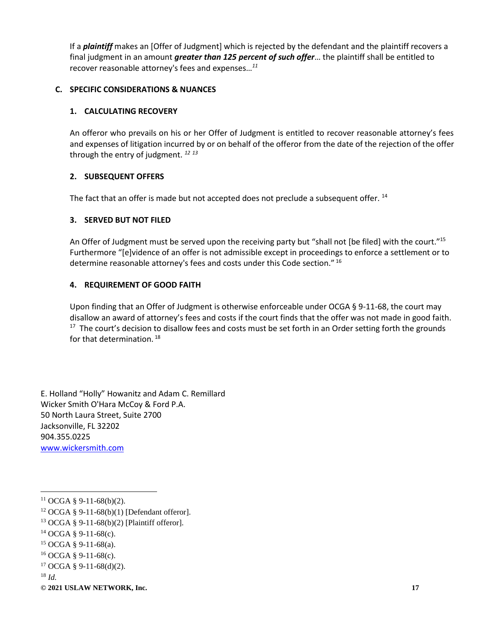If a *plaintiff* makes an [Offer of Judgment] which is rejected by the defendant and the plaintiff recovers a final judgment in an amount *greater than 125 percent of such offer*… the plaintiff shall be entitled to recover reasonable attorney's fees and expenses…*<sup>11</sup>*

## **C. SPECIFIC CONSIDERATIONS & NUANCES**

## **1. CALCULATING RECOVERY**

An offeror who prevails on his or her Offer of Judgment is entitled to recover reasonable attorney's fees and expenses of litigation incurred by or on behalf of the offeror from the date of the rejection of the offer through the entry of judgment. *<sup>12</sup> <sup>13</sup>*

# **2. SUBSEQUENT OFFERS**

The fact that an offer is made but not accepted does not preclude a subsequent offer. <sup>14</sup>

# **3. SERVED BUT NOT FILED**

An Offer of Judgment must be served upon the receiving party but "shall not [be filed] with the court."<sup>15</sup> Furthermore "[e]vidence of an offer is not admissible except in proceedings to enforce a settlement or to determine reasonable attorney's fees and costs under this Code section." <sup>16</sup>

# **4. REQUIREMENT OF GOOD FAITH**

Upon finding that an Offer of Judgment is otherwise enforceable under OCGA § 9-11-68, the court may disallow an award of attorney's fees and costs if the court finds that the offer was not made in good faith. <sup>17</sup> The court's decision to disallow fees and costs must be set forth in an Order setting forth the grounds for that determination.<sup>18</sup>

E. Holland "Holly" Howanitz and Adam C. Remillard Wicker Smith O'Hara McCoy & Ford P.A. 50 North Laura Street, Suite 2700 Jacksonville, FL 32202 904.355.0225 [www.wickersmith.com](https://www.wickersmith.com/)

**© 2021 USLAW NETWORK, Inc. 17**

 $11$  OCGA § 9-11-68(b)(2).

<sup>12</sup> OCGA § 9-11-68(b)(1) [Defendant offeror].

<sup>13</sup> OCGA § 9-11-68(b)(2) [Plaintiff offeror].

<sup>14</sup> OCGA § 9-11-68(c).

<sup>15</sup> OCGA § 9-11-68(a).

<sup>16</sup> OCGA § 9-11-68(c).

 $17 \text{ OCGA}$  § 9-11-68(d)(2).

<sup>18</sup> *Id.*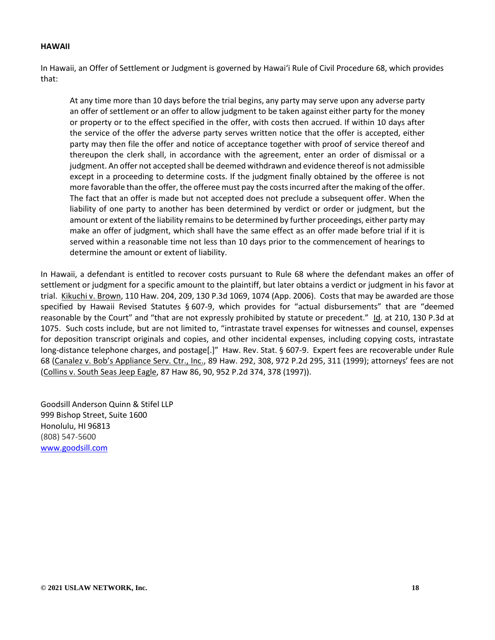#### **HAWAII**

In Hawaii, an Offer of Settlement or Judgment is governed by Hawai'i Rule of Civil Procedure 68, which provides that:

At any time more than 10 days before the trial begins, any party may serve upon any adverse party an offer of settlement or an offer to allow judgment to be taken against either party for the money or property or to the effect specified in the offer, with costs then accrued. If within 10 days after the service of the offer the adverse party serves written notice that the offer is accepted, either party may then file the offer and notice of acceptance together with proof of service thereof and thereupon the clerk shall, in accordance with the agreement, enter an order of dismissal or a judgment. An offer not accepted shall be deemed withdrawn and evidence thereof is not admissible except in a proceeding to determine costs. If the judgment finally obtained by the offeree is not more favorable than the offer, the offeree must pay the costs incurred after the making of the offer. The fact that an offer is made but not accepted does not preclude a subsequent offer. When the liability of one party to another has been determined by verdict or order or judgment, but the amount or extent of the liability remains to be determined by further proceedings, either party may make an offer of judgment, which shall have the same effect as an offer made before trial if it is served within a reasonable time not less than 10 days prior to the commencement of hearings to determine the amount or extent of liability.

In Hawaii, a defendant is entitled to recover costs pursuant to Rule 68 where the defendant makes an offer of settlement or judgment for a specific amount to the plaintiff, but later obtains a verdict or judgment in his favor at trial. Kikuchi v. Brown, 110 Haw. 204, 209, 130 P.3d 1069, 1074 (App. 2006). Costs that may be awarded are those specified by Hawaii Revised Statutes § 607-9, which provides for "actual disbursements" that are "deemed reasonable by the Court" and "that are not expressly prohibited by statute or precedent." Id. at 210, 130 P.3d at 1075. Such costs include, but are not limited to, "intrastate travel expenses for witnesses and counsel, expenses for deposition transcript originals and copies, and other incidental expenses, including copying costs, intrastate long-distance telephone charges, and postage[.]" Haw. Rev. Stat. § 607-9. Expert fees are recoverable under Rule 68 (Canalez v. Bob's Appliance Serv. Ctr., Inc., 89 Haw. 292, 308, 972 P.2d 295, 311 (1999); attorneys' fees are not (Collins v. South Seas Jeep Eagle, 87 Haw 86, 90, 952 P.2d 374, 378 (1997)).

Goodsill Anderson Quinn & Stifel LLP 999 Bishop Street, Suite 1600 Honolulu, HI 96813 (808) 547-5600 [www.goodsill.com](http://www.goodsill.com/)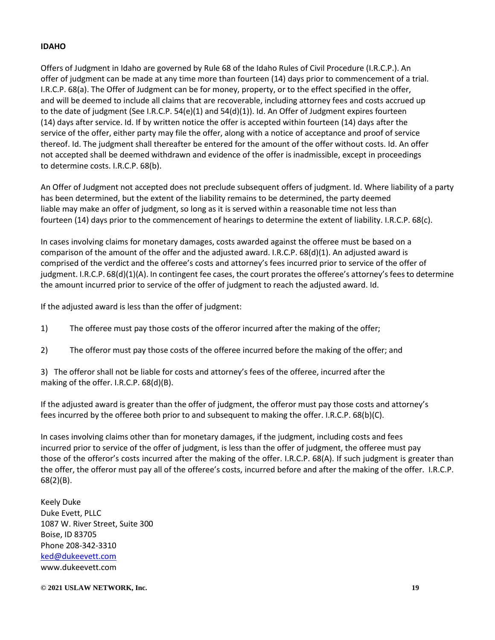# **IDAHO**

Offers of Judgment in Idaho are governed by Rule 68 of the Idaho Rules of Civil Procedure (I.R.C.P.). An offer of judgment can be made at any time more than fourteen (14) days prior to commencement of a trial. I.R.C.P. 68(a). The Offer of Judgment can be for money, property, or to the effect specified in the offer, and will be deemed to include all claims that are recoverable, including attorney fees and costs accrued up to the date of judgment (See I.R.C.P. 54(e)(1) and 54(d)(1)). Id. An Offer of Judgment expires fourteen (14) days after service. Id. If by written notice the offer is accepted within fourteen (14) days after the service of the offer, either party may file the offer, along with a notice of acceptance and proof of service thereof. Id. The judgment shall thereafter be entered for the amount of the offer without costs. Id. An offer not accepted shall be deemed withdrawn and evidence of the offer is inadmissible, except in proceedings to determine costs. I.R.C.P. 68(b).

An Offer of Judgment not accepted does not preclude subsequent offers of judgment. Id. Where liability of a party has been determined, but the extent of the liability remains to be determined, the party deemed liable may make an offer of judgment, so long as it is served within a reasonable time not less than fourteen (14) days prior to the commencement of hearings to determine the extent of liability. I.R.C.P. 68(c).

In cases involving claims for monetary damages, costs awarded against the offeree must be based on a comparison of the amount of the offer and the adjusted award. I.R.C.P. 68(d)(1). An adjusted award is comprised of the verdict and the offeree's costs and attorney's fees incurred prior to service of the offer of judgment. I.R.C.P. 68(d)(1)(A). In contingent fee cases, the court prorates the offeree's attorney's fees to determine the amount incurred prior to service of the offer of judgment to reach the adjusted award. Id.

If the adjusted award is less than the offer of judgment:

- 1) The offeree must pay those costs of the offeror incurred after the making of the offer;
- 2) The offeror must pay those costs of the offeree incurred before the making of the offer; and

3) The offeror shall not be liable for costs and attorney's fees of the offeree, incurred after the making of the offer. I.R.C.P. 68(d)(B).

If the adjusted award is greater than the offer of judgment, the offeror must pay those costs and attorney's fees incurred by the offeree both prior to and subsequent to making the offer. I.R.C.P. 68(b)(C).

In cases involving claims other than for monetary damages, if the judgment, including costs and fees incurred prior to service of the offer of judgment, is less than the offer of judgment, the offeree must pay those of the offeror's costs incurred after the making of the offer. I.R.C.P. 68(A). If such judgment is greater than the offer, the offeror must pay all of the offeree's costs, incurred before and after the making of the offer. I.R.C.P. 68(2)(B).

Keely Duke Duke Evett, PLLC 1087 W. River Street, Suite 300 Boise, ID 83705 Phone 208-342-3310 [ked@dukeevett.com](mailto:ked@dukeevett.com) www.dukeevett.com

**© 2021 USLAW NETWORK, Inc. 19**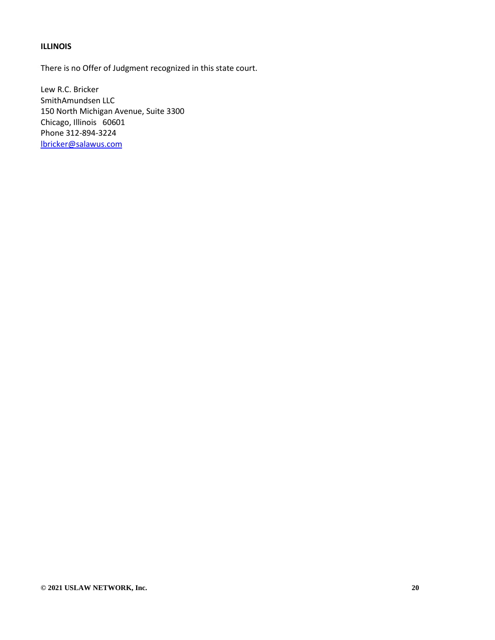# **ILLINOIS**

There is no Offer of Judgment recognized in this state court.

Lew R.C. Bricker SmithAmundsen LLC 150 North Michigan Avenue, Suite 3300 Chicago, Illinois 60601 Phone 312-894-3224 [lbricker@salawus.com](mailto:lbricker@salawus.com)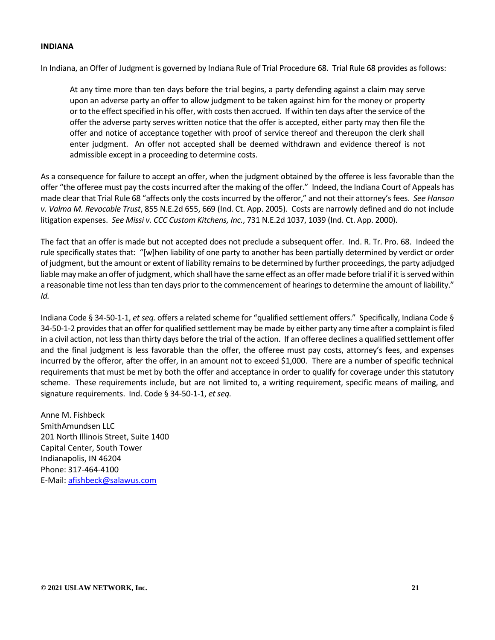#### **INDIANA**

In Indiana, an Offer of Judgment is governed by Indiana Rule of Trial Procedure 68. Trial Rule 68 provides as follows:

At any time more than ten days before the trial begins, a party defending against a claim may serve upon an adverse party an offer to allow judgment to be taken against him for the money or property or to the effect specified in his offer, with costs then accrued. If within ten days after the service of the offer the adverse party serves written notice that the offer is accepted, either party may then file the offer and notice of acceptance together with proof of service thereof and thereupon the clerk shall enter judgment. An offer not accepted shall be deemed withdrawn and evidence thereof is not admissible except in a proceeding to determine costs.

As a consequence for failure to accept an offer, when the judgment obtained by the offeree is less favorable than the offer "the offeree must pay the costs incurred after the making of the offer." Indeed, the Indiana Court of Appeals has made clear that Trial Rule 68 "affects only the costs incurred by the offeror," and not their attorney's fees. *See Hanson v. Valma M. Revocable Trust*, 855 N.E.2d 655, 669 (Ind. Ct. App. 2005). Costs are narrowly defined and do not include litigation expenses. *See Missi v. CCC Custom Kitchens, Inc.*, 731 N.E.2d 1037, 1039 (Ind. Ct. App. 2000).

The fact that an offer is made but not accepted does not preclude a subsequent offer. Ind. R. Tr. Pro. 68. Indeed the rule specifically states that: "[w]hen liability of one party to another has been partially determined by verdict or order of judgment, but the amount or extent of liability remains to be determined by further proceedings, the party adjudged liable may make an offer of judgment, which shall have the same effect as an offer made before trial if it is served within a reasonable time not less than ten days prior to the commencement of hearings to determine the amount of liability." *Id.*

Indiana Code § 34-50-1-1, *et seq.* offers a related scheme for "qualified settlement offers." Specifically, Indiana Code § 34-50-1-2 provides that an offer for qualified settlement may be made by either party any time after a complaint is filed in a civil action, not less than thirty days before the trial of the action. If an offeree declines a qualified settlement offer and the final judgment is less favorable than the offer, the offeree must pay costs, attorney's fees, and expenses incurred by the offeror, after the offer, in an amount not to exceed \$1,000. There are a number of specific technical requirements that must be met by both the offer and acceptance in order to qualify for coverage under this statutory scheme. These requirements include, but are not limited to, a writing requirement, specific means of mailing, and signature requirements. Ind. Code § 34-50-1-1, *et seq.*

Anne M. Fishbeck SmithAmundsen LLC 201 North Illinois Street, Suite 1400 Capital Center, South Tower Indianapolis, IN 46204 Phone: 317-464-4100 E-Mail: [afishbeck@salawus.com](mailto:afishbeck@salawus.com)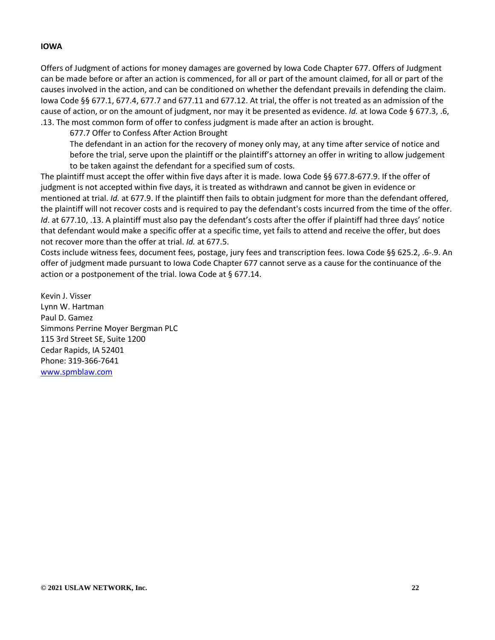## **IOWA**

Offers of Judgment of actions for money damages are governed by Iowa Code Chapter 677. Offers of Judgment can be made before or after an action is commenced, for all or part of the amount claimed, for all or part of the causes involved in the action, and can be conditioned on whether the defendant prevails in defending the claim. Iowa Code §§ 677.1, 677.4, 677.7 and 677.11 and 677.12. At trial, the offer is not treated as an admission of the cause of action, or on the amount of judgment, nor may it be presented as evidence. *Id.* at Iowa Code § 677.3, .6, .13. The most common form of offer to confess judgment is made after an action is brought.

677.7 Offer to Confess After Action Brought

The defendant in an action for the recovery of money only may, at any time after service of notice and before the trial, serve upon the plaintiff or the plaintiff's attorney an offer in writing to allow judgement to be taken against the defendant for a specified sum of costs.

The plaintiff must accept the offer within five days after it is made. Iowa Code §§ 677.8-677.9. If the offer of judgment is not accepted within five days, it is treated as withdrawn and cannot be given in evidence or mentioned at trial. *Id.* at 677.9. If the plaintiff then fails to obtain judgment for more than the defendant offered, the plaintiff will not recover costs and is required to pay the defendant's costs incurred from the time of the offer. *Id*. at 677.10, .13. A plaintiff must also pay the defendant's costs after the offer if plaintiff had three days' notice that defendant would make a specific offer at a specific time, yet fails to attend and receive the offer, but does not recover more than the offer at trial. *Id.* at 677.5.

Costs include witness fees, document fees, postage, jury fees and transcription fees. Iowa Code §§ 625.2, .6-.9. An offer of judgment made pursuant to Iowa Code Chapter 677 cannot serve as a cause for the continuance of the action or a postponement of the trial. Iowa Code at § 677.14.

Kevin J. Visser Lynn W. Hartman Paul D. Gamez Simmons Perrine Moyer Bergman PLC 115 3rd Street SE, Suite 1200 Cedar Rapids, IA 52401 Phone: 319-366-7641 [www.spmblaw.com](http://www.spmblaw.com/)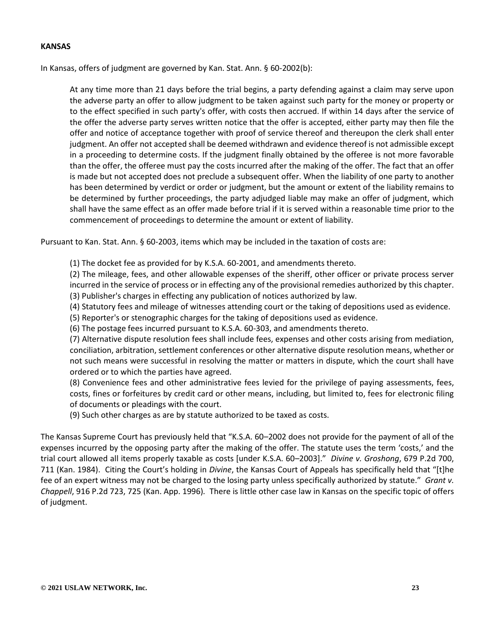## **KANSAS**

In Kansas, offers of judgment are governed by Kan. Stat. Ann. § 60-2002(b):

At any time more than 21 days before the trial begins, a party defending against a claim may serve upon the adverse party an offer to allow judgment to be taken against such party for the money or property or to the effect specified in such party's offer, with costs then accrued. If within 14 days after the service of the offer the adverse party serves written notice that the offer is accepted, either party may then file the offer and notice of acceptance together with proof of service thereof and thereupon the clerk shall enter judgment. An offer not accepted shall be deemed withdrawn and evidence thereof is not admissible except in a proceeding to determine costs. If the judgment finally obtained by the offeree is not more favorable than the offer, the offeree must pay the costs incurred after the making of the offer. The fact that an offer is made but not accepted does not preclude a subsequent offer. When the liability of one party to another has been determined by verdict or order or judgment, but the amount or extent of the liability remains to be determined by further proceedings, the party adjudged liable may make an offer of judgment, which shall have the same effect as an offer made before trial if it is served within a reasonable time prior to the commencement of proceedings to determine the amount or extent of liability.

Pursuant to Kan. Stat. Ann. § 60-2003, items which may be included in the taxation of costs are:

(1) The docket fee as provided for by K.S.A. 60-2001, and amendments thereto.

(2) The mileage, fees, and other allowable expenses of the sheriff, other officer or private process server incurred in the service of process or in effecting any of the provisional remedies authorized by this chapter. (3) Publisher's charges in effecting any publication of notices authorized by law.

(4) Statutory fees and mileage of witnesses attending court or the taking of depositions used as evidence.

(5) Reporter's or stenographic charges for the taking of depositions used as evidence.

(6) The postage fees incurred pursuant to K.S.A. 60-303, and amendments thereto.

(7) Alternative dispute resolution fees shall include fees, expenses and other costs arising from mediation, conciliation, arbitration, settlement conferences or other alternative dispute resolution means, whether or not such means were successful in resolving the matter or matters in dispute, which the court shall have ordered or to which the parties have agreed.

(8) Convenience fees and other administrative fees levied for the privilege of paying assessments, fees, costs, fines or forfeitures by credit card or other means, including, but limited to, fees for electronic filing of documents or pleadings with the court.

(9) Such other charges as are by statute authorized to be taxed as costs.

The Kansas Supreme Court has previously held that "K.S.A. 60–2002 does not provide for the payment of all of the expenses incurred by the opposing party after the making of the offer. The statute uses the term 'costs,' and the trial court allowed all items properly taxable as costs [under K.S.A. 60–2003]." *Divine v. Groshong*, 679 P.2d 700, 711 (Kan. 1984). Citing the Court's holding in *Divine*, the Kansas Court of Appeals has specifically held that "[t]he fee of an expert witness may not be charged to the losing party unless specifically authorized by statute." *Grant v. Chappell*, 916 P.2d 723, 725 (Kan. App. 1996)*.* There is little other case law in Kansas on the specific topic of offers of judgment.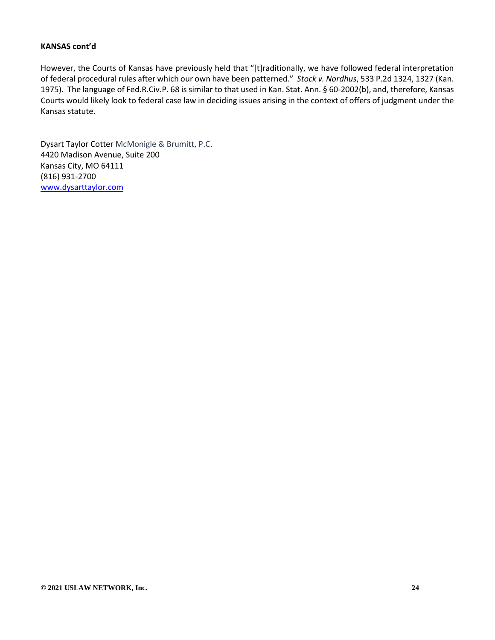## **KANSAS cont'd**

However, the Courts of Kansas have previously held that "[t]raditionally, we have followed federal interpretation of federal procedural rules after which our own have been patterned." *Stock v. Nordhus*, 533 P.2d 1324, 1327 (Kan. 1975). The language of Fed.R.Civ.P. 68 is similar to that used in Kan. Stat. Ann. § 60-2002(b), and, therefore, Kansas Courts would likely look to federal case law in deciding issues arising in the context of offers of judgment under the Kansas statute.

Dysart Taylor Cotter McMonigle & Brumitt, P.C. 4420 Madison Avenue, Suite 200 Kansas City, MO 64111 (816) 931-2700 [www.dysarttaylor.com](http://www.dysarttaylor.com/)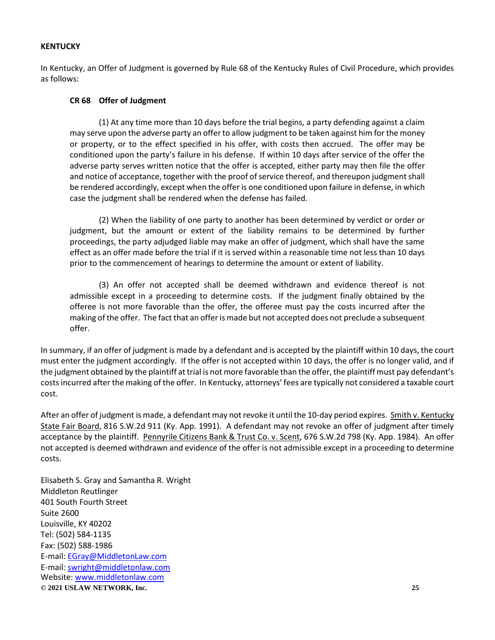## **KENTUCKY**

In Kentucky, an Offer of Judgment is governed by Rule 68 of the Kentucky Rules of Civil Procedure, which provides as follows:

#### **CR 68 Offer of Judgment**

(1) At any time more than 10 days before the trial begins, a party defending against a claim may serve upon the adverse party an offer to allow judgment to be taken against him for the money or property, or to the effect specified in his offer, with costs then accrued. The offer may be conditioned upon the party's failure in his defense. If within 10 days after service of the offer the adverse party serves written notice that the offer is accepted, either party may then file the offer and notice of acceptance, together with the proof of service thereof, and thereupon judgment shall be rendered accordingly, except when the offer is one conditioned upon failure in defense, in which case the judgment shall be rendered when the defense has failed.

(2) When the liability of one party to another has been determined by verdict or order or judgment, but the amount or extent of the liability remains to be determined by further proceedings, the party adjudged liable may make an offer of judgment, which shall have the same effect as an offer made before the trial if it is served within a reasonable time not less than 10 days prior to the commencement of hearings to determine the amount or extent of liability.

(3) An offer not accepted shall be deemed withdrawn and evidence thereof is not admissible except in a proceeding to determine costs. If the judgment finally obtained by the offeree is not more favorable than the offer, the offeree must pay the costs incurred after the making of the offer. The fact that an offer is made but not accepted does not preclude a subsequent offer.

In summary, if an offer of judgment is made by a defendant and is accepted by the plaintiff within 10 days, the court must enter the judgment accordingly. If the offer is not accepted within 10 days, the offer is no longer valid, and if the judgment obtained by the plaintiff at trial is not more favorable than the offer, the plaintiff must pay defendant's costs incurred after the making of the offer. In Kentucky, attorneys' fees are typically not considered a taxable court cost.

After an offer of judgment is made, a defendant may not revoke it until the 10-day period expires. Smith v. Kentucky State Fair Board, 816 S.W.2d 911 (Ky. App. 1991). A defendant may not revoke an offer of judgment after timely acceptance by the plaintiff. Pennyrile Citizens Bank & Trust Co. v. Scent, 676 S.W.2d 798 (Ky. App. 1984). An offer not accepted is deemed withdrawn and evidence of the offer is not admissible except in a proceeding to determine costs.

**© 2021 USLAW NETWORK, Inc. 25** Elisabeth S. Gray and Samantha R. Wright Middleton Reutlinger 401 South Fourth Street Suite 2600 Louisville, KY 40202 Tel: (502) 584-1135 Fax: (502) 588-1986 E-mail[: EGray@MiddletonLaw.com](mailto:EGray@MiddletonLaw.com) E-mail: swright@middletonlaw.com Website: [www.middletonlaw.com](http://www.middletonlaw.com/)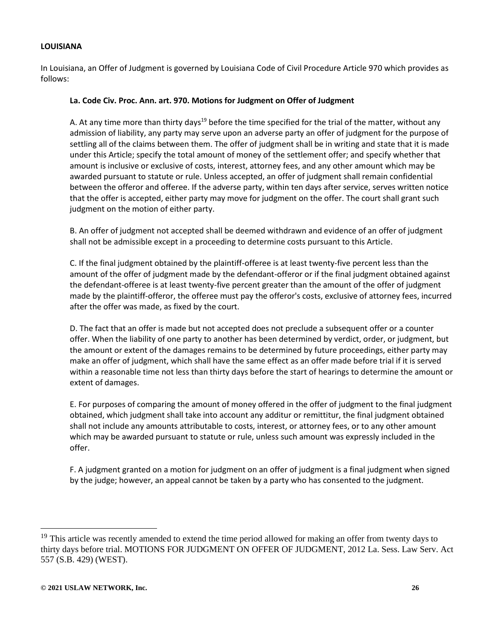## **LOUISIANA**

In Louisiana, an Offer of Judgment is governed by Louisiana Code of Civil Procedure Article 970 which provides as follows:

#### **La. Code Civ. Proc. Ann. art. 970. Motions for Judgment on Offer of Judgment**

A. At any time more than thirty days<sup>19</sup> before the time specified for the trial of the matter, without any admission of liability, any party may serve upon an adverse party an offer of judgment for the purpose of settling all of the claims between them. The offer of judgment shall be in writing and state that it is made under this Article; specify the total amount of money of the settlement offer; and specify whether that amount is inclusive or exclusive of costs, interest, attorney fees, and any other amount which may be awarded pursuant to statute or rule. Unless accepted, an offer of judgment shall remain confidential between the offeror and offeree. If the adverse party, within ten days after service, serves written notice that the offer is accepted, either party may move for judgment on the offer. The court shall grant such judgment on the motion of either party.

B. An offer of judgment not accepted shall be deemed withdrawn and evidence of an offer of judgment shall not be admissible except in a proceeding to determine costs pursuant to this Article.

C. If the final judgment obtained by the plaintiff-offeree is at least twenty-five percent less than the amount of the offer of judgment made by the defendant-offeror or if the final judgment obtained against the defendant-offeree is at least twenty-five percent greater than the amount of the offer of judgment made by the plaintiff-offeror, the offeree must pay the offeror's costs, exclusive of attorney fees, incurred after the offer was made, as fixed by the court.

D. The fact that an offer is made but not accepted does not preclude a subsequent offer or a counter offer. When the liability of one party to another has been determined by verdict, order, or judgment, but the amount or extent of the damages remains to be determined by future proceedings, either party may make an offer of judgment, which shall have the same effect as an offer made before trial if it is served within a reasonable time not less than thirty days before the start of hearings to determine the amount or extent of damages.

E. For purposes of comparing the amount of money offered in the offer of judgment to the final judgment obtained, which judgment shall take into account any additur or remittitur, the final judgment obtained shall not include any amounts attributable to costs, interest, or attorney fees, or to any other amount which may be awarded pursuant to statute or rule, unless such amount was expressly included in the offer.

F. A judgment granted on a motion for judgment on an offer of judgment is a final judgment when signed by the judge; however, an appeal cannot be taken by a party who has consented to the judgment.

<sup>&</sup>lt;sup>19</sup> This article was recently amended to extend the time period allowed for making an offer from twenty days to thirty days before trial. MOTIONS FOR JUDGMENT ON OFFER OF JUDGMENT, 2012 La. Sess. Law Serv. Act 557 (S.B. 429) (WEST).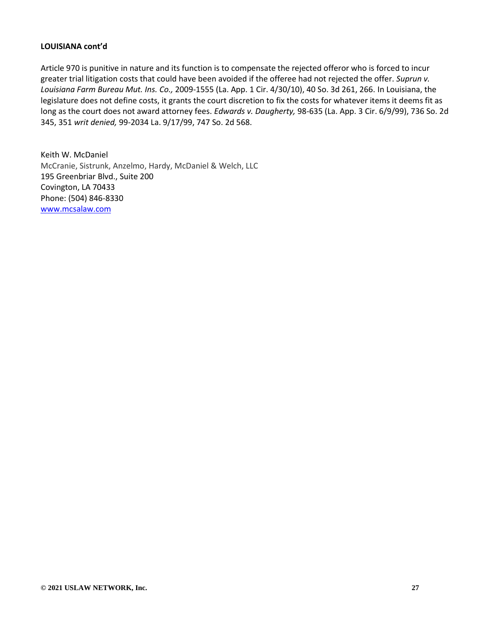## **LOUISIANA cont'd**

Article 970 is punitive in nature and its function is to compensate the rejected offeror who is forced to incur greater trial litigation costs that could have been avoided if the offeree had not rejected the offer. *Suprun v. Louisiana Farm Bureau Mut. Ins. Co.,* 2009-1555 (La. App. 1 Cir. 4/30/10), 40 So. 3d 261, 266. In Louisiana, the legislature does not define costs, it grants the court discretion to fix the costs for whatever items it deems fit as long as the court does not award attorney fees. *Edwards v. Daugherty,* 98-635 (La. App. 3 Cir. 6/9/99), 736 So. 2d 345, 351 *writ denied,* 99-2034 La. 9/17/99, 747 So. 2d 568.

Keith W. McDaniel McCranie, Sistrunk, Anzelmo, Hardy, McDaniel & Welch, LLC 195 Greenbriar Blvd., Suite 200 Covington, LA 70433 Phone: (504) 846-8330 [www.mcsalaw.com](http://www.mcsalaw.com/)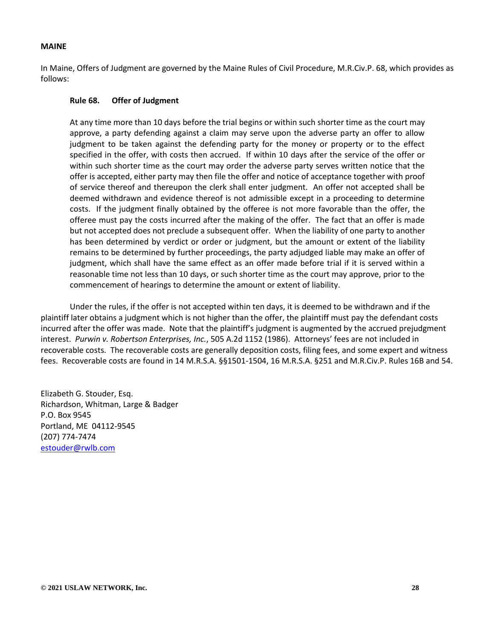#### **MAINE**

In Maine, Offers of Judgment are governed by the Maine Rules of Civil Procedure, M.R.Civ.P. 68, which provides as follows:

#### **Rule 68. Offer of Judgment**

At any time more than 10 days before the trial begins or within such shorter time as the court may approve, a party defending against a claim may serve upon the adverse party an offer to allow judgment to be taken against the defending party for the money or property or to the effect specified in the offer, with costs then accrued. If within 10 days after the service of the offer or within such shorter time as the court may order the adverse party serves written notice that the offer is accepted, either party may then file the offer and notice of acceptance together with proof of service thereof and thereupon the clerk shall enter judgment. An offer not accepted shall be deemed withdrawn and evidence thereof is not admissible except in a proceeding to determine costs. If the judgment finally obtained by the offeree is not more favorable than the offer, the offeree must pay the costs incurred after the making of the offer. The fact that an offer is made but not accepted does not preclude a subsequent offer. When the liability of one party to another has been determined by verdict or order or judgment, but the amount or extent of the liability remains to be determined by further proceedings, the party adjudged liable may make an offer of judgment, which shall have the same effect as an offer made before trial if it is served within a reasonable time not less than 10 days, or such shorter time as the court may approve, prior to the commencement of hearings to determine the amount or extent of liability.

Under the rules, if the offer is not accepted within ten days, it is deemed to be withdrawn and if the plaintiff later obtains a judgment which is not higher than the offer, the plaintiff must pay the defendant costs incurred after the offer was made. Note that the plaintiff's judgment is augmented by the accrued prejudgment interest. *Purwin v. Robertson Enterprises, Inc.*, 505 A.2d 1152 (1986). Attorneys' fees are not included in recoverable costs. The recoverable costs are generally deposition costs, filing fees, and some expert and witness fees. Recoverable costs are found in 14 M.R.S.A. §§1501-1504, 16 M.R.S.A. §251 and M.R.Civ.P. Rules 16B and 54.

Elizabeth G. Stouder, Esq. Richardson, Whitman, Large & Badger P.O. Box 9545 Portland, ME 04112-9545 (207) 774-7474 [estouder@rwlb.com](mailto:estouder@rwlb.com)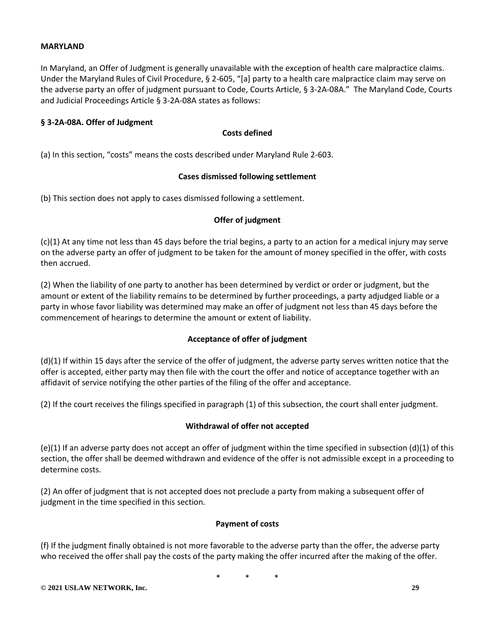## **MARYLAND**

In Maryland, an Offer of Judgment is generally unavailable with the exception of health care malpractice claims. Under the Maryland Rules of Civil Procedure, § 2-605, "[a] party to a health care malpractice claim may serve on the adverse party an offer of judgment pursuant to Code, Courts Article, § 3-2A-08A." The Maryland Code, Courts and Judicial Proceedings Article § 3-2A-08A states as follows:

# **§ 3-2A-08A. Offer of Judgment**

## **Costs defined**

(a) In this section, "costs" means the costs described under [Maryland Rule 2-603.](http://web2.westlaw.com/find/default.wl?mt=TabTemplate1&db=1007680&rs=WLW12.10&docname=MDRCPCIRR2-603&rp=%2ffind%2fdefault.wl&findtype=L&ordoc=16108365&tc=-1&vr=2.0&fn=_top&sv=Split&tf=-1&pbc=06FA1D8D&utid=1)

## **Cases dismissed following settlement**

(b) This section does not apply to cases dismissed following a settlement.

# **Offer of judgment**

(c)(1) At any time not less than 45 days before the trial begins, a party to an action for a medical injury may serve on the adverse party an offer of judgment to be taken for the amount of money specified in the offer, with costs then accrued.

(2) When the liability of one party to another has been determined by verdict or order or judgment, but the amount or extent of the liability remains to be determined by further proceedings, a party adjudged liable or a party in whose favor liability was determined may make an offer of judgment not less than 45 days before the commencement of hearings to determine the amount or extent of liability.

# **Acceptance of offer of judgment**

(d)(1) If within 15 days after the service of the offer of judgment, the adverse party serves written notice that the offer is accepted, either party may then file with the court the offer and notice of acceptance together with an affidavit of service notifying the other parties of the filing of the offer and acceptance.

(2) If the court receives the filings specified in paragraph (1) of this subsection, the court shall enter judgment.

# **Withdrawal of offer not accepted**

(e)(1) If an adverse party does not accept an offer of judgment within the time specified in subsection (d)(1) of this section, the offer shall be deemed withdrawn and evidence of the offer is not admissible except in a proceeding to determine costs.

(2) An offer of judgment that is not accepted does not preclude a party from making a subsequent offer of judgment in the time specified in this section.

## **Payment of costs**

(f) If the judgment finally obtained is not more favorable to the adverse party than the offer, the adverse party who received the offer shall pay the costs of the party making the offer incurred after the making of the offer.

\* \* \*

**© 2021 USLAW NETWORK, Inc. 29**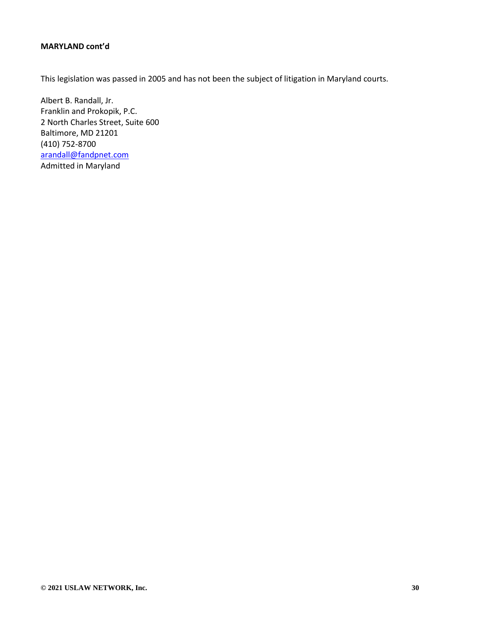# **MARYLAND cont'd**

This legislation was passed in 2005 and has not been the subject of litigation in Maryland courts.

Albert B. Randall, Jr. Franklin and Prokopik, P.C. 2 North Charles Street, Suite 600 Baltimore, MD 21201 (410) 752-8700 [arandall@fandpnet.com](mailto:arandall@fandpnet.com) Admitted in Maryland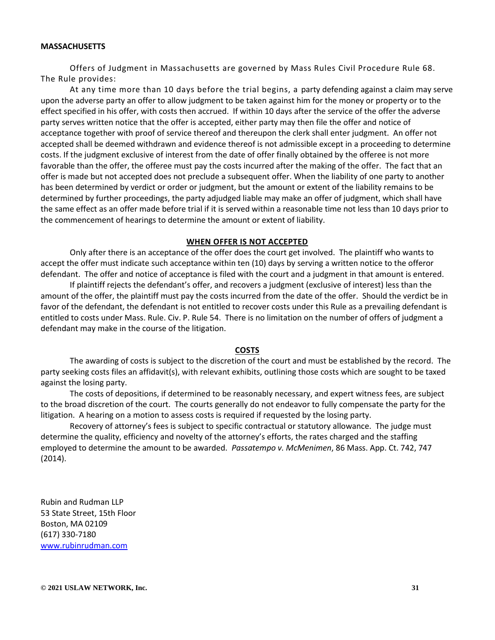#### **MASSACHUSETTS**

Offers of Judgment in Massachusetts are governed by Mass Rules Civil Procedure Rule 68. The Rule provides:

At any time more than 10 days before the trial begins, a party defending against a claim may serve upon the adverse party an offer to allow judgment to be taken against him for the money or property or to the effect specified in his offer, with costs then accrued. If within 10 days after the service of the offer the adverse party serves written notice that the offer is accepted, either party may then file the offer and notice of acceptance together with proof of service thereof and thereupon the clerk shall enter judgment. An offer not accepted shall be deemed withdrawn and evidence thereof is not admissible except in a proceeding to determine costs. If the judgment exclusive of interest from the date of offer finally obtained by the offeree is not more favorable than the offer, the offeree must pay the costs incurred after the making of the offer. The fact that an offer is made but not accepted does not preclude a subsequent offer. When the liability of one party to another has been determined by verdict or order or judgment, but the amount or extent of the liability remains to be determined by further proceedings, the party adjudged liable may make an offer of judgment, which shall have the same effect as an offer made before trial if it is served within a reasonable time not less than 10 days prior to the commencement of hearings to determine the amount or extent of liability.

#### **WHEN OFFER IS NOT ACCEPTED**

Only after there is an acceptance of the offer does the court get involved. The plaintiff who wants to accept the offer must indicate such acceptance within ten (10) days by serving a written notice to the offeror defendant. The offer and notice of acceptance is filed with the court and a judgment in that amount is entered.

If plaintiff rejects the defendant's offer, and recovers a judgment (exclusive of interest) less than the amount of the offer, the plaintiff must pay the costs incurred from the date of the offer. Should the verdict be in favor of the defendant, the defendant is not entitled to recover costs under this Rule as a prevailing defendant is entitled to costs under Mass. Rule. Civ. P. Rule 54. There is no limitation on the number of offers of judgment a defendant may make in the course of the litigation.

#### **COSTS**

The awarding of costs is subject to the discretion of the court and must be established by the record. The party seeking costs files an affidavit(s), with relevant exhibits, outlining those costs which are sought to be taxed against the losing party.

The costs of depositions, if determined to be reasonably necessary, and expert witness fees, are subject to the broad discretion of the court. The courts generally do not endeavor to fully compensate the party for the litigation. A hearing on a motion to assess costs is required if requested by the losing party.

Recovery of attorney's fees is subject to specific contractual or statutory allowance. The judge must determine the quality, efficiency and novelty of the attorney's efforts, the rates charged and the staffing employed to determine the amount to be awarded. *Passatempo v. McMenimen*, 86 Mass. App. Ct. 742, 747 (2014).

Rubin and Rudman LLP 53 State Street, 15th Floor Boston, MA 02109 (617) 330-7180 [www.rubinrudman.com](http://www.rubinrudman.com/)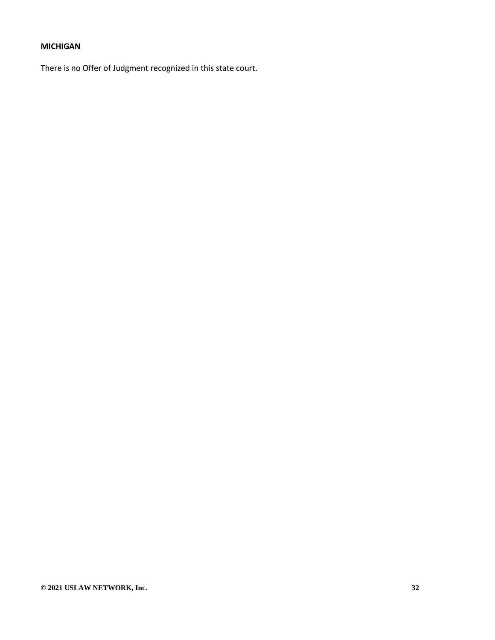# **MICHIGAN**

There is no Offer of Judgment recognized in this state court.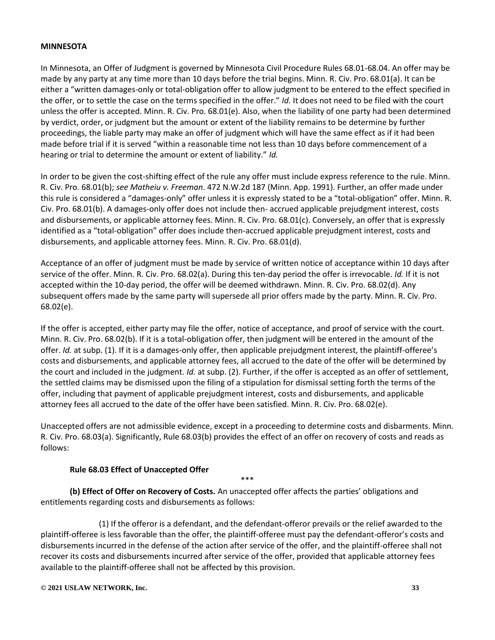## **MINNESOTA**

In Minnesota, an Offer of Judgment is governed by Minnesota Civil Procedure Rules 68.01-68.04. An offer may be made by any party at any time more than 10 days before the trial begins. Minn. R. Civ. Pro. 68.01(a). It can be either a "written damages-only or total-obligation offer to allow judgment to be entered to the effect specified in the offer, or to settle the case on the terms specified in the offer." *Id.* It does not need to be filed with the court unless the offer is accepted. Minn. R. Civ. Pro. 68.01(e). Also, when the liability of one party had been determined by verdict, order, or judgment but the amount or extent of the liability remains to be determine by further proceedings, the liable party may make an offer of judgment which will have the same effect as if it had been made before trial if it is served "within a reasonable time not less than 10 days before commencement of a hearing or trial to determine the amount or extent of liability." *Id.*

In order to be given the cost-shifting effect of the rule any offer must include express reference to the rule. Minn. R. Civ. Pro. 68.01(b); *see Matheiu v. Freeman*. 472 N.W.2d 187 (Minn. App. 1991). Further, an offer made under this rule is considered a "damages-only" offer unless it is expressly stated to be a "total-obligation" offer. Minn. R. Civ. Pro. 68.01(b). A damages-only offer does not include then- accrued applicable prejudgment interest, costs and disbursements, or applicable attorney fees. Minn. R. Civ. Pro. 68.01(c). Conversely, an offer that is expressly identified as a "total-obligation" offer does include then-accrued applicable prejudgment interest, costs and disbursements, and applicable attorney fees. Minn. R. Civ. Pro. 68.01(d).

Acceptance of an offer of judgment must be made by service of written notice of acceptance within 10 days after service of the offer. Minn. R. Civ. Pro. 68.02(a). During this ten-day period the offer is irrevocable. *Id.* If it is not accepted within the 10-day period, the offer will be deemed withdrawn. Minn. R. Civ. Pro. 68.02(d). Any subsequent offers made by the same party will supersede all prior offers made by the party. Minn. R. Civ. Pro. 68.02(e).

If the offer is accepted, either party may file the offer, notice of acceptance, and proof of service with the court. Minn. R. Civ. Pro. 68.02(b). If it is a total-obligation offer, then judgment will be entered in the amount of the offer. *Id.* at subp. (1). If it is a damages-only offer, then applicable prejudgment interest, the plaintiff-offeree's costs and disbursements, and applicable attorney fees, all accrued to the date of the offer will be determined by the court and included in the judgment. *Id.* at subp. (2). Further, if the offer is accepted as an offer of settlement, the settled claims may be dismissed upon the filing of a stipulation for dismissal setting forth the terms of the offer, including that payment of applicable prejudgment interest, costs and disbursements, and applicable attorney fees all accrued to the date of the offer have been satisfied. Minn. R. Civ. Pro. 68.02(e).

Unaccepted offers are not admissible evidence, except in a proceeding to determine costs and disbarments. Minn. R. Civ. Pro. 68.03(a). Significantly, Rule 68.03(b) provides the effect of an offer on recovery of costs and reads as follows:

## **Rule 68.03 Effect of Unaccepted Offer**

\*\*\*

**(b) Effect of Offer on Recovery of Costs.** An unaccepted offer affects the parties' obligations and entitlements regarding costs and disbursements as follows:

(1) If the offeror is a defendant, and the defendant-offeror prevails or the relief awarded to the plaintiff-offeree is less favorable than the offer, the plaintiff-offeree must pay the defendant-offeror's costs and disbursements incurred in the defense of the action after service of the offer, and the plaintiff-offeree shall not recover its costs and disbursements incurred after service of the offer, provided that applicable attorney fees available to the plaintiff-offeree shall not be affected by this provision.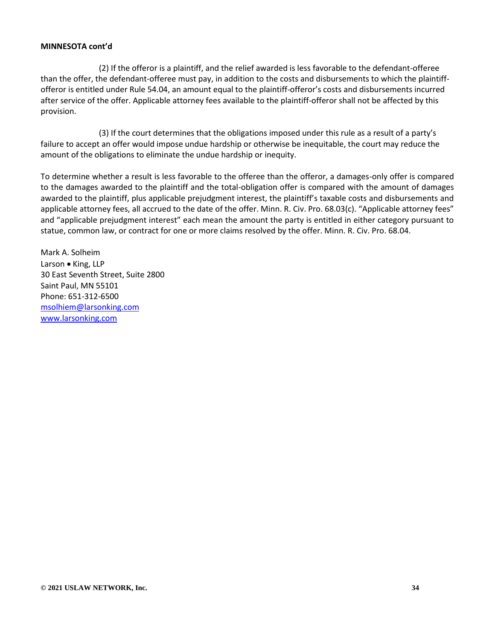#### **MINNESOTA cont'd**

(2) If the offeror is a plaintiff, and the relief awarded is less favorable to the defendant-offeree than the offer, the defendant-offeree must pay, in addition to the costs and disbursements to which the plaintiffofferor is entitled under Rule 54.04, an amount equal to the plaintiff-offeror's costs and disbursements incurred after service of the offer. Applicable attorney fees available to the plaintiff-offeror shall not be affected by this provision.

(3) If the court determines that the obligations imposed under this rule as a result of a party's failure to accept an offer would impose undue hardship or otherwise be inequitable, the court may reduce the amount of the obligations to eliminate the undue hardship or inequity.

To determine whether a result is less favorable to the offeree than the offeror, a damages-only offer is compared to the damages awarded to the plaintiff and the total-obligation offer is compared with the amount of damages awarded to the plaintiff, plus applicable prejudgment interest, the plaintiff's taxable costs and disbursements and applicable attorney fees, all accrued to the date of the offer. Minn. R. Civ. Pro. 68.03(c). "Applicable attorney fees" and "applicable prejudgment interest" each mean the amount the party is entitled in either category pursuant to statue, common law, or contract for one or more claims resolved by the offer. Minn. R. Civ. Pro. 68.04.

Mark A. Solheim Larson • King, LLP 30 East Seventh Street, Suite 2800 Saint Paul, MN 55101 Phone: 651-312-6500 [msolhiem@larsonking.com](mailto:msolhiem@larsonking.com) [www.larsonking.com](http://www.larsonking.com/)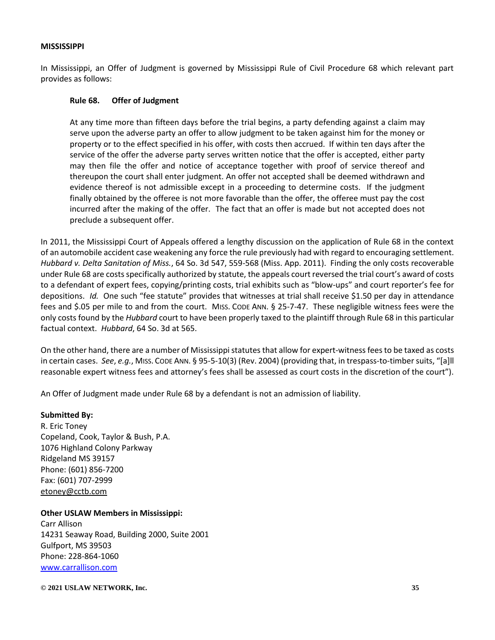#### **MISSISSIPPI**

In Mississippi, an Offer of Judgment is governed by Mississippi Rule of Civil Procedure 68 which relevant part provides as follows:

#### **Rule 68. Offer of Judgment**

At any time more than fifteen days before the trial begins, a party defending against a claim may serve upon the adverse party an offer to allow judgment to be taken against him for the money or property or to the effect specified in his offer, with costs then accrued. If within ten days after the service of the offer the adverse party serves written notice that the offer is accepted, either party may then file the offer and notice of acceptance together with proof of service thereof and thereupon the court shall enter judgment. An offer not accepted shall be deemed withdrawn and evidence thereof is not admissible except in a proceeding to determine costs. If the judgment finally obtained by the offeree is not more favorable than the offer, the offeree must pay the cost incurred after the making of the offer. The fact that an offer is made but not accepted does not preclude a subsequent offer.

In 2011, the Mississippi Court of Appeals offered a lengthy discussion on the application of Rule 68 in the context of an automobile accident case weakening any force the rule previously had with regard to encouraging settlement. *Hubbard v. Delta Sanitation of Miss.*, 64 So. 3d 547, 559-568 (Miss. App. 2011). Finding the only costs recoverable under Rule 68 are costs specifically authorized by statute, the appeals court reversed the trial court's award of costs to a defendant of expert fees, copying/printing costs, trial exhibits such as "blow-ups" and court reporter's fee for depositions. *Id.* One such "fee statute" provides that witnesses at trial shall receive \$1.50 per day in attendance fees and \$.05 per mile to and from the court. MISS. CODE ANN. § 25-7-47. These negligible witness fees were the only costs found by the *Hubbard* court to have been properly taxed to the plaintiff through Rule 68 in this particular factual context. *Hubbard*, 64 So. 3d at 565.

On the other hand, there are a number of Mississippi statutes that allow for expert-witness fees to be taxed as costs in certain cases. *See*, *e.g.*, MISS. CODE ANN. § 95-5-10(3) (Rev. 2004) (providing that, in trespass-to-timber suits, "[a]ll reasonable expert witness fees and attorney's fees shall be assessed as court costs in the discretion of the court").

An Offer of Judgment made under Rule 68 by a defendant is not an admission of liability.

#### **Submitted By:**

R. Eric Toney Copeland, Cook, Taylor & Bush, P.A. 1076 Highland Colony Parkway Ridgeland MS 39157 Phone: [\(601\) 856-7200](tel:+1%20(601)%20856-7200) Fax: [\(601\) 707-2999](tel:+1%20(601)%20707-2999) [etoney@cctb.com](mailto:etoney@cctb.com)

#### **Other USLAW Members in Mississippi:**

Carr Allison 14231 Seaway Road, Building 2000, Suite 2001 Gulfport, MS 39503 Phone: 228-864-1060 [www.carrallison.com](http://www.carrallison.com/)

**© 2021 USLAW NETWORK, Inc. 35**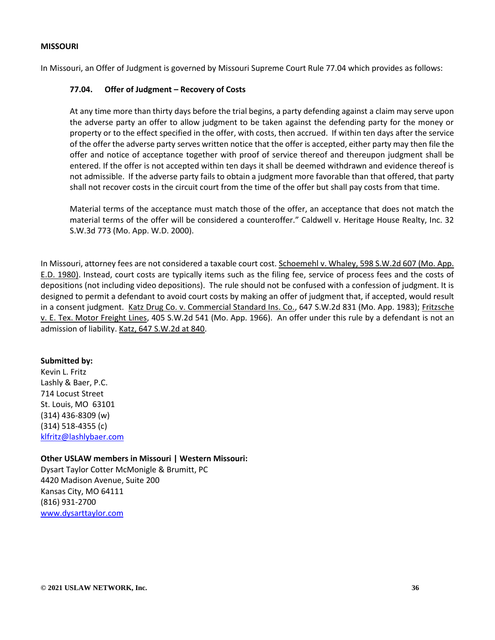#### **MISSOURI**

In Missouri, an Offer of Judgment is governed by Missouri Supreme Court Rule 77.04 which provides as follows:

#### **77.04. Offer of Judgment – Recovery of Costs**

At any time more than thirty days before the trial begins, a party defending against a claim may serve upon the adverse party an offer to allow judgment to be taken against the defending party for the money or property or to the effect specified in the offer, with costs, then accrued. If within ten days after the service of the offer the adverse party serves written notice that the offer is accepted, either party may then file the offer and notice of acceptance together with proof of service thereof and thereupon judgment shall be entered. If the offer is not accepted within ten days it shall be deemed withdrawn and evidence thereof is not admissible. If the adverse party fails to obtain a judgment more favorable than that offered, that party shall not recover costs in the circuit court from the time of the offer but shall pay costs from that time.

Material terms of the acceptance must match those of the offer, an acceptance that does not match the material terms of the offer will be considered a counteroffer." Caldwell v. Heritage House Realty, Inc. 32 S.W.3d 773 (Mo. App. W.D. 2000).

In Missouri, attorney fees are not considered a taxable court cost. Schoemehl v. Whaley, 598 S.W.2d 607 (Mo. App. E.D. 1980). Instead, court costs are typically items such as the filing fee, service of process fees and the costs of depositions (not including video depositions). The rule should not be confused with a confession of judgment. It is designed to permit a defendant to avoid court costs by making an offer of judgment that, if accepted, would result in a consent judgment. Katz Drug Co. v. Commercial Standard Ins. Co., 647 S.W.2d 831 (Mo. App. 1983); Fritzsche v. E. Tex. Motor Freight Lines, 405 S.W.2d 541 (Mo. App. 1966). An offer under this rule by a defendant is not an admission of liability. Katz, 647 S.W.2d at 840.

#### **Submitted by:**

Kevin L. Fritz Lashly & Baer, P.C. 714 Locust Street St. Louis, MO 63101 (314) 436-8309 (w) (314) 518-4355 (c) [klfritz@lashlybaer.com](mailto:klfritz@lashlybaer.com)

#### **Other USLAW members in Missouri | Western Missouri:**

Dysart Taylor Cotter McMonigle & Brumitt, PC 4420 Madison Avenue, Suite 200 Kansas City, MO 64111 (816) 931-2700 [www.dysarttaylor.com](http://www.dysarttaylor.com/)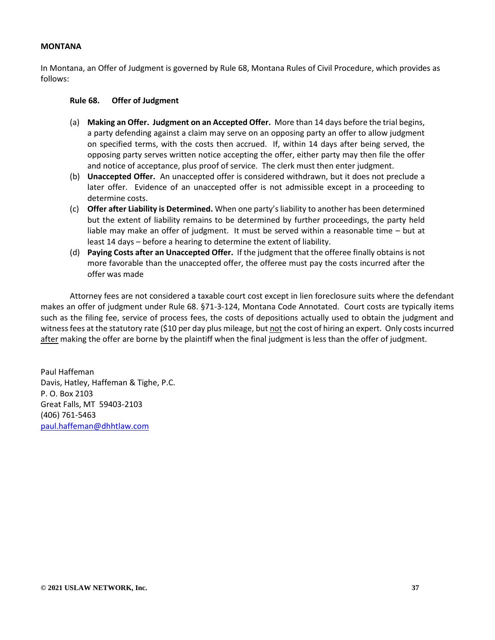### **MONTANA**

In Montana, an Offer of Judgment is governed by Rule 68, Montana Rules of Civil Procedure, which provides as follows:

### **Rule 68. Offer of Judgment**

- (a) **Making an Offer. Judgment on an Accepted Offer.** More than 14 days before the trial begins, a party defending against a claim may serve on an opposing party an offer to allow judgment on specified terms, with the costs then accrued. If, within 14 days after being served, the opposing party serves written notice accepting the offer, either party may then file the offer and notice of acceptance, plus proof of service. The clerk must then enter judgment.
- (b) **Unaccepted Offer.** An unaccepted offer is considered withdrawn, but it does not preclude a later offer. Evidence of an unaccepted offer is not admissible except in a proceeding to determine costs.
- (c) **Offer after Liability is Determined.** When one party's liability to another has been determined but the extent of liability remains to be determined by further proceedings, the party held liable may make an offer of judgment. It must be served within a reasonable time – but at least 14 days – before a hearing to determine the extent of liability.
- (d) **Paying Costs after an Unaccepted Offer.** If the judgment that the offeree finally obtains is not more favorable than the unaccepted offer, the offeree must pay the costs incurred after the offer was made

Attorney fees are not considered a taxable court cost except in lien foreclosure suits where the defendant makes an offer of judgment under Rule 68. §71-3-124, Montana Code Annotated. Court costs are typically items such as the filing fee, service of process fees, the costs of depositions actually used to obtain the judgment and witness fees at the statutory rate (\$10 per day plus mileage, but not the cost of hiring an expert. Only costs incurred after making the offer are borne by the plaintiff when the final judgment is less than the offer of judgment.

Paul Haffeman Davis, Hatley, Haffeman & Tighe, P.C. P. O. Box 2103 Great Falls, MT 59403-2103 (406) 761-5463 [paul.haffeman@dhhtlaw.com](mailto:paul.haffeman@dhhtlaw.com)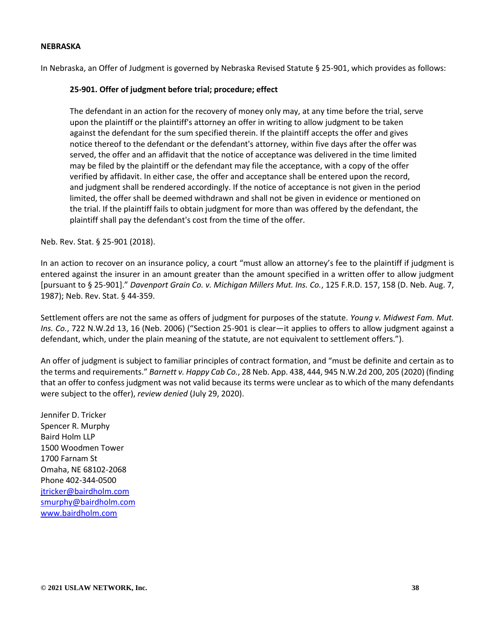## **NEBRASKA**

In Nebraska, an Offer of Judgment is governed by Nebraska Revised Statute § 25-901, which provides as follows:

# **25-901. Offer of judgment before trial; procedure; effect**

The defendant in an action for the recovery of money only may, at any time before the trial, serve upon the plaintiff or the plaintiff's attorney an offer in writing to allow judgment to be taken against the defendant for the sum specified therein. If the plaintiff accepts the offer and gives notice thereof to the defendant or the defendant's attorney, within five days after the offer was served, the offer and an affidavit that the notice of acceptance was delivered in the time limited may be filed by the plaintiff or the defendant may file the acceptance, with a copy of the offer verified by affidavit. In either case, the offer and acceptance shall be entered upon the record, and judgment shall be rendered accordingly. If the notice of acceptance is not given in the period limited, the offer shall be deemed withdrawn and shall not be given in evidence or mentioned on the trial. If the plaintiff fails to obtain judgment for more than was offered by the defendant, the plaintiff shall pay the defendant's cost from the time of the offer.

Neb. Rev. Stat. § 25-901 (2018).

In an action to recover on an insurance policy, a court "must allow an attorney's fee to the plaintiff if judgment is entered against the insurer in an amount greater than the amount specified in a written offer to allow judgment [pursuant to § 25-901]." *Davenport Grain Co. v. Michigan Millers Mut. Ins. Co.*, 125 F.R.D. 157, 158 (D. Neb. Aug. 7, 1987); Neb. Rev. Stat. § 44-359.

Settlement offers are not the same as offers of judgment for purposes of the statute. *Young v. Midwest Fam. Mut. Ins. Co.*, 722 N.W.2d 13, 16 (Neb. 2006) ("Section 25-901 is clear—it applies to offers to allow judgment against a defendant, which, under the plain meaning of the statute, are not equivalent to settlement offers.").

An offer of judgment is subject to familiar principles of contract formation, and "must be definite and certain as to the terms and requirements." *Barnett v. Happy Cab Co.*, 28 Neb. App. 438, 444, 945 N.W.2d 200, 205 (2020) (finding that an offer to confess judgment was not valid because its terms were unclear as to which of the many defendants were subject to the offer), *review denied* (July 29, 2020).

Jennifer D. Tricker Spencer R. Murphy Baird Holm LLP 1500 Woodmen Tower 1700 Farnam St Omaha, NE 68102-2068 Phone 402-344-0500 [jtricker@bairdholm.com](mailto:jtricker@bairdholm.com) [smurphy@bairdholm.com](mailto:smurphy@bairdholm.com) [www.bairdholm.com](http://www.bairdholm.com/)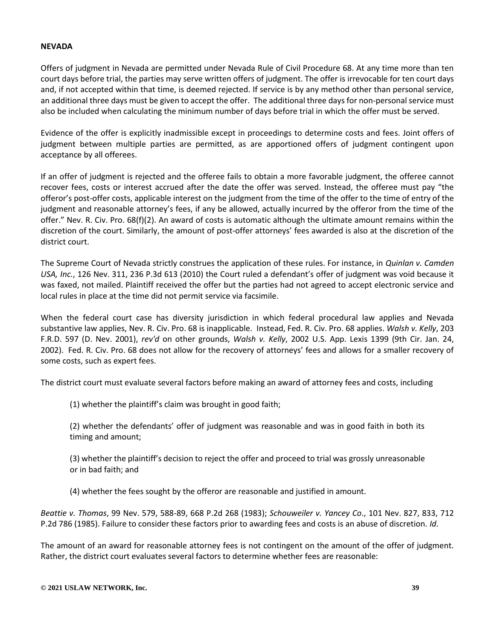## **NEVADA**

Offers of judgment in Nevada are permitted under Nevada Rule of Civil Procedure 68. At any time more than ten court days before trial, the parties may serve written offers of judgment. The offer is irrevocable for ten court days and, if not accepted within that time, is deemed rejected. If service is by any method other than personal service, an additional three days must be given to accept the offer. The additional three days for non-personal service must also be included when calculating the minimum number of days before trial in which the offer must be served.

Evidence of the offer is explicitly inadmissible except in proceedings to determine costs and fees. Joint offers of judgment between multiple parties are permitted, as are apportioned offers of judgment contingent upon acceptance by all offerees.

If an offer of judgment is rejected and the offeree fails to obtain a more favorable judgment, the offeree cannot recover fees, costs or interest accrued after the date the offer was served. Instead, the offeree must pay "the offeror's post-offer costs, applicable interest on the judgment from the time of the offer to the time of entry of the judgment and reasonable attorney's fees, if any be allowed, actually incurred by the offeror from the time of the offer." Nev. R. Civ. Pro. 68(f)(2). An award of costs is automatic although the ultimate amount remains within the discretion of the court. Similarly, the amount of post-offer attorneys' fees awarded is also at the discretion of the district court.

The Supreme Court of Nevada strictly construes the application of these rules. For instance, in *Quinlan v. Camden USA, Inc.*, 126 Nev. 311, 236 P.3d 613 (2010) the Court ruled a defendant's offer of judgment was void because it was faxed, not mailed. Plaintiff received the offer but the parties had not agreed to accept electronic service and local rules in place at the time did not permit service via facsimile.

When the federal court case has diversity jurisdiction in which federal procedural law applies and Nevada substantive law applies, Nev. R. Civ. Pro. 68 is inapplicable. Instead, Fed. R. Civ. Pro. 68 applies. *Walsh v. Kelly*, 203 F.R.D. 597 (D. Nev. 2001), *rev'd* on other grounds, *Walsh v. Kelly*, 2002 U.S. App. Lexis 1399 (9th Cir. Jan. 24, 2002). Fed. R. Civ. Pro. 68 does not allow for the recovery of attorneys' fees and allows for a smaller recovery of some costs, such as expert fees.

The district court must evaluate several factors before making an award of attorney fees and costs, including

(1) whether the plaintiff's claim was brought in good faith;

(2) whether the defendants' offer of judgment was reasonable and was in good faith in both its timing and amount;

(3) whether the plaintiff's decision to reject the offer and proceed to trial was grossly unreasonable or in bad faith; and

(4) whether the fees sought by the offeror are reasonable and justified in amount.

*Beattie v. Thomas*, 99 Nev. 579, 588-89, 668 P.2d 268 (1983); *Schouweiler v. Yancey Co*., 101 Nev. 827, 833, 712 P.2d 786 (1985). Failure to consider these factors prior to awarding fees and costs is an abuse of discretion. *Id*.

The amount of an award for reasonable attorney fees is not contingent on the amount of the offer of judgment. Rather, the district court evaluates several factors to determine whether fees are reasonable: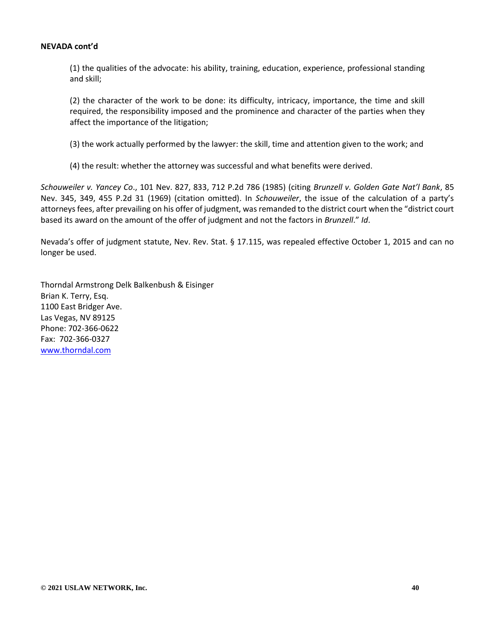### **NEVADA cont'd**

(1) the qualities of the advocate: his ability, training, education, experience, professional standing and skill;

(2) the character of the work to be done: its difficulty, intricacy, importance, the time and skill required, the responsibility imposed and the prominence and character of the parties when they affect the importance of the litigation;

(3) the work actually performed by the lawyer: the skill, time and attention given to the work; and

(4) the result: whether the attorney was successful and what benefits were derived.

*Schouweiler v. Yancey Co*., 101 Nev. 827, 833, 712 P.2d 786 (1985) (citing *Brunzell v. Golden Gate Nat'l Bank*, 85 Nev. 345, 349, 455 P.2d 31 (1969) (citation omitted). In *Schouweiler*, the issue of the calculation of a party's attorneys fees, after prevailing on his offer of judgment, was remanded to the district court when the "district court based its award on the amount of the offer of judgment and not the factors in *Brunzell*." *Id*.

Nevada's offer of judgment statute, Nev. Rev. Stat. § 17.115, was repealed effective October 1, 2015 and can no longer be used.

Thorndal Armstrong Delk Balkenbush & Eisinger Brian K. Terry, Esq. 1100 East Bridger Ave. Las Vegas, NV 89125 Phone: 702-366-0622 Fax: 702-366-0327 [www.thorndal.com](http://www.thorndal.com/)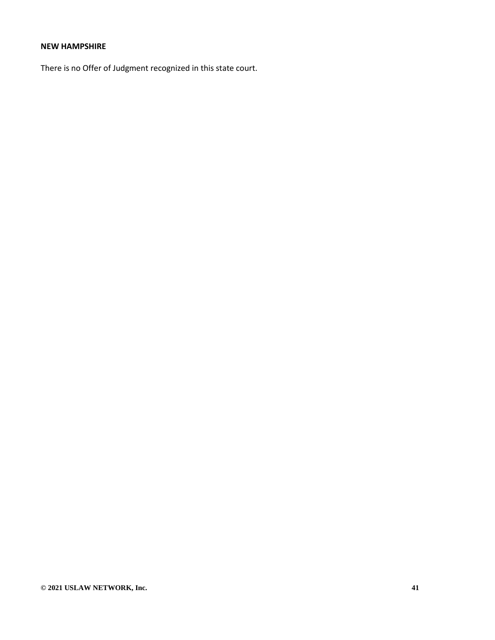# **NEW HAMPSHIRE**

There is no Offer of Judgment recognized in this state court.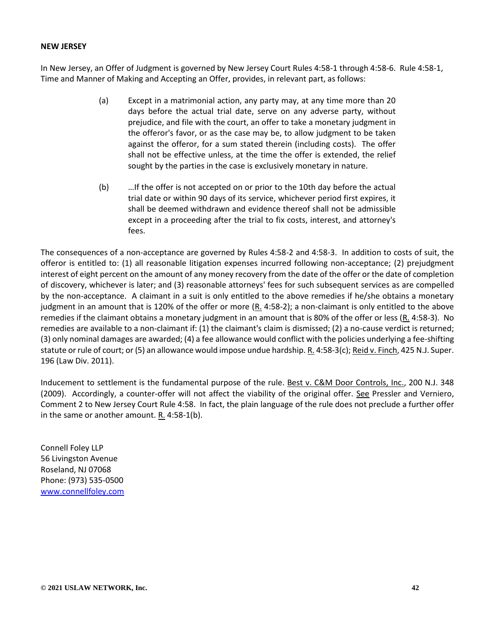## **NEW JERSEY**

In New Jersey, an Offer of Judgment is governed by New Jersey Court Rules 4:58-1 through 4:58-6. Rule 4:58-1, Time and Manner of Making and Accepting an Offer, provides, in relevant part, as follows:

- (a) Except in a matrimonial action, any party may, at any time more than 20 days before the actual trial date, serve on any adverse party, without prejudice, and file with the court, an offer to take a monetary judgment in the offeror's favor, or as the case may be, to allow judgment to be taken against the offeror, for a sum stated therein (including costs). The offer shall not be effective unless, at the time the offer is extended, the relief sought by the parties in the case is exclusively monetary in nature.
- (b) …If the offer is not accepted on or prior to the 10th day before the actual trial date or within 90 days of its service, whichever period first expires, it shall be deemed withdrawn and evidence thereof shall not be admissible except in a proceeding after the trial to fix costs, interest, and attorney's fees.

The consequences of a non-acceptance are governed by Rules 4:58-2 and 4:58-3. In addition to costs of suit, the offeror is entitled to: (1) all reasonable litigation expenses incurred following non-acceptance; (2) prejudgment interest of eight percent on the amount of any money recovery from the date of the offer or the date of completion of discovery, whichever is later; and (3) reasonable attorneys' fees for such subsequent services as are compelled by the non-acceptance. A claimant in a suit is only entitled to the above remedies if he/she obtains a monetary judgment in an amount that is 120% of the offer or more  $(R_1, 4:58-2)$ ; a non-claimant is only entitled to the above remedies if the claimant obtains a monetary judgment in an amount that is 80% of the offer or less (R. 4:58-3). No remedies are available to a non-claimant if: (1) the claimant's claim is dismissed; (2) a no-cause verdict is returned; (3) only nominal damages are awarded; (4) a fee allowance would conflict with the policies underlying a fee-shifting statute or rule of court; or (5) an allowance would impose undue hardship. R. 4:58-3(c); Reid v. Finch, 425 N.J. Super. 196 (Law Div. 2011).

Inducement to settlement is the fundamental purpose of the rule. Best v. C&M Door Controls, Inc., 200 N.J. 348 (2009). Accordingly, a counter-offer will not affect the viability of the original offer. See Pressler and Verniero, Comment 2 to New Jersey Court Rule 4:58. In fact, the plain language of the rule does not preclude a further offer in the same or another amount. R. 4:58-1(b).

Connell Foley LLP 56 Livingston Avenue Roseland, NJ 07068 Phone: (973) 535-0500 [www.connellfoley.com](http://www.connellfoley.com/)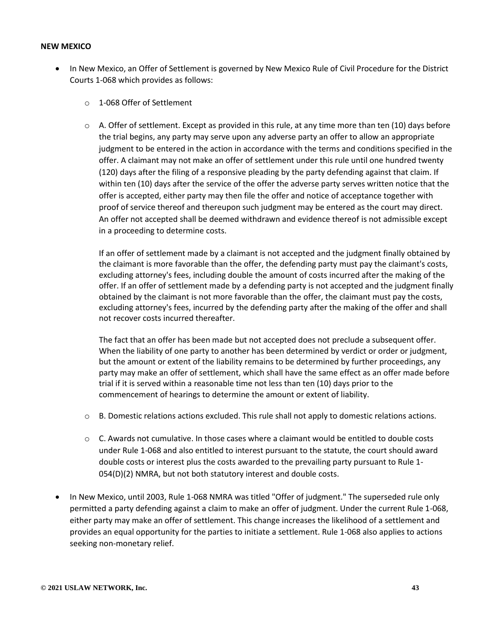### **NEW MEXICO**

- In New Mexico, an Offer of Settlement is governed by New Mexico Rule of Civil Procedure for the District Courts 1-068 which provides as follows:
	- o 1-068 Offer of Settlement
	- $\circ$  A. Offer of settlement. Except as provided in this rule, at any time more than ten (10) days before the trial begins, any party may serve upon any adverse party an offer to allow an appropriate judgment to be entered in the action in accordance with the terms and conditions specified in the offer. A claimant may not make an offer of settlement under this rule until one hundred twenty (120) days after the filing of a responsive pleading by the party defending against that claim. If within ten (10) days after the service of the offer the adverse party serves written notice that the offer is accepted, either party may then file the offer and notice of acceptance together with proof of service thereof and thereupon such judgment may be entered as the court may direct. An offer not accepted shall be deemed withdrawn and evidence thereof is not admissible except in a proceeding to determine costs.

If an offer of settlement made by a claimant is not accepted and the judgment finally obtained by the claimant is more favorable than the offer, the defending party must pay the claimant's costs, excluding attorney's fees, including double the amount of costs incurred after the making of the offer. If an offer of settlement made by a defending party is not accepted and the judgment finally obtained by the claimant is not more favorable than the offer, the claimant must pay the costs, excluding attorney's fees, incurred by the defending party after the making of the offer and shall not recover costs incurred thereafter.

The fact that an offer has been made but not accepted does not preclude a subsequent offer. When the liability of one party to another has been determined by verdict or order or judgment, but the amount or extent of the liability remains to be determined by further proceedings, any party may make an offer of settlement, which shall have the same effect as an offer made before trial if it is served within a reasonable time not less than ten (10) days prior to the commencement of hearings to determine the amount or extent of liability.

- $\circ$  B. Domestic relations actions excluded. This rule shall not apply to domestic relations actions.
- $\circ$  C. Awards not cumulative. In those cases where a claimant would be entitled to double costs under Rule 1-068 and also entitled to interest pursuant to the statute, the court should award double costs or interest plus the costs awarded to the prevailing party pursuant to Rule 1- 054(D)(2) NMRA, but not both statutory interest and double costs.
- In New Mexico, until 2003, Rule 1-068 NMRA was titled "Offer of judgment." The superseded rule only permitted a party defending against a claim to make an offer of judgment. Under the current Rule 1-068, either party may make an offer of settlement. This change increases the likelihood of a settlement and provides an equal opportunity for the parties to initiate a settlement. Rule 1-068 also applies to actions seeking non-monetary relief.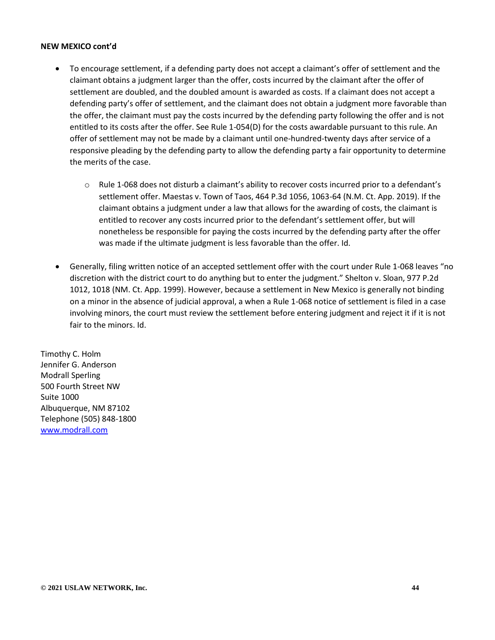### **NEW MEXICO cont'd**

- To encourage settlement, if a defending party does not accept a claimant's offer of settlement and the claimant obtains a judgment larger than the offer, costs incurred by the claimant after the offer of settlement are doubled, and the doubled amount is awarded as costs. If a claimant does not accept a defending party's offer of settlement, and the claimant does not obtain a judgment more favorable than the offer, the claimant must pay the costs incurred by the defending party following the offer and is not entitled to its costs after the offer. See Rule 1-054(D) for the costs awardable pursuant to this rule. An offer of settlement may not be made by a claimant until one-hundred-twenty days after service of a responsive pleading by the defending party to allow the defending party a fair opportunity to determine the merits of the case.
	- o Rule 1-068 does not disturb a claimant's ability to recover costs incurred prior to a defendant's settlement offer. Maestas v. Town of Taos, 464 P.3d 1056, 1063-64 (N.M. Ct. App. 2019). If the claimant obtains a judgment under a law that allows for the awarding of costs, the claimant is entitled to recover any costs incurred prior to the defendant's settlement offer, but will nonetheless be responsible for paying the costs incurred by the defending party after the offer was made if the ultimate judgment is less favorable than the offer. Id.
- Generally, filing written notice of an accepted settlement offer with the court under Rule 1-068 leaves "no discretion with the district court to do anything but to enter the judgment." Shelton v. Sloan, 977 P.2d 1012, 1018 (NM. Ct. App. 1999). However, because a settlement in New Mexico is generally not binding on a minor in the absence of judicial approval, a when a Rule 1-068 notice of settlement is filed in a case involving minors, the court must review the settlement before entering judgment and reject it if it is not fair to the minors. Id.

Timothy C. Holm Jennifer G. Anderson Modrall Sperling 500 Fourth Street NW Suite 1000 Albuquerque, NM 87102 Telephone (505) 848-1800 [www.modrall.com](http://www.modrall.com/)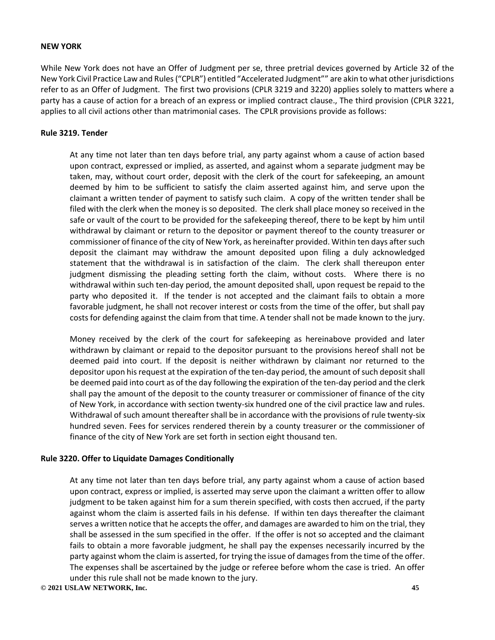### **NEW YORK**

While New York does not have an Offer of Judgment per se, three pretrial devices governed by Article 32 of the New York Civil Practice Law and Rules ("CPLR") entitled "Accelerated Judgment"" are akin to what other jurisdictions refer to as an Offer of Judgment. The first two provisions (CPLR 3219 and 3220) applies solely to matters where a party has a cause of action for a breach of an express or implied contract clause., The third provision (CPLR 3221, applies to all civil actions other than matrimonial cases. The CPLR provisions provide as follows:

# **Rule 3219. Tender**

At any time not later than ten days before trial, any party against whom a cause of action based upon contract, expressed or implied, as asserted, and against whom a separate judgment may be taken, may, without court order, deposit with the clerk of the court for safekeeping, an amount deemed by him to be sufficient to satisfy the claim asserted against him, and serve upon the claimant a written tender of payment to satisfy such claim. A copy of the written tender shall be filed with the clerk when the money is so deposited. The clerk shall place money so received in the safe or vault of the court to be provided for the safekeeping thereof, there to be kept by him until withdrawal by claimant or return to the depositor or payment thereof to the county treasurer or commissioner of finance of the city of New York, as hereinafter provided. Within ten days after such deposit the claimant may withdraw the amount deposited upon filing a duly acknowledged statement that the withdrawal is in satisfaction of the claim. The clerk shall thereupon enter judgment dismissing the pleading setting forth the claim, without costs. Where there is no withdrawal within such ten-day period, the amount deposited shall, upon request be repaid to the party who deposited it. If the tender is not accepted and the claimant fails to obtain a more favorable judgment, he shall not recover interest or costs from the time of the offer, but shall pay costs for defending against the claim from that time. A tender shall not be made known to the jury.

Money received by the clerk of the court for safekeeping as hereinabove provided and later withdrawn by claimant or repaid to the depositor pursuant to the provisions hereof shall not be deemed paid into court. If the deposit is neither withdrawn by claimant nor returned to the depositor upon his request at the expiration of the ten-day period, the amount of such deposit shall be deemed paid into court as of the day following the expiration of the ten-day period and the clerk shall pay the amount of the deposit to the county treasurer or commissioner of finance of the city of New York, in accordance with section twenty-six hundred one of the civil practice law and rules. Withdrawal of such amount thereafter shall be in accordance with the provisions of rule twenty-six hundred seven. Fees for services rendered therein by a county treasurer or the commissioner of finance of the city of New York are set forth in section eight thousand ten.

# **Rule 3220. Offer to Liquidate Damages Conditionally**

At any time not later than ten days before trial, any party against whom a cause of action based upon contract, express or implied, is asserted may serve upon the claimant a written offer to allow judgment to be taken against him for a sum therein specified, with costs then accrued, if the party against whom the claim is asserted fails in his defense. If within ten days thereafter the claimant serves a written notice that he accepts the offer, and damages are awarded to him on the trial, they shall be assessed in the sum specified in the offer. If the offer is not so accepted and the claimant fails to obtain a more favorable judgment, he shall pay the expenses necessarily incurred by the party against whom the claim is asserted, for trying the issue of damages from the time of the offer. The expenses shall be ascertained by the judge or referee before whom the case is tried. An offer under this rule shall not be made known to the jury.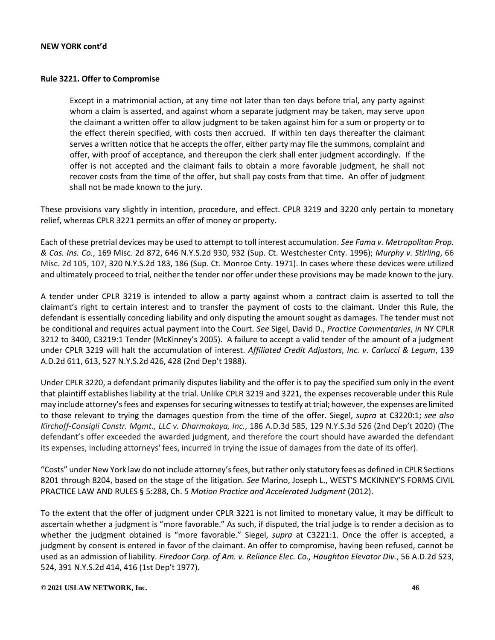### **Rule 3221. Offer to Compromise**

Except in a matrimonial action, at any time not later than ten days before trial, any party against whom a claim is asserted, and against whom a separate judgment may be taken, may serve upon the claimant a written offer to allow judgment to be taken against him for a sum or property or to the effect therein specified, with costs then accrued. If within ten days thereafter the claimant serves a written notice that he accepts the offer, either party may file the summons, complaint and offer, with proof of acceptance, and thereupon the clerk shall enter judgment accordingly. If the offer is not accepted and the claimant fails to obtain a more favorable judgment, he shall not recover costs from the time of the offer, but shall pay costs from that time. An offer of judgment shall not be made known to the jury.

These provisions vary slightly in intention, procedure, and effect. CPLR 3219 and 3220 only pertain to monetary relief, whereas CPLR 3221 permits an offer of money or property.

Each of these pretrial devices may be used to attempt to toll interest accumulation. *See Fama v. Metropolitan Prop. & Cas. Ins. Co.*, 169 Misc. 2d 872, 646 N.Y.S.2d 930, 932 (Sup. Ct. Westchester Cnty. 1996); *Murphy v. Stirling*, 66 Misc. 2d 105, 107, 320 N.Y.S.2d 183, 186 (Sup. Ct. Monroe Cnty. 1971). In cases where these devices were utilized and ultimately proceed to trial, neither the tender nor offer under these provisions may be made known to the jury.

A tender under CPLR 3219 is intended to allow a party against whom a contract claim is asserted to toll the claimant's right to certain interest and to transfer the payment of costs to the claimant. Under this Rule, the defendant is essentially conceding liability and only disputing the amount sought as damages. The tender must not be conditional and requires actual payment into the Court. *See* Sigel, David D., *Practice Commentaries*, *in* NY CPLR 3212 to 3400, C3219:1 Tender (McKinney's 2005). A failure to accept a valid tender of the amount of a judgment under CPLR 3219 will halt the accumulation of interest. *Affiliated Credit Adjustors, Inc. v. Carlucci & Legum*, 139 A.D.2d 611, 613, 527 N.Y.S.2d 426, 428 (2nd Dep't 1988).

Under CPLR 3220, a defendant primarily disputes liability and the offer is to pay the specified sum only in the event that plaintiff establishes liability at the trial. Unlike CPLR 3219 and 3221, the expenses recoverable under this Rule may include attorney's fees and expenses for securing witnesses to testify at trial; however, the expenses are limited to those relevant to trying the damages question from the time of the offer. Siegel, *supra* at C3220:1; *see also Kirchoff-Consigli Constr. Mgmt., LLC v. Dharmakaya, Inc.*, 186 A.D.3d 585, 129 N.Y.S.3d 526 (2nd Dep't 2020) (The defendant's offer exceeded the awarded judgment, and therefore the court should have awarded the defendant its expenses, including attorneys' fees, incurred in trying the issue of damages from the date of its offer).

"Costs" under New York law do not include attorney's fees, but rather only statutory fees as defined in CPLR Sections 8201 through 8204, based on the stage of the litigation. *See* Marino, Joseph L., WEST'S MCKINNEY'S FORMS CIVIL PRACTICE LAW AND RULES § 5:288, Ch. 5 *Motion Practice and Accelerated Judgment* (2012).

To the extent that the offer of judgment under CPLR 3221 is not limited to monetary value, it may be difficult to ascertain whether a judgment is "more favorable." As such, if disputed, the trial judge is to render a decision as to whether the judgment obtained is "more favorable." Siegel, *supra* at C3221:1. Once the offer is accepted, a judgment by consent is entered in favor of the claimant. An offer to compromise, having been refused, cannot be used as an admission of liability. *Firedoor Corp. of Am. v. Reliance Elec. Co., Haughton Elevator Div.*, 56 A.D.2d 523, 524, 391 N.Y.S.2d 414, 416 (1st Dep't 1977).

#### **© 2021 USLAW NETWORK, Inc. 46**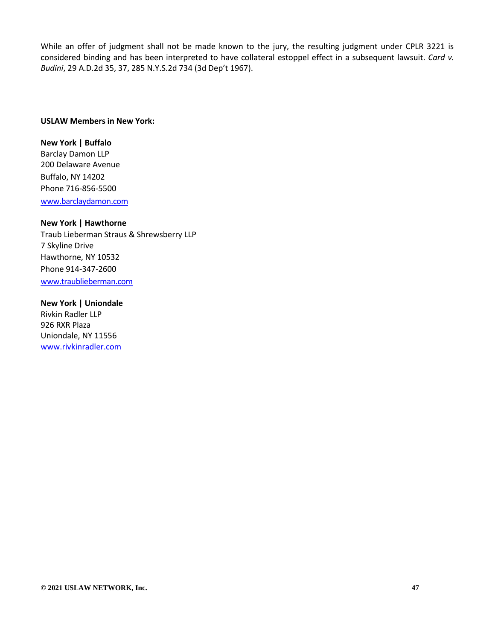While an offer of judgment shall not be made known to the jury, the resulting judgment under CPLR 3221 is considered binding and has been interpreted to have collateral estoppel effect in a subsequent lawsuit. *Card v. Budini*, 29 A.D.2d 35, 37, 285 N.Y.S.2d 734 (3d Dep't 1967).

### **USLAW Members in New York:**

**New York | Buffalo** Barclay Damon LLP 200 Delaware Avenue Buffalo, NY 14202 Phone 716-856-5500 [www.barclaydamon.com](http://www.barclaydamon.com/)

# **New York | Hawthorne**

Traub Lieberman Straus & Shrewsberry LLP 7 Skyline Drive Hawthorne, NY 10532 Phone 914-347-2600 [www.traublieberman.com](http://www.traublieberman.com/)

# **New York | Uniondale**

Rivkin Radler LLP 926 RXR Plaza Uniondale, NY 11556 [www.rivkinradler.com](http://www.rivkinradler.com/)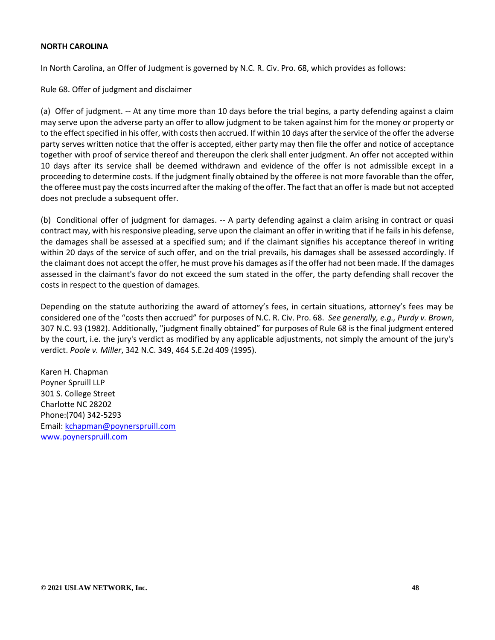## **NORTH CAROLINA**

In North Carolina, an Offer of Judgment is governed by N.C. R. Civ. Pro. 68, which provides as follows:

Rule 68. Offer of judgment and disclaimer

(a) Offer of judgment. -- At any time more than 10 days before the trial begins, a party defending against a claim may serve upon the adverse party an offer to allow judgment to be taken against him for the money or property or to the effect specified in his offer, with costs then accrued. If within 10 days after the service of the offer the adverse party serves written notice that the offer is accepted, either party may then file the offer and notice of acceptance together with proof of service thereof and thereupon the clerk shall enter judgment. An offer not accepted within 10 days after its service shall be deemed withdrawn and evidence of the offer is not admissible except in a proceeding to determine costs. If the judgment finally obtained by the offeree is not more favorable than the offer, the offeree must pay the costs incurred after the making of the offer. The fact that an offer is made but not accepted does not preclude a subsequent offer.

(b) Conditional offer of judgment for damages. -- A party defending against a claim arising in contract or quasi contract may, with his responsive pleading, serve upon the claimant an offer in writing that if he fails in his defense, the damages shall be assessed at a specified sum; and if the claimant signifies his acceptance thereof in writing within 20 days of the service of such offer, and on the trial prevails, his damages shall be assessed accordingly. If the claimant does not accept the offer, he must prove his damages as if the offer had not been made. If the damages assessed in the claimant's favor do not exceed the sum stated in the offer, the party defending shall recover the costs in respect to the question of damages.

Depending on the statute authorizing the award of attorney's fees, in certain situations, attorney's fees may be considered one of the "costs then accrued" for purposes of N.C. R. Civ. Pro. 68. *See generally, e.g., Purdy v. Brown*, 307 N.C. 93 (1982). Additionally, "judgment finally obtained" for purposes of Rule 68 is the final judgment entered by the court, i.e. the jury's verdict as modified by any applicable adjustments, not simply the amount of the jury's verdict. *Poole v. Miller*, 342 N.C. 349, 464 S.E.2d 409 (1995).

Karen H. Chapman Poyner Spruill LLP 301 S. College Street Charlotte NC 28202 Phone:(704) 342-5293 Email: [kchapman@poynerspruill.com](mailto:kchapman@poynerspruill.com) [www.poynerspruill.com](http://www.poynerspruill.com/)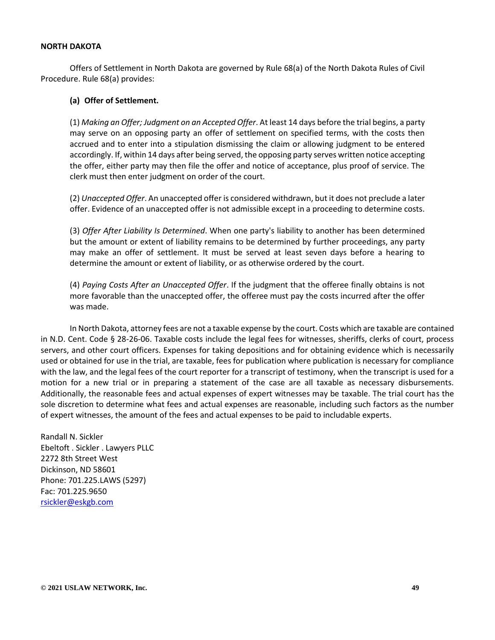### **NORTH DAKOTA**

Offers of Settlement in North Dakota are governed by Rule 68(a) of the North Dakota Rules of Civil Procedure. Rule 68(a) provides:

### **(a) Offer of Settlement.**

(1) *Making an Offer; Judgment on an Accepted Offer*. At least 14 days before the trial begins, a party may serve on an opposing party an offer of settlement on specified terms, with the costs then accrued and to enter into a stipulation dismissing the claim or allowing judgment to be entered accordingly. If, within 14 days after being served, the opposing party serves written notice accepting the offer, either party may then file the offer and notice of acceptance, plus proof of service. The clerk must then enter judgment on order of the court.

(2) *Unaccepted Offer*. An unaccepted offer is considered withdrawn, but it does not preclude a later offer. Evidence of an unaccepted offer is not admissible except in a proceeding to determine costs.

(3) *Offer After Liability Is Determined*. When one party's liability to another has been determined but the amount or extent of liability remains to be determined by further proceedings, any party may make an offer of settlement. It must be served at least seven days before a hearing to determine the amount or extent of liability, or as otherwise ordered by the court.

(4) *Paying Costs After an Unaccepted Offer*. If the judgment that the offeree finally obtains is not more favorable than the unaccepted offer, the offeree must pay the costs incurred after the offer was made.

In North Dakota, attorney fees are not a taxable expense by the court. Costs which are taxable are contained in N.D. Cent. Code § 28-26-06. Taxable costs include the legal fees for witnesses, sheriffs, clerks of court, process servers, and other court officers. Expenses for taking depositions and for obtaining evidence which is necessarily used or obtained for use in the trial, are taxable, fees for publication where publication is necessary for compliance with the law, and the legal fees of the court reporter for a transcript of testimony, when the transcript is used for a motion for a new trial or in preparing a statement of the case are all taxable as necessary disbursements. Additionally, the reasonable fees and actual expenses of expert witnesses may be taxable. The trial court has the sole discretion to determine what fees and actual expenses are reasonable, including such factors as the number of expert witnesses, the amount of the fees and actual expenses to be paid to includable experts.

Randall N. Sickler Ebeltoft . Sickler . Lawyers PLLC 2272 8th Street West Dickinson, ND 58601 Phone: 701.225.LAWS (5297) Fac: 701.225.9650 [rsickler@eskgb.com](mailto:rsickler@eskgb.com)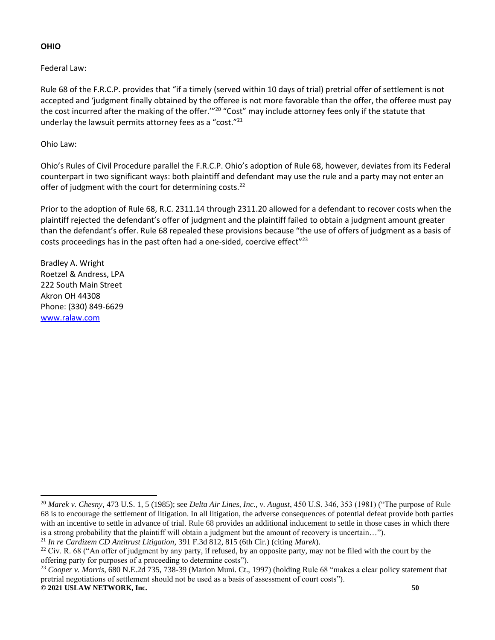# **OHIO**

Federal Law:

Rule 68 of the F.R.C.P. provides that "if a timely (served within 10 days of trial) pretrial offer of settlement is not accepted and 'judgment finally obtained by the offeree is not more favorable than the offer, the offeree must pay the cost incurred after the making of the offer."<sup>20</sup> "Cost" may include attorney fees only if the statute that underlay the lawsuit permits attorney fees as a "cost."<sup>21</sup>

Ohio Law:

Ohio's Rules of Civil Procedure parallel the F.R.C.P. Ohio's adoption of Rule 68, however, deviates from its Federal counterpart in two significant ways: both plaintiff and defendant may use the rule and a party may not enter an offer of judgment with the court for determining costs.<sup>22</sup>

Prior to the adoption of Rule 68, R.C. 2311.14 through 2311.20 allowed for a defendant to recover costs when the plaintiff rejected the defendant's offer of judgment and the plaintiff failed to obtain a judgment amount greater than the defendant's offer. Rule 68 repealed these provisions because "the use of offers of judgment as a basis of costs proceedings has in the past often had a one-sided, coercive effect"<sup>23</sup>

Bradley A. Wright Roetzel & Andress, LPA 222 South Main Street Akron OH 44308 Phone: (330) 849-6629 [www.ralaw.com](http://www.ralaw.com/)

<sup>20</sup> *Marek v. Chesny*, 473 U.S. 1, 5 (1985); see *Delta Air Lines, Inc., v. August*, 450 U.S. 346, 353 (1981) ("The purpose of Rule 68 is to encourage the settlement of litigation. In all litigation, the adverse consequences of potential defeat provide both parties with an incentive to settle in advance of trial. Rule 68 provides an additional inducement to settle in those cases in which there is a strong probability that the plaintiff will obtain a judgment but the amount of recovery is uncertain…").

<sup>21</sup> *In re Cardizem CD Antitrust Litigation*, 391 F.3d 812, 815 (6th Cir.) (citing *Marek*).

<sup>&</sup>lt;sup>22</sup> Civ. R. 68 ("An offer of judgment by any party, if refused, by an opposite party, may not be filed with the court by the offering party for purposes of a proceeding to determine costs").

**<sup>© 2021</sup> USLAW NETWORK, Inc. 50** <sup>23</sup> *Cooper v. Morris*, 680 N.E.2d 735, 738-39 (Marion Muni. Ct., 1997) (holding Rule 68 "makes a clear policy statement that pretrial negotiations of settlement should not be used as a basis of assessment of court costs").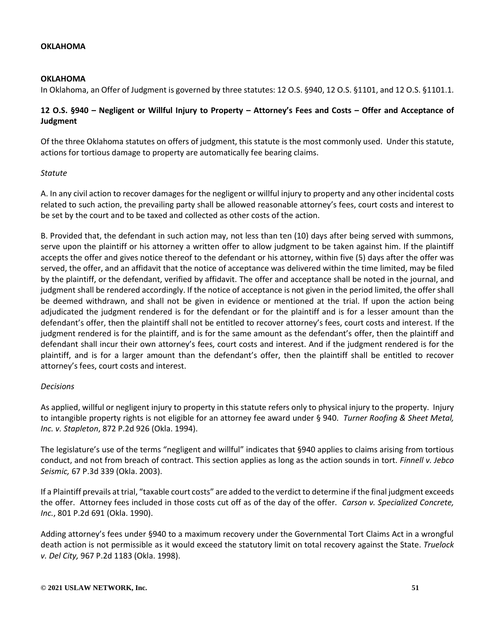# **OKLAHOMA**

In Oklahoma, an Offer of Judgment is governed by three statutes: 12 O.S. §940, 12 O.S. §1101, and 12 O.S. §1101.1.

# **12 O.S. §940 – Negligent or Willful Injury to Property – Attorney's Fees and Costs – Offer and Acceptance of Judgment**

Of the three Oklahoma statutes on offers of judgment, this statute is the most commonly used. Under this statute, actions for tortious damage to property are automatically fee bearing claims.

# *Statute*

A. In any civil action to recover damages for the negligent or willful injury to property and any other incidental costs related to such action, the prevailing party shall be allowed reasonable attorney's fees, court costs and interest to be set by the court and to be taxed and collected as other costs of the action.

B. Provided that, the defendant in such action may, not less than ten (10) days after being served with summons, serve upon the plaintiff or his attorney a written offer to allow judgment to be taken against him. If the plaintiff accepts the offer and gives notice thereof to the defendant or his attorney, within five (5) days after the offer was served, the offer, and an affidavit that the notice of acceptance was delivered within the time limited, may be filed by the plaintiff, or the defendant, verified by affidavit. The offer and acceptance shall be noted in the journal, and judgment shall be rendered accordingly. If the notice of acceptance is not given in the period limited, the offer shall be deemed withdrawn, and shall not be given in evidence or mentioned at the trial. If upon the action being adjudicated the judgment rendered is for the defendant or for the plaintiff and is for a lesser amount than the defendant's offer, then the plaintiff shall not be entitled to recover attorney's fees, court costs and interest. If the judgment rendered is for the plaintiff, and is for the same amount as the defendant's offer, then the plaintiff and defendant shall incur their own attorney's fees, court costs and interest. And if the judgment rendered is for the plaintiff, and is for a larger amount than the defendant's offer, then the plaintiff shall be entitled to recover attorney's fees, court costs and interest.

# *Decisions*

As applied, willful or negligent injury to property in this statute refers only to physical injury to the property. Injury to intangible property rights is not eligible for an attorney fee award under § 940. *Turner Roofing & Sheet Metal, Inc. v. Stapleton*, 872 P.2d 926 (Okla. 1994).

The legislature's use of the terms "negligent and willful" indicates that §940 applies to claims arising from tortious conduct, and not from breach of contract. This section applies as long as the action sounds in tort. *Finnell v. Jebco Seismic,* 67 P.3d 339 (Okla. 2003).

If a Plaintiff prevails at trial, "taxable court costs" are added to the verdict to determine if the final judgment exceeds the offer. Attorney fees included in those costs cut off as of the day of the offer. *Carson v. Specialized Concrete, Inc.*, 801 P.2d 691 (Okla. 1990).

Adding attorney's fees under §940 to a maximum recovery under the Governmental Tort Claims Act in a wrongful death action is not permissible as it would exceed the statutory limit on total recovery against the State. *Truelock v. Del City,* 967 P.2d 1183 (Okla. 1998).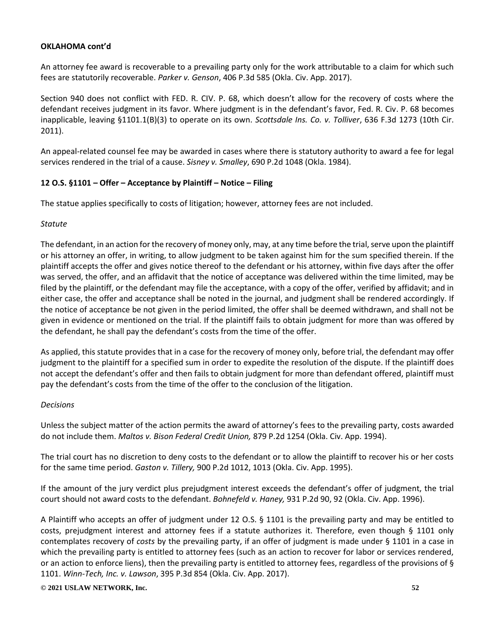An attorney fee award is recoverable to a prevailing party only for the work attributable to a claim for which such fees are statutorily recoverable. *Parker v. Genson*, 406 P.3d 585 (Okla. Civ. App. 2017).

Section 940 does not conflict with FED. R. CIV. P. 68, which doesn't allow for the recovery of costs where the defendant receives judgment in its favor. Where judgment is in the defendant's favor, Fed. R. Civ. P. 68 becomes inapplicable, leaving §1101.1(B)(3) to operate on its own. *Scottsdale Ins. Co. v. Tolliver*, 636 F.3d 1273 (10th Cir. 2011).

An appeal-related counsel fee may be awarded in cases where there is statutory authority to award a fee for legal services rendered in the trial of a cause. *Sisney v. Smalley*, 690 P.2d 1048 (Okla. 1984).

# **12 O.S. §1101 – Offer – Acceptance by Plaintiff – Notice – Filing**

The statue applies specifically to costs of litigation; however, attorney fees are not included.

# *Statute*

The defendant, in an action for the recovery of money only, may, at any time before the trial, serve upon the plaintiff or his attorney an offer, in writing, to allow judgment to be taken against him for the sum specified therein. If the plaintiff accepts the offer and gives notice thereof to the defendant or his attorney, within five days after the offer was served, the offer, and an affidavit that the notice of acceptance was delivered within the time limited, may be filed by the plaintiff, or the defendant may file the acceptance, with a copy of the offer, verified by affidavit; and in either case, the offer and acceptance shall be noted in the journal, and judgment shall be rendered accordingly. If the notice of acceptance be not given in the period limited, the offer shall be deemed withdrawn, and shall not be given in evidence or mentioned on the trial. If the plaintiff fails to obtain judgment for more than was offered by the defendant, he shall pay the defendant's costs from the time of the offer.

As applied, this statute provides that in a case for the recovery of money only, before trial, the defendant may offer judgment to the plaintiff for a specified sum in order to expedite the resolution of the dispute. If the plaintiff does not accept the defendant's offer and then fails to obtain judgment for more than defendant offered, plaintiff must pay the defendant's costs from the time of the offer to the conclusion of the litigation.

# *Decisions*

Unless the subject matter of the action permits the award of attorney's fees to the prevailing party, costs awarded do not include them. *Maltos v. Bison Federal Credit Union,* 879 P.2d 1254 (Okla. Civ. App. 1994).

The trial court has no discretion to deny costs to the defendant or to allow the plaintiff to recover his or her costs for the same time period. *Gaston v. Tillery,* 900 P.2d 1012, 1013 (Okla. Civ. App. 1995).

If the amount of the jury verdict plus prejudgment interest exceeds the defendant's offer of judgment, the trial court should not award costs to the defendant. *Bohnefeld v. Haney,* 931 P.2d 90, 92 (Okla. Civ. App. 1996).

A Plaintiff who accepts an offer of judgment under 12 O.S. § 1101 is the prevailing party and may be entitled to costs, prejudgment interest and attorney fees if a statute authorizes it. Therefore, even though § 1101 only contemplates recovery of *costs* by the prevailing party, if an offer of judgment is made under § 1101 in a case in which the prevailing party is entitled to attorney fees (such as an action to recover for labor or services rendered, or an action to enforce liens), then the prevailing party is entitled to attorney fees, regardless of the provisions of § 1101. *Winn-Tech, Inc. v. Lawson*, 395 P.3d 854 (Okla. Civ. App. 2017).

### **© 2021 USLAW NETWORK, Inc. 52**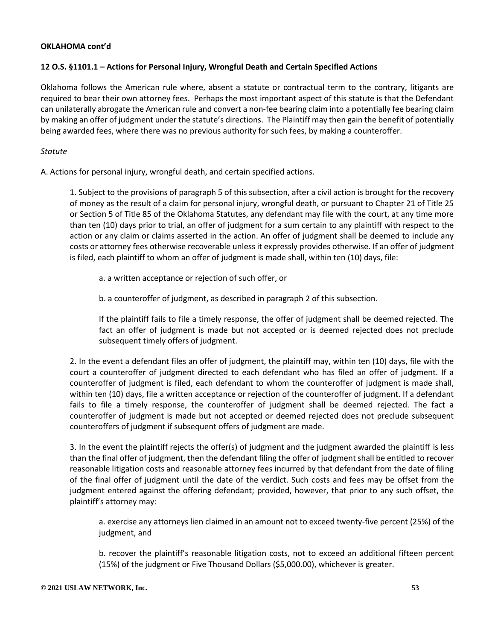# **12 O.S. §1101.1 – Actions for Personal Injury, Wrongful Death and Certain Specified Actions**

Oklahoma follows the American rule where, absent a statute or contractual term to the contrary, litigants are required to bear their own attorney fees. Perhaps the most important aspect of this statute is that the Defendant can unilaterally abrogate the American rule and convert a non-fee bearing claim into a potentially fee bearing claim by making an offer of judgment under the statute's directions. The Plaintiff may then gain the benefit of potentially being awarded fees, where there was no previous authority for such fees, by making a counteroffer.

# *Statute*

A. Actions for personal injury, wrongful death, and certain specified actions.

1. Subject to the provisions of paragraph 5 of this subsection, after a civil action is brought for the recovery of money as the result of a claim for personal injury, wrongful death, or pursuant to Chapter 21 of Title 25 or Section 5 of Title 85 of the Oklahoma Statutes, any defendant may file with the court, at any time more than ten (10) days prior to trial, an offer of judgment for a sum certain to any plaintiff with respect to the action or any claim or claims asserted in the action. An offer of judgment shall be deemed to include any costs or attorney fees otherwise recoverable unless it expressly provides otherwise. If an offer of judgment is filed, each plaintiff to whom an offer of judgment is made shall, within ten (10) days, file:

a. a written acceptance or rejection of such offer, or

b. a counteroffer of judgment, as described in paragraph 2 of this subsection.

If the plaintiff fails to file a timely response, the offer of judgment shall be deemed rejected. The fact an offer of judgment is made but not accepted or is deemed rejected does not preclude subsequent timely offers of judgment.

2. In the event a defendant files an offer of judgment, the plaintiff may, within ten (10) days, file with the court a counteroffer of judgment directed to each defendant who has filed an offer of judgment. If a counteroffer of judgment is filed, each defendant to whom the counteroffer of judgment is made shall, within ten (10) days, file a written acceptance or rejection of the counteroffer of judgment. If a defendant fails to file a timely response, the counteroffer of judgment shall be deemed rejected. The fact a counteroffer of judgment is made but not accepted or deemed rejected does not preclude subsequent counteroffers of judgment if subsequent offers of judgment are made.

3. In the event the plaintiff rejects the offer(s) of judgment and the judgment awarded the plaintiff is less than the final offer of judgment, then the defendant filing the offer of judgment shall be entitled to recover reasonable litigation costs and reasonable attorney fees incurred by that defendant from the date of filing of the final offer of judgment until the date of the verdict. Such costs and fees may be offset from the judgment entered against the offering defendant; provided, however, that prior to any such offset, the plaintiff's attorney may:

a. exercise any attorneys lien claimed in an amount not to exceed twenty-five percent (25%) of the judgment, and

b. recover the plaintiff's reasonable litigation costs, not to exceed an additional fifteen percent (15%) of the judgment or Five Thousand Dollars (\$5,000.00), whichever is greater.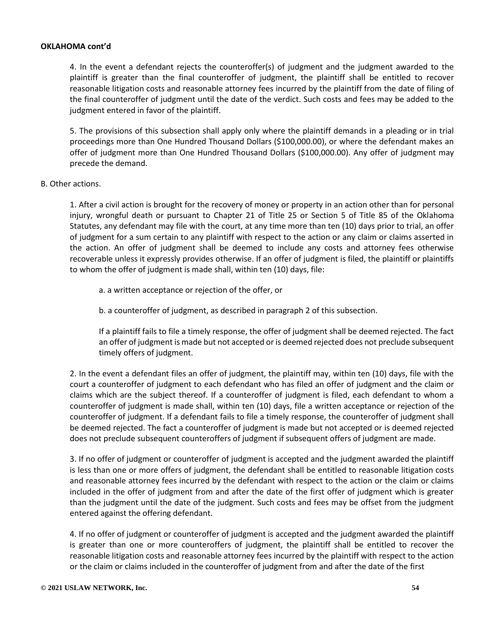4. In the event a defendant rejects the counteroffer(s) of judgment and the judgment awarded to the plaintiff is greater than the final counteroffer of judgment, the plaintiff shall be entitled to recover reasonable litigation costs and reasonable attorney fees incurred by the plaintiff from the date of filing of the final counteroffer of judgment until the date of the verdict. Such costs and fees may be added to the judgment entered in favor of the plaintiff.

5. The provisions of this subsection shall apply only where the plaintiff demands in a pleading or in trial proceedings more than One Hundred Thousand Dollars (\$100,000.00), or where the defendant makes an offer of judgment more than One Hundred Thousand Dollars (\$100,000.00). Any offer of judgment may precede the demand.

# B. Other actions.

1. After a civil action is brought for the recovery of money or property in an action other than for personal injury, wrongful death or pursuant to Chapter 21 of Title 25 or Section 5 of Title 85 of the Oklahoma Statutes, any defendant may file with the court, at any time more than ten (10) days prior to trial, an offer of judgment for a sum certain to any plaintiff with respect to the action or any claim or claims asserted in the action. An offer of judgment shall be deemed to include any costs and attorney fees otherwise recoverable unless it expressly provides otherwise. If an offer of judgment is filed, the plaintiff or plaintiffs to whom the offer of judgment is made shall, within ten (10) days, file:

a. a written acceptance or rejection of the offer, or

b. a counteroffer of judgment, as described in paragraph 2 of this subsection.

If a plaintiff fails to file a timely response, the offer of judgment shall be deemed rejected. The fact an offer of judgment is made but not accepted or is deemed rejected does not preclude subsequent timely offers of judgment.

2. In the event a defendant files an offer of judgment, the plaintiff may, within ten (10) days, file with the court a counteroffer of judgment to each defendant who has filed an offer of judgment and the claim or claims which are the subject thereof. If a counteroffer of judgment is filed, each defendant to whom a counteroffer of judgment is made shall, within ten (10) days, file a written acceptance or rejection of the counteroffer of judgment. If a defendant fails to file a timely response, the counteroffer of judgment shall be deemed rejected. The fact a counteroffer of judgment is made but not accepted or is deemed rejected does not preclude subsequent counteroffers of judgment if subsequent offers of judgment are made.

3. If no offer of judgment or counteroffer of judgment is accepted and the judgment awarded the plaintiff is less than one or more offers of judgment, the defendant shall be entitled to reasonable litigation costs and reasonable attorney fees incurred by the defendant with respect to the action or the claim or claims included in the offer of judgment from and after the date of the first offer of judgment which is greater than the judgment until the date of the judgment. Such costs and fees may be offset from the judgment entered against the offering defendant.

4. If no offer of judgment or counteroffer of judgment is accepted and the judgment awarded the plaintiff is greater than one or more counteroffers of judgment, the plaintiff shall be entitled to recover the reasonable litigation costs and reasonable attorney fees incurred by the plaintiff with respect to the action or the claim or claims included in the counteroffer of judgment from and after the date of the first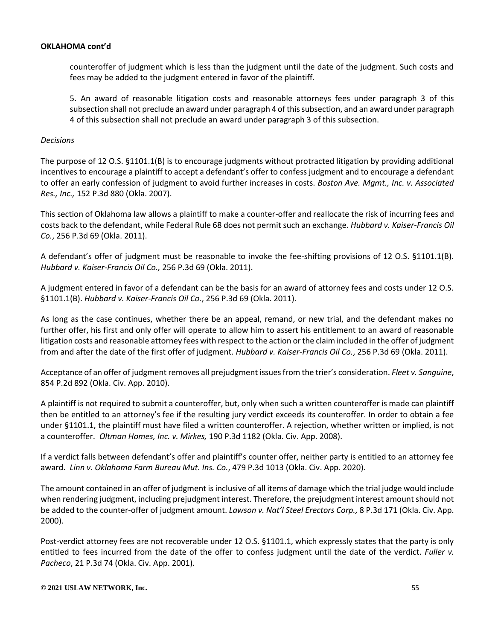counteroffer of judgment which is less than the judgment until the date of the judgment. Such costs and fees may be added to the judgment entered in favor of the plaintiff.

5. An award of reasonable litigation costs and reasonable attorneys fees under paragraph 3 of this subsection shall not preclude an award under paragraph 4 of this subsection, and an award under paragraph 4 of this subsection shall not preclude an award under paragraph 3 of this subsection.

## *Decisions*

The purpose of 12 O.S. §1101.1(B) is to encourage judgments without protracted litigation by providing additional incentives to encourage a plaintiff to accept a defendant's offer to confess judgment and to encourage a defendant to offer an early confession of judgment to avoid further increases in costs. *Boston Ave. Mgmt., Inc. v. Associated Res., Inc.,* 152 P.3d 880 (Okla. 2007).

This section of Oklahoma law allows a plaintiff to make a counter-offer and reallocate the risk of incurring fees and costs back to the defendant, while Federal Rule 68 does not permit such an exchange. *Hubbard v. Kaiser-Francis Oil Co.*, 256 P.3d 69 (Okla. 2011).

A defendant's offer of judgment must be reasonable to invoke the fee-shifting provisions of 12 O.S. §1101.1(B). *Hubbard v. Kaiser-Francis Oil Co.,* 256 P.3d 69 (Okla. 2011).

A judgment entered in favor of a defendant can be the basis for an award of attorney fees and costs under 12 O.S. §1101.1(B). *Hubbard v. Kaiser-Francis Oil Co.*, 256 P.3d 69 (Okla. 2011).

As long as the case continues, whether there be an appeal, remand, or new trial, and the defendant makes no further offer, his first and only offer will operate to allow him to assert his entitlement to an award of reasonable litigation costs and reasonable attorney fees with respect to the action or the claim included in the offer of judgment from and after the date of the first offer of judgment. *Hubbard v. Kaiser-Francis Oil Co.*, 256 P.3d 69 (Okla. 2011).

Acceptance of an offer of judgment removes all prejudgment issues from the trier's consideration. *Fleet v. Sanguine*, 854 P.2d 892 (Okla. Civ. App. 2010).

A plaintiff is not required to submit a counteroffer, but, only when such a written counteroffer is made can plaintiff then be entitled to an attorney's fee if the resulting jury verdict exceeds its counteroffer. In order to obtain a fee under §1101.1, the plaintiff must have filed a written counteroffer. A rejection, whether written or implied, is not a counteroffer. *Oltman Homes, Inc. v. Mirkes,* 190 P.3d 1182 (Okla. Civ. App. 2008).

If a verdict falls between defendant's offer and plaintiff's counter offer, neither party is entitled to an attorney fee award. *Linn v. Oklahoma Farm Bureau Mut. Ins. Co.*, 479 P.3d 1013 (Okla. Civ. App. 2020).

The amount contained in an offer of judgment is inclusive of all items of damage which the trial judge would include when rendering judgment, including prejudgment interest. Therefore, the prejudgment interest amount should not be added to the counter-offer of judgment amount. *Lawson v. Nat'l Steel Erectors Corp.,* 8 P.3d 171 (Okla. Civ. App. 2000).

Post-verdict attorney fees are not recoverable under 12 O.S. §1101.1, which expressly states that the party is only entitled to fees incurred from the date of the offer to confess judgment until the date of the verdict. *Fuller v. Pacheco*, 21 P.3d 74 (Okla. Civ. App. 2001).

#### **© 2021 USLAW NETWORK, Inc. 55**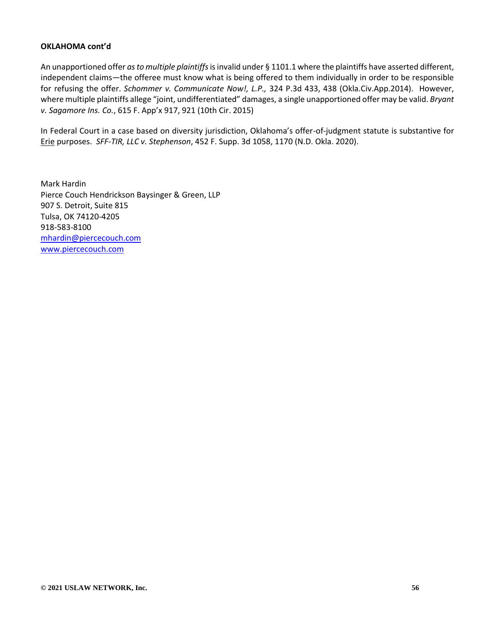An unapportioned offer *as to multiple plaintiffs* is invalid under § 1101.1 where the plaintiffs have asserted different, independent claims—the offeree must know what is being offered to them individually in order to be responsible for refusing the offer. *Schommer v. Communicate Now!, L.P.,* 324 P.3d 433, 438 (Okla.Civ.App.2014). However, where multiple plaintiffs allege "joint, undifferentiated" damages, a single unapportioned offer may be valid. *Bryant v. Sagamore Ins. Co.*, 615 F. App'x 917, 921 (10th Cir. 2015)

In Federal Court in a case based on diversity jurisdiction, Oklahoma's offer-of-judgment statute is substantive for Erie purposes. *SFF-TIR, LLC v. Stephenson*, 452 F. Supp. 3d 1058, 1170 (N.D. Okla. 2020).

Mark Hardin Pierce Couch Hendrickson Baysinger & Green, LLP 907 S. Detroit, Suite 815 Tulsa, OK 74120-4205 918-583-8100 [mhardin@piercecouch.com](mailto:mhardin@piercecouch.com) [www.piercecouch.com](http://www.piercecouch.com/)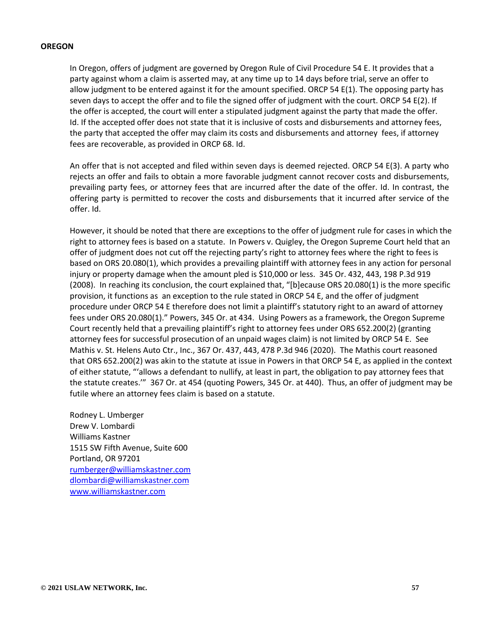#### **OREGON**

In Oregon, offers of judgment are governed by Oregon Rule of Civil Procedure 54 E. It provides that a party against whom a claim is asserted may, at any time up to 14 days before trial, serve an offer to allow judgment to be entered against it for the amount specified. ORCP 54 E(1). The opposing party has seven days to accept the offer and to file the signed offer of judgment with the court. ORCP 54 E(2). If the offer is accepted, the court will enter a stipulated judgment against the party that made the offer. Id. If the accepted offer does not state that it is inclusive of costs and disbursements and attorney fees, the party that accepted the offer may claim its costs and disbursements and attorney fees, if attorney fees are recoverable, as provided in ORCP 68. Id.

An offer that is not accepted and filed within seven days is deemed rejected. ORCP 54 E(3). A party who rejects an offer and fails to obtain a more favorable judgment cannot recover costs and disbursements, prevailing party fees, or attorney fees that are incurred after the date of the offer. Id. In contrast, the offering party is permitted to recover the costs and disbursements that it incurred after service of the offer. Id.

However, it should be noted that there are exceptions to the offer of judgment rule for cases in which the right to attorney fees is based on a statute. In Powers v. Quigley, the Oregon Supreme Court held that an offer of judgment does not cut off the rejecting party's right to attorney fees where the right to fees is based on ORS 20.080(1), which provides a prevailing plaintiff with attorney fees in any action for personal injury or property damage when the amount pled is \$10,000 or less. 345 Or. 432, 443, 198 P.3d 919 (2008). In reaching its conclusion, the court explained that, "[b]ecause ORS 20.080(1) is the more specific provision, it functions as an exception to the rule stated in ORCP 54 E, and the offer of judgment procedure under ORCP 54 E therefore does not limit a plaintiff's statutory right to an award of attorney fees under ORS 20.080(1)." Powers, 345 Or. at 434. Using Powers as a framework, the Oregon Supreme Court recently held that a prevailing plaintiff's right to attorney fees under ORS 652.200(2) (granting attorney fees for successful prosecution of an unpaid wages claim) is not limited by ORCP 54 E. See Mathis v. St. Helens Auto Ctr., Inc., 367 Or. 437, 443, 478 P.3d 946 (2020). The Mathis court reasoned that ORS 652.200(2) was akin to the statute at issue in Powers in that ORCP 54 E, as applied in the context of either statute, "'allows a defendant to nullify, at least in part, the obligation to pay attorney fees that the statute creates.'" 367 Or. at 454 (quoting Powers, 345 Or. at 440). Thus, an offer of judgment may be futile where an attorney fees claim is based on a statute.

Rodney L. Umberger Drew V. Lombardi Williams Kastner 1515 SW Fifth Avenue, Suite 600 Portland, OR 97201 [rumberger@williamskastner.com](mailto:rumberger@williamskastner.com) [dlombardi@williamskastner.com](mailto:dlombardi@williamskastner.com) [www.williamskastner.com](http://www.williamskastner.com/)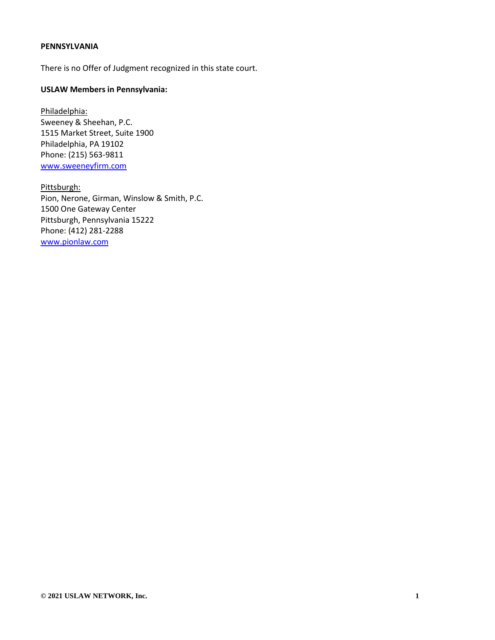# **PENNSYLVANIA**

There is no Offer of Judgment recognized in this state court.

## **USLAW Members in Pennsylvania:**

Philadelphia: Sweeney & Sheehan, P.C. 1515 Market Street, Suite 1900 Philadelphia, PA 19102 Phone: (215) 563-9811 [www.sweeneyfirm.com](http://www.sweeneyfirm.com/)

Pittsburgh: Pion, Nerone, Girman, Winslow & Smith, P.C. 1500 One Gateway Center Pittsburgh, Pennsylvania 15222 Phone: (412) 281-2288 [www.pionlaw.com](http://www.pionlaw.com/)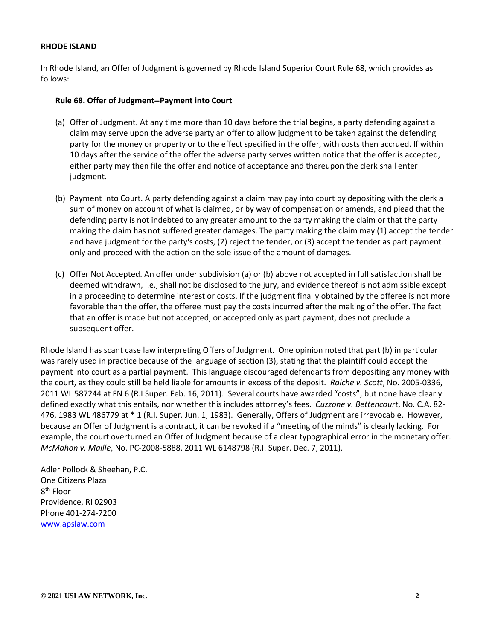## **RHODE ISLAND**

In Rhode Island, an Offer of Judgment is governed by Rhode Island Superior Court Rule 68, which provides as follows:

## **Rule 68. Offer of Judgment--Payment into Court**

- (a) Offer of Judgment. At any time more than 10 days before the trial begins, a party defending against a claim may serve upon the adverse party an offer to allow judgment to be taken against the defending party for the money or property or to the effect specified in the offer, with costs then accrued. If within 10 days after the service of the offer the adverse party serves written notice that the offer is accepted, either party may then file the offer and notice of acceptance and thereupon the clerk shall enter judgment.
- (b) Payment Into Court. A party defending against a claim may pay into court by depositing with the clerk a sum of money on account of what is claimed, or by way of compensation or amends, and plead that the defending party is not indebted to any greater amount to the party making the claim or that the party making the claim has not suffered greater damages. The party making the claim may (1) accept the tender and have judgment for the party's costs, (2) reject the tender, or (3) accept the tender as part payment only and proceed with the action on the sole issue of the amount of damages.
- (c) Offer Not Accepted. An offer under subdivision (a) or (b) above not accepted in full satisfaction shall be deemed withdrawn, i.e., shall not be disclosed to the jury, and evidence thereof is not admissible except in a proceeding to determine interest or costs. If the judgment finally obtained by the offeree is not more favorable than the offer, the offeree must pay the costs incurred after the making of the offer. The fact that an offer is made but not accepted, or accepted only as part payment, does not preclude a subsequent offer.

Rhode Island has scant case law interpreting Offers of Judgment. One opinion noted that part (b) in particular was rarely used in practice because of the language of section (3), stating that the plaintiff could accept the payment into court as a partial payment. This language discouraged defendants from depositing any money with the court, as they could still be held liable for amounts in excess of the deposit. *Raiche v. Scott*, No. 2005-0336, 2011 WL 587244 at FN 6 (R.I Super. Feb. 16, 2011). Several courts have awarded "costs", but none have clearly defined exactly what this entails, nor whether this includes attorney's fees. *Cuzzone v. Bettencourt*, No. C.A. 82- 476, 1983 WL 486779 at \* 1 (R.I. Super. Jun. 1, 1983). Generally, Offers of Judgment are irrevocable. However, because an Offer of Judgment is a contract, it can be revoked if a "meeting of the minds" is clearly lacking. For example, the court overturned an Offer of Judgment because of a clear typographical error in the monetary offer. *McMahon v. Maille*, No. PC-2008-5888, 2011 WL 6148798 (R.I. Super. Dec. 7, 2011).

Adler Pollock & Sheehan, P.C. One Citizens Plaza 8<sup>th</sup> Floor Providence, RI 02903 Phone 401-274-7200 [www.apslaw.com](http://www.apslaw.com/)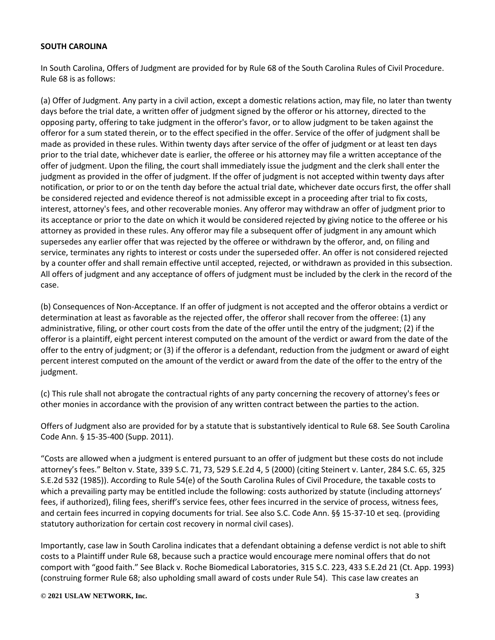# **SOUTH CAROLINA**

In South Carolina, Offers of Judgment are provided for by Rule 68 of the South Carolina Rules of Civil Procedure. Rule 68 is as follows:

(a) Offer of Judgment. Any party in a civil action, except a domestic relations action, may file, no later than twenty days before the trial date, a written offer of judgment signed by the offeror or his attorney, directed to the opposing party, offering to take judgment in the offeror's favor, or to allow judgment to be taken against the offeror for a sum stated therein, or to the effect specified in the offer. Service of the offer of judgment shall be made as provided in these rules. Within twenty days after service of the offer of judgment or at least ten days prior to the trial date, whichever date is earlier, the offeree or his attorney may file a written acceptance of the offer of judgment. Upon the filing, the court shall immediately issue the judgment and the clerk shall enter the judgment as provided in the offer of judgment. If the offer of judgment is not accepted within twenty days after notification, or prior to or on the tenth day before the actual trial date, whichever date occurs first, the offer shall be considered rejected and evidence thereof is not admissible except in a proceeding after trial to fix costs, interest, attorney's fees, and other recoverable monies. Any offeror may withdraw an offer of judgment prior to its acceptance or prior to the date on which it would be considered rejected by giving notice to the offeree or his attorney as provided in these rules. Any offeror may file a subsequent offer of judgment in any amount which supersedes any earlier offer that was rejected by the offeree or withdrawn by the offeror, and, on filing and service, terminates any rights to interest or costs under the superseded offer. An offer is not considered rejected by a counter offer and shall remain effective until accepted, rejected, or withdrawn as provided in this subsection. All offers of judgment and any acceptance of offers of judgment must be included by the clerk in the record of the case.

(b) Consequences of Non-Acceptance. If an offer of judgment is not accepted and the offeror obtains a verdict or determination at least as favorable as the rejected offer, the offeror shall recover from the offeree: (1) any administrative, filing, or other court costs from the date of the offer until the entry of the judgment; (2) if the offeror is a plaintiff, eight percent interest computed on the amount of the verdict or award from the date of the offer to the entry of judgment; or (3) if the offeror is a defendant, reduction from the judgment or award of eight percent interest computed on the amount of the verdict or award from the date of the offer to the entry of the judgment.

(c) This rule shall not abrogate the contractual rights of any party concerning the recovery of attorney's fees or other monies in accordance with the provision of any written contract between the parties to the action.

Offers of Judgment also are provided for by a statute that is substantively identical to Rule 68. See South Carolina Code Ann. § 15-35-400 (Supp. 2011).

"Costs are allowed when a judgment is entered pursuant to an offer of judgment but these costs do not include attorney's fees." Belton v. State, 339 S.C. 71, 73, 529 S.E.2d 4, 5 (2000) (citing Steinert v. Lanter, 284 S.C. 65, 325 S.E.2d 532 (1985)). According to Rule 54(e) of the South Carolina Rules of Civil Procedure, the taxable costs to which a prevailing party may be entitled include the following: costs authorized by statute (including attorneys' fees, if authorized), filing fees, sheriff's service fees, other fees incurred in the service of process, witness fees, and certain fees incurred in copying documents for trial. See also S.C. Code Ann. §§ 15-37-10 et seq. (providing statutory authorization for certain cost recovery in normal civil cases).

Importantly, case law in South Carolina indicates that a defendant obtaining a defense verdict is not able to shift costs to a Plaintiff under Rule 68, because such a practice would encourage mere nominal offers that do not comport with "good faith." See Black v. Roche Biomedical Laboratories, 315 S.C. 223, 433 S.E.2d 21 (Ct. App. 1993) (construing former Rule 68; also upholding small award of costs under Rule 54). This case law creates an

#### **© 2021 USLAW NETWORK, Inc. 3**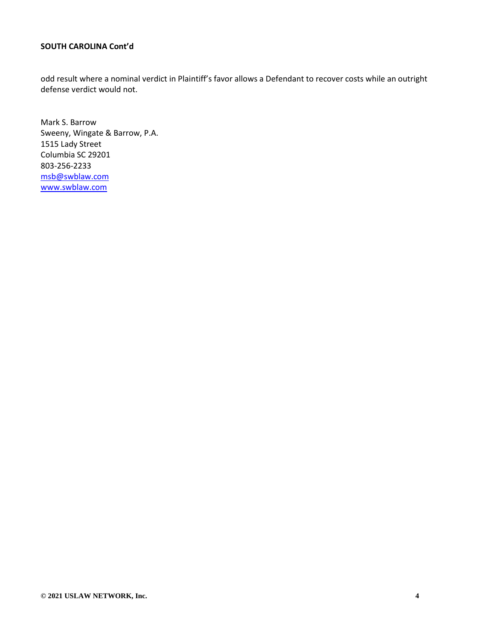# **SOUTH CAROLINA Cont'd**

odd result where a nominal verdict in Plaintiff's favor allows a Defendant to recover costs while an outright defense verdict would not.

Mark S. Barrow Sweeny, Wingate & Barrow, P.A. 1515 Lady Street Columbia SC 29201 803-256-2233 [msb@swblaw.com](mailto:msb@swblaw.com?subject=Email%20from%20SWB%20Website) [www.swblaw.com](http://www.swblaw.com/)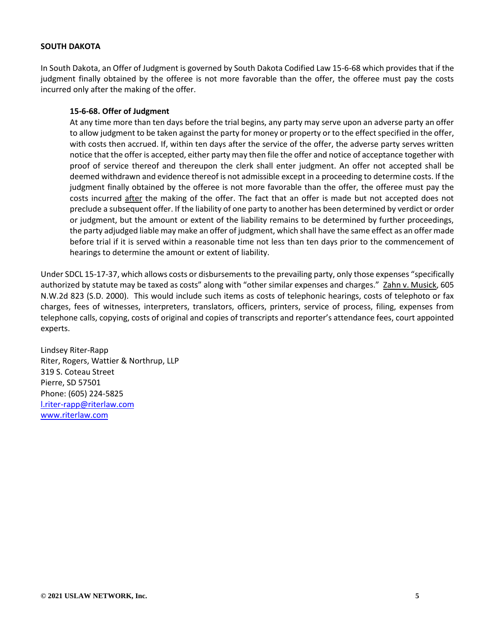### **SOUTH DAKOTA**

In South Dakota, an Offer of Judgment is governed by South Dakota Codified Law 15-6-68 which provides that if the judgment finally obtained by the offeree is not more favorable than the offer, the offeree must pay the costs incurred only after the making of the offer.

# **15-6-68. Offer of Judgment**

At any time more than ten days before the trial begins, any party may serve upon an adverse party an offer to allow judgment to be taken against the party for money or property or to the effect specified in the offer, with costs then accrued. If, within ten days after the service of the offer, the adverse party serves written notice that the offer is accepted, either party may then file the offer and notice of acceptance together with proof of service thereof and thereupon the clerk shall enter judgment. An offer not accepted shall be deemed withdrawn and evidence thereof is not admissible except in a proceeding to determine costs. If the judgment finally obtained by the offeree is not more favorable than the offer, the offeree must pay the costs incurred after the making of the offer. The fact that an offer is made but not accepted does not preclude a subsequent offer. If the liability of one party to another has been determined by verdict or order or judgment, but the amount or extent of the liability remains to be determined by further proceedings, the party adjudged liable may make an offer of judgment, which shall have the same effect as an offer made before trial if it is served within a reasonable time not less than ten days prior to the commencement of hearings to determine the amount or extent of liability.

Under SDCL 15-17-37, which allows costs or disbursements to the prevailing party, only those expenses "specifically authorized by statute may be taxed as costs" along with "other similar expenses and charges." Zahn v. Musick, 605 N.W.2d 823 (S.D. 2000). This would include such items as costs of telephonic hearings, costs of telephoto or fax charges, fees of witnesses, interpreters, translators, officers, printers, service of process, filing, expenses from telephone calls, copying, costs of original and copies of transcripts and reporter's attendance fees, court appointed experts.

Lindsey Riter-Rapp Riter, Rogers, Wattier & Northrup, LLP 319 S. Coteau Street Pierre, SD 57501 Phone: (605) 224-5825 [l.riter-rapp@riterlaw.com](mailto:l.riter-rapp@riterlaw.com) [www.riterlaw.com](http://www.riterlaw.com/)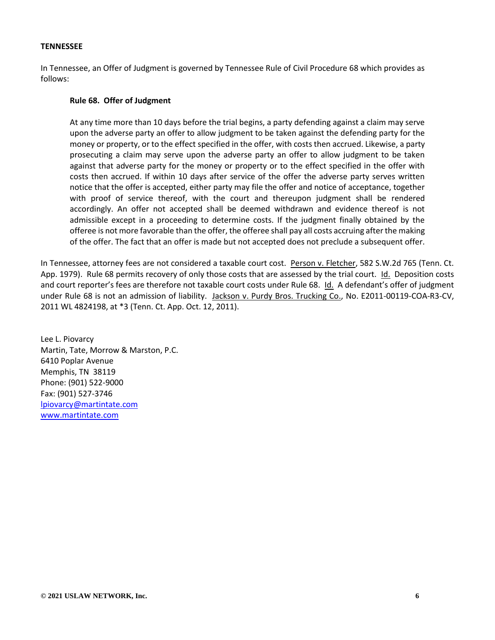### **TENNESSEE**

In Tennessee, an Offer of Judgment is governed by Tennessee Rule of Civil Procedure 68 which provides as follows:

### **Rule 68. Offer of Judgment**

At any time more than 10 days before the trial begins, a party defending against a claim may serve upon the adverse party an offer to allow judgment to be taken against the defending party for the money or property, or to the effect specified in the offer, with costs then accrued. Likewise, a party prosecuting a claim may serve upon the adverse party an offer to allow judgment to be taken against that adverse party for the money or property or to the effect specified in the offer with costs then accrued. If within 10 days after service of the offer the adverse party serves written notice that the offer is accepted, either party may file the offer and notice of acceptance, together with proof of service thereof, with the court and thereupon judgment shall be rendered accordingly. An offer not accepted shall be deemed withdrawn and evidence thereof is not admissible except in a proceeding to determine costs. If the judgment finally obtained by the offeree is not more favorable than the offer, the offeree shall pay all costs accruing after the making of the offer. The fact that an offer is made but not accepted does not preclude a subsequent offer.

In Tennessee, attorney fees are not considered a taxable court cost. Person v. Fletcher, 582 S.W.2d 765 (Tenn. Ct. App. 1979). Rule 68 permits recovery of only those costs that are assessed by the trial court. Id. Deposition costs and court reporter's fees are therefore not taxable court costs under Rule 68. Id. A defendant's offer of judgment under Rule 68 is not an admission of liability. Jackson v. Purdy Bros. Trucking Co., No. E2011-00119-COA-R3-CV, 2011 WL 4824198, at \*3 (Tenn. Ct. App. Oct. 12, 2011).

Lee L. Piovarcy Martin, Tate, Morrow & Marston, P.C. 6410 Poplar Avenue Memphis, TN 38119 Phone: (901) 522-9000 Fax: (901) 527-3746 [lpiovarcy@martintate.com](mailto:lpiovarcy@martintate.com) [www.martintate.com](http://www.martintate.com/)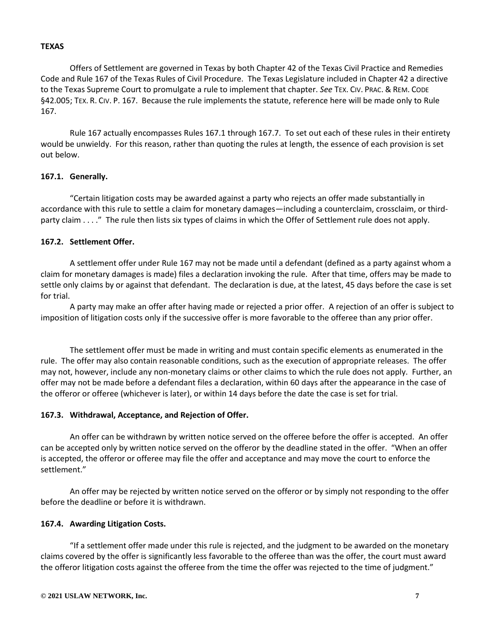# **TEXAS**

Offers of Settlement are governed in Texas by both Chapter 42 of the Texas Civil Practice and Remedies Code and Rule 167 of the Texas Rules of Civil Procedure. The Texas Legislature included in Chapter 42 a directive to the Texas Supreme Court to promulgate a rule to implement that chapter. *See* TEX. CIV. PRAC. & REM. CODE §42.005; TEX. R. CIV. P. 167. Because the rule implements the statute, reference here will be made only to Rule 167.

Rule 167 actually encompasses Rules 167.1 through 167.7. To set out each of these rules in their entirety would be unwieldy. For this reason, rather than quoting the rules at length, the essence of each provision is set out below.

### **167.1. Generally.**

"Certain litigation costs may be awarded against a party who rejects an offer made substantially in accordance with this rule to settle a claim for monetary damages—including a counterclaim, crossclaim, or thirdparty claim . . . ." The rule then lists six types of claims in which the Offer of Settlement rule does not apply.

# **167.2. Settlement Offer.**

A settlement offer under Rule 167 may not be made until a defendant (defined as a party against whom a claim for monetary damages is made) files a declaration invoking the rule. After that time, offers may be made to settle only claims by or against that defendant. The declaration is due, at the latest, 45 days before the case is set for trial.

A party may make an offer after having made or rejected a prior offer. A rejection of an offer is subject to imposition of litigation costs only if the successive offer is more favorable to the offeree than any prior offer.

The settlement offer must be made in writing and must contain specific elements as enumerated in the rule. The offer may also contain reasonable conditions, such as the execution of appropriate releases. The offer may not, however, include any non-monetary claims or other claims to which the rule does not apply. Further, an offer may not be made before a defendant files a declaration, within 60 days after the appearance in the case of the offeror or offeree (whichever is later), or within 14 days before the date the case is set for trial.

### **167.3. Withdrawal, Acceptance, and Rejection of Offer.**

An offer can be withdrawn by written notice served on the offeree before the offer is accepted. An offer can be accepted only by written notice served on the offeror by the deadline stated in the offer. "When an offer is accepted, the offeror or offeree may file the offer and acceptance and may move the court to enforce the settlement."

An offer may be rejected by written notice served on the offeror or by simply not responding to the offer before the deadline or before it is withdrawn.

### **167.4. Awarding Litigation Costs.**

"If a settlement offer made under this rule is rejected, and the judgment to be awarded on the monetary claims covered by the offer is significantly less favorable to the offeree than was the offer, the court must award the offeror litigation costs against the offeree from the time the offer was rejected to the time of judgment."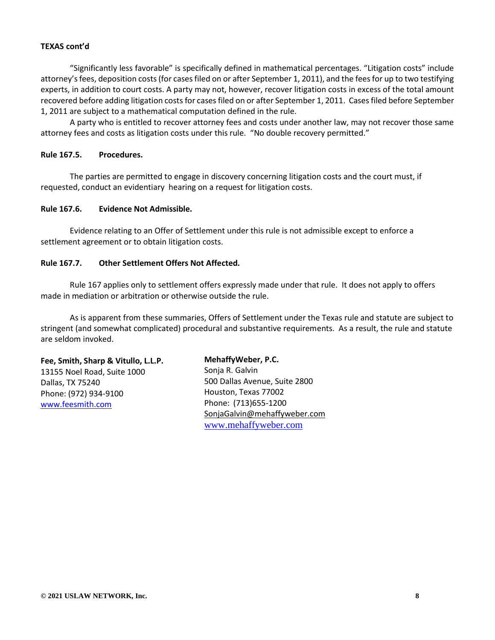# **TEXAS cont'd**

"Significantly less favorable" is specifically defined in mathematical percentages. "Litigation costs" include attorney's fees, deposition costs (for cases filed on or after September 1, 2011), and the fees for up to two testifying experts, in addition to court costs. A party may not, however, recover litigation costs in excess of the total amount recovered before adding litigation costs for cases filed on or after September 1, 2011. Cases filed before September 1, 2011 are subject to a mathematical computation defined in the rule.

A party who is entitled to recover attorney fees and costs under another law, may not recover those same attorney fees and costs as litigation costs under this rule. "No double recovery permitted."

# **Rule 167.5. Procedures.**

The parties are permitted to engage in discovery concerning litigation costs and the court must, if requested, conduct an evidentiary hearing on a request for litigation costs.

### **Rule 167.6. Evidence Not Admissible.**

Evidence relating to an Offer of Settlement under this rule is not admissible except to enforce a settlement agreement or to obtain litigation costs.

# **Rule 167.7. Other Settlement Offers Not Affected.**

Rule 167 applies only to settlement offers expressly made under that rule. It does not apply to offers made in mediation or arbitration or otherwise outside the rule.

As is apparent from these summaries, Offers of Settlement under the Texas rule and statute are subject to stringent (and somewhat complicated) procedural and substantive requirements. As a result, the rule and statute are seldom invoked.

# **Fee, Smith, Sharp & Vitullo, L.L.P.**

13155 Noel Road, Suite 1000 Dallas, TX 75240 Phone: (972) 934-9100 [www.feesmith.com](http://www.feesmith.com/)

### **MehaffyWeber, P.C.**

Sonja R. Galvin 500 Dallas Avenue, Suite 2800 Houston, Texas 77002 Phone: (713)655-1200 [SonjaGalvin@mehaffyweber.com](mailto:SonjaGalvin@mehaffyweber.com) [www.mehaffyweber.com](http://www.mehaffyweber.com/)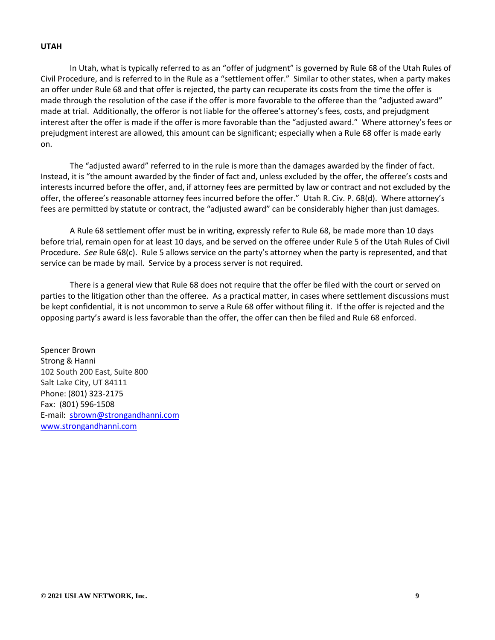## **UTAH**

In Utah, what is typically referred to as an "offer of judgment" is governed by Rule 68 of the Utah Rules of Civil Procedure, and is referred to in the Rule as a "settlement offer." Similar to other states, when a party makes an offer under Rule 68 and that offer is rejected, the party can recuperate its costs from the time the offer is made through the resolution of the case if the offer is more favorable to the offeree than the "adjusted award" made at trial. Additionally, the offeror is not liable for the offeree's attorney's fees, costs, and prejudgment interest after the offer is made if the offer is more favorable than the "adjusted award." Where attorney's fees or prejudgment interest are allowed, this amount can be significant; especially when a Rule 68 offer is made early on.

The "adjusted award" referred to in the rule is more than the damages awarded by the finder of fact. Instead, it is "the amount awarded by the finder of fact and, unless excluded by the offer, the offeree's costs and interests incurred before the offer, and, if attorney fees are permitted by law or contract and not excluded by the offer, the offeree's reasonable attorney fees incurred before the offer." Utah R. Civ. P. 68(d). Where attorney's fees are permitted by statute or contract, the "adjusted award" can be considerably higher than just damages.

A Rule 68 settlement offer must be in writing, expressly refer to Rule 68, be made more than 10 days before trial, remain open for at least 10 days, and be served on the offeree under Rule 5 of the Utah Rules of Civil Procedure. *See* Rule 68(c). Rule 5 allows service on the party's attorney when the party is represented, and that service can be made by mail. Service by a process server is not required.

There is a general view that Rule 68 does not require that the offer be filed with the court or served on parties to the litigation other than the offeree. As a practical matter, in cases where settlement discussions must be kept confidential, it is not uncommon to serve a Rule 68 offer without filing it. If the offer is rejected and the opposing party's award is less favorable than the offer, the offer can then be filed and Rule 68 enforced.

Spencer Brown Strong & Hanni 102 South 200 East, Suite 800 Salt Lake City, UT 84111 Phone: (801) 323-2175 Fax: (801) 596-1508 E-mail: [sbrown@strongandhanni.com](mailto:sbrown@strongandhanni.com) [www.strongandhanni.com](http://www.strongandhanni.com/)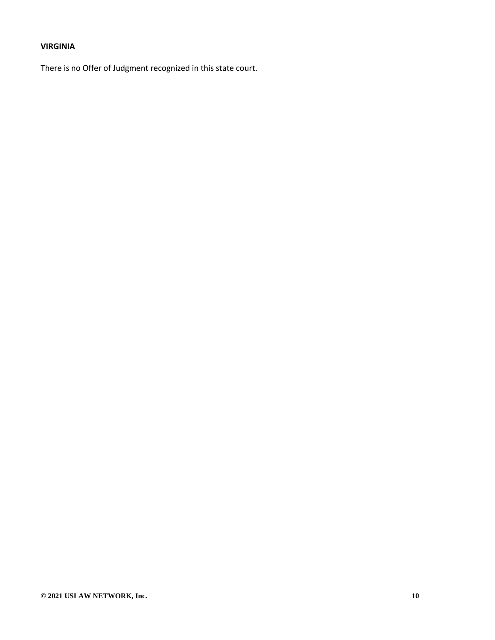# **VIRGINIA**

There is no Offer of Judgment recognized in this state court.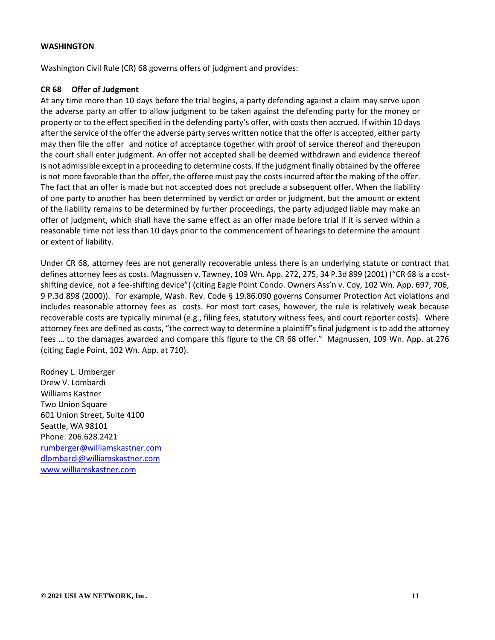# **WASHINGTON**

Washington Civil Rule (CR) 68 governs offers of judgment and provides:

# **CR 68 Offer of Judgment**

At any time more than 10 days before the trial begins, a party defending against a claim may serve upon the adverse party an offer to allow judgment to be taken against the defending party for the money or property or to the effect specified in the defending party's offer, with costs then accrued. If within 10 days after the service of the offer the adverse party serves written notice that the offer is accepted, either party may then file the offer and notice of acceptance together with proof of service thereof and thereupon the court shall enter judgment. An offer not accepted shall be deemed withdrawn and evidence thereof is not admissible except in a proceeding to determine costs. If the judgment finally obtained by the offeree is not more favorable than the offer, the offeree must pay the costs incurred after the making of the offer. The fact that an offer is made but not accepted does not preclude a subsequent offer. When the liability of one party to another has been determined by verdict or order or judgment, but the amount or extent of the liability remains to be determined by further proceedings, the party adjudged liable may make an offer of judgment, which shall have the same effect as an offer made before trial if it is served within a reasonable time not less than 10 days prior to the commencement of hearings to determine the amount or extent of liability.

Under CR 68, attorney fees are not generally recoverable unless there is an underlying statute or contract that defines attorney fees as costs. Magnussen v. Tawney, 109 Wn. App. 272, 275, 34 P.3d 899 (2001) ("CR 68 is a costshifting device, not a fee-shifting device") (citing Eagle Point Condo. Owners Ass'n v. Coy, 102 Wn. App. 697, 706, 9 P.3d 898 (2000)). For example, Wash. Rev. Code § 19.86.090 governs Consumer Protection Act violations and includes reasonable attorney fees as costs. For most tort cases, however, the rule is relatively weak because recoverable costs are typically minimal (e.g., filing fees, statutory witness fees, and court reporter costs). Where attorney fees are defined as costs, "the correct way to determine a plaintiff's final judgment is to add the attorney fees … to the damages awarded and compare this figure to the CR 68 offer." Magnussen, 109 Wn. App. at 276 (citing Eagle Point, 102 Wn. App. at 710).

Rodney L. Umberger Drew V. Lombardi Williams Kastner Two Union Square 601 Union Street, Suite 4100 Seattle, WA 98101 Phone: 206.628.2421 [rumberger@williamskastner.com](mailto:rumberger@williamskastner.com) [dlombardi@williamskastner.com](mailto:dlombardi@williamskastner.com) [www.williamskastner.com](http://www.williamskastner.com/)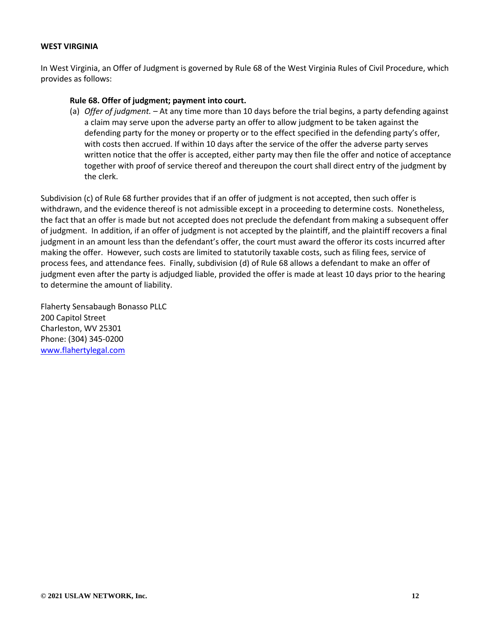## **WEST VIRGINIA**

In West Virginia, an Offer of Judgment is governed by Rule 68 of the West Virginia Rules of Civil Procedure, which provides as follows:

# **Rule 68. Offer of judgment; payment into court.**

(a) *Offer of judgment.* – At any time more than 10 days before the trial begins, a party defending against a claim may serve upon the adverse party an offer to allow judgment to be taken against the defending party for the money or property or to the effect specified in the defending party's offer, with costs then accrued. If within 10 days after the service of the offer the adverse party serves written notice that the offer is accepted, either party may then file the offer and notice of acceptance together with proof of service thereof and thereupon the court shall direct entry of the judgment by the clerk.

Subdivision (c) of Rule 68 further provides that if an offer of judgment is not accepted, then such offer is withdrawn, and the evidence thereof is not admissible except in a proceeding to determine costs. Nonetheless, the fact that an offer is made but not accepted does not preclude the defendant from making a subsequent offer of judgment. In addition, if an offer of judgment is not accepted by the plaintiff, and the plaintiff recovers a final judgment in an amount less than the defendant's offer, the court must award the offeror its costs incurred after making the offer. However, such costs are limited to statutorily taxable costs, such as filing fees, service of process fees, and attendance fees. Finally, subdivision (d) of Rule 68 allows a defendant to make an offer of judgment even after the party is adjudged liable, provided the offer is made at least 10 days prior to the hearing to determine the amount of liability.

Flaherty Sensabaugh Bonasso PLLC 200 Capitol Street Charleston, WV 25301 Phone: (304) 345-0200 [www.flahertylegal.com](http://www.flahertylegal.com/)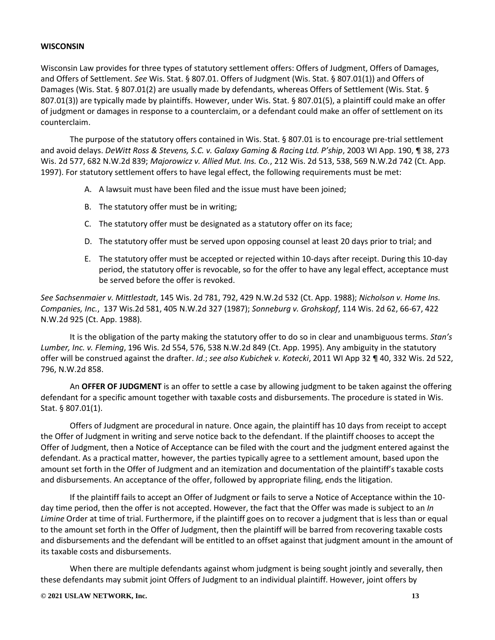## **WISCONSIN**

Wisconsin Law provides for three types of statutory settlement offers: Offers of Judgment, Offers of Damages, and Offers of Settlement. *See* Wis. Stat. § 807.01. Offers of Judgment (Wis. Stat. § 807.01(1)) and Offers of Damages (Wis. Stat. § 807.01(2) are usually made by defendants, whereas Offers of Settlement (Wis. Stat. § 807.01(3)) are typically made by plaintiffs. However, under Wis. Stat. § 807.01(5), a plaintiff could make an offer of judgment or damages in response to a counterclaim, or a defendant could make an offer of settlement on its counterclaim.

The purpose of the statutory offers contained in Wis. Stat. § 807.01 is to encourage pre-trial settlement and avoid delays. *DeWitt Ross & Stevens, S.C. v. Galaxy Gaming & Racing Ltd. P'ship*, 2003 WI App. 190, ¶ 38, 273 Wis. 2d 577, 682 N.W.2d 839; *Majorowicz v. Allied Mut. Ins. Co.*, 212 Wis. 2d 513, 538, 569 N.W.2d 742 (Ct. App. 1997). For statutory settlement offers to have legal effect, the following requirements must be met:

- A. A lawsuit must have been filed and the issue must have been joined;
- B. The statutory offer must be in writing;
- C. The statutory offer must be designated as a statutory offer on its face;
- D. The statutory offer must be served upon opposing counsel at least 20 days prior to trial; and
- E. The statutory offer must be accepted or rejected within 10-days after receipt. During this 10-day period, the statutory offer is revocable, so for the offer to have any legal effect, acceptance must be served before the offer is revoked.

*See Sachsenmaier v. Mittlestadt*, 145 Wis. 2d 781, 792, 429 N.W.2d 532 (Ct. App. 1988); *Nicholson v. Home Ins. Companies, Inc.*, 137 Wis.2d 581, 405 N.W.2d 327 (1987); *Sonneburg v. Grohskopf*, 114 Wis. 2d 62, 66-67, 422 N.W.2d 925 (Ct. App. 1988).

It is the obligation of the party making the statutory offer to do so in clear and unambiguous terms. *Stan's Lumber, Inc. v. Fleming*, 196 Wis. 2d 554, 576, 538 N.W.2d 849 (Ct. App. 1995). Any ambiguity in the statutory offer will be construed against the drafter. *Id*.; *see also Kubichek v. Kotecki*, 2011 WI App 32 ¶ 40, 332 Wis. 2d 522, 796, N.W.2d 858.

An **OFFER OF JUDGMENT** is an offer to settle a case by allowing judgment to be taken against the offering defendant for a specific amount together with taxable costs and disbursements. The procedure is stated in Wis. Stat. § 807.01(1).

Offers of Judgment are procedural in nature. Once again, the plaintiff has 10 days from receipt to accept the Offer of Judgment in writing and serve notice back to the defendant. If the plaintiff chooses to accept the Offer of Judgment, then a Notice of Acceptance can be filed with the court and the judgment entered against the defendant. As a practical matter, however, the parties typically agree to a settlement amount, based upon the amount set forth in the Offer of Judgment and an itemization and documentation of the plaintiff's taxable costs and disbursements. An acceptance of the offer, followed by appropriate filing, ends the litigation.

If the plaintiff fails to accept an Offer of Judgment or fails to serve a Notice of Acceptance within the 10 day time period, then the offer is not accepted. However, the fact that the Offer was made is subject to an *In Limine* Order at time of trial. Furthermore, if the plaintiff goes on to recover a judgment that is less than or equal to the amount set forth in the Offer of Judgment, then the plaintiff will be barred from recovering taxable costs and disbursements and the defendant will be entitled to an offset against that judgment amount in the amount of its taxable costs and disbursements.

When there are multiple defendants against whom judgment is being sought jointly and severally, then these defendants may submit joint Offers of Judgment to an individual plaintiff. However, joint offers by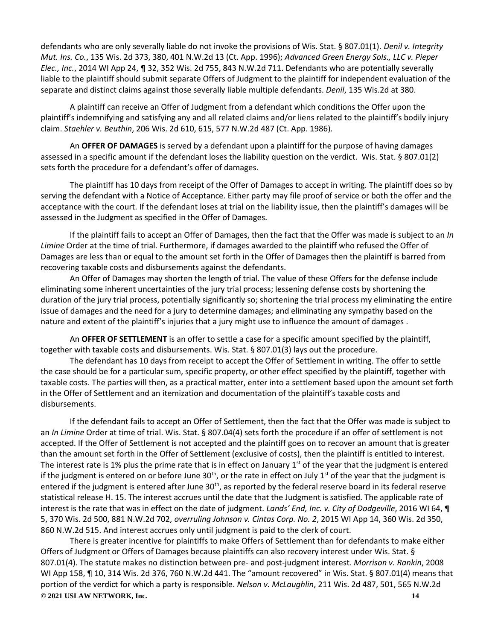defendants who are only severally liable do not invoke the provisions of Wis. Stat. § 807.01(1). *Denil v. Integrity Mut. Ins. Co.*, 135 Wis. 2d 373, 380, 401 N.W.2d 13 (Ct. App. 1996); *Advanced Green Energy Sols., LLC v. Pieper Elec., Inc.*, 2014 WI App 24, ¶ 32, 352 Wis. 2d 755, 843 N.W.2d 711. Defendants who are potentially severally liable to the plaintiff should submit separate Offers of Judgment to the plaintiff for independent evaluation of the separate and distinct claims against those severally liable multiple defendants. *Denil*, 135 Wis.2d at 380.

A plaintiff can receive an Offer of Judgment from a defendant which conditions the Offer upon the plaintiff's indemnifying and satisfying any and all related claims and/or liens related to the plaintiff's bodily injury claim. *Staehler v. Beuthin*, 206 Wis. 2d 610, 615, 577 N.W.2d 487 (Ct. App. 1986).

An **OFFER OF DAMAGES** is served by a defendant upon a plaintiff for the purpose of having damages assessed in a specific amount if the defendant loses the liability question on the verdict. Wis. Stat. § 807.01(2) sets forth the procedure for a defendant's offer of damages.

The plaintiff has 10 days from receipt of the Offer of Damages to accept in writing. The plaintiff does so by serving the defendant with a Notice of Acceptance. Either party may file proof of service or both the offer and the acceptance with the court. If the defendant loses at trial on the liability issue, then the plaintiff's damages will be assessed in the Judgment as specified in the Offer of Damages.

If the plaintiff fails to accept an Offer of Damages, then the fact that the Offer was made is subject to an *In Limine* Order at the time of trial. Furthermore, if damages awarded to the plaintiff who refused the Offer of Damages are less than or equal to the amount set forth in the Offer of Damages then the plaintiff is barred from recovering taxable costs and disbursements against the defendants.

An Offer of Damages may shorten the length of trial. The value of these Offers for the defense include eliminating some inherent uncertainties of the jury trial process; lessening defense costs by shortening the duration of the jury trial process, potentially significantly so; shortening the trial process my eliminating the entire issue of damages and the need for a jury to determine damages; and eliminating any sympathy based on the nature and extent of the plaintiff's injuries that a jury might use to influence the amount of damages .

An **OFFER OF SETTLEMENT** is an offer to settle a case for a specific amount specified by the plaintiff, together with taxable costs and disbursements. Wis. Stat. § 807.01(3) lays out the procedure.

The defendant has 10 days from receipt to accept the Offer of Settlement in writing. The offer to settle the case should be for a particular sum, specific property, or other effect specified by the plaintiff, together with taxable costs. The parties will then, as a practical matter, enter into a settlement based upon the amount set forth in the Offer of Settlement and an itemization and documentation of the plaintiff's taxable costs and disbursements.

If the defendant fails to accept an Offer of Settlement, then the fact that the Offer was made is subject to an *In Limine* Order at time of trial. Wis. Stat. § 807.04(4) sets forth the procedure if an offer of settlement is not accepted. If the Offer of Settlement is not accepted and the plaintiff goes on to recover an amount that is greater than the amount set forth in the Offer of Settlement (exclusive of costs), then the plaintiff is entitled to interest. The interest rate is 1% plus the prime rate that is in effect on January 1st of the year that the judgment is entered if the judgment is entered on or before June  $30<sup>th</sup>$ , or the rate in effect on July  $1<sup>st</sup>$  of the year that the judgment is entered if the judgment is entered after June 30<sup>th</sup>, as reported by the federal reserve board in its federal reserve statistical release H. 15. The interest accrues until the date that the Judgment is satisfied. The applicable rate of interest is the rate that was in effect on the date of judgment. *Lands' End, Inc. v. City of Dodgeville*, 2016 WI 64, ¶ 5, 370 Wis. 2d 500, 881 N.W.2d 702, *overruling Johnson v. Cintas Corp. No. 2*, 2015 WI App 14, 360 Wis. 2d 350, 860 N.W.2d 515. And interest accrues only until judgment is paid to the clerk of court.

**© 2021 USLAW NETWORK, Inc. 14** There is greater incentive for plaintiffs to make Offers of Settlement than for defendants to make either Offers of Judgment or Offers of Damages because plaintiffs can also recovery interest under Wis. Stat. § 807.01(4). The statute makes no distinction between pre- and post-judgment interest. *Morrison v. Rankin*, 2008 WI App 158, ¶ 10, 314 Wis. 2d 376, 760 N.W.2d 441. The "amount recovered" in Wis. Stat. § 807.01(4) means that portion of the verdict for which a party is responsible. *Nelson v. McLaughlin*, 211 Wis. 2d 487, 501, 565 N.W.2d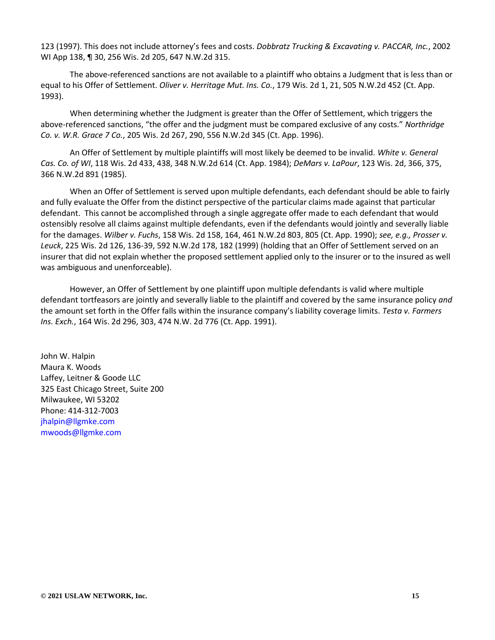123 (1997). This does not include attorney's fees and costs. *Dobbratz Trucking & Excavating v. PACCAR, Inc.*, 2002 WI App 138, ¶ 30, 256 Wis. 2d 205, 647 N.W.2d 315.

The above-referenced sanctions are not available to a plaintiff who obtains a Judgment that is less than or equal to his Offer of Settlement. *Oliver v. Herritage Mut. Ins. Co.*, 179 Wis. 2d 1, 21, 505 N.W.2d 452 (Ct. App. 1993).

When determining whether the Judgment is greater than the Offer of Settlement, which triggers the above-referenced sanctions, "the offer and the judgment must be compared exclusive of any costs." *Northridge Co. v. W.R. Grace 7 Co.*, 205 Wis. 2d 267, 290, 556 N.W.2d 345 (Ct. App. 1996).

An Offer of Settlement by multiple plaintiffs will most likely be deemed to be invalid. *White v. General Cas. Co. of WI*, 118 Wis. 2d 433, 438, 348 N.W.2d 614 (Ct. App. 1984); *DeMars v. LaPour*, 123 Wis. 2d, 366, 375, 366 N.W.2d 891 (1985).

When an Offer of Settlement is served upon multiple defendants, each defendant should be able to fairly and fully evaluate the Offer from the distinct perspective of the particular claims made against that particular defendant. This cannot be accomplished through a single aggregate offer made to each defendant that would ostensibly resolve all claims against multiple defendants, even if the defendants would jointly and severally liable for the damages. *Wilber v. Fuchs*, 158 Wis. 2d 158, 164, 461 N.W.2d 803, 805 (Ct. App. 1990); *see, e.g., Prosser v. Leuck*, 225 Wis. 2d 126, 136-39, 592 N.W.2d 178, 182 (1999) (holding that an Offer of Settlement served on an insurer that did not explain whether the proposed settlement applied only to the insurer or to the insured as well was ambiguous and unenforceable).

However, an Offer of Settlement by one plaintiff upon multiple defendants is valid where multiple defendant tortfeasors are jointly and severally liable to the plaintiff and covered by the same insurance policy *and*  the amount set forth in the Offer falls within the insurance company's liability coverage limits. *Testa v. Farmers Ins. Exch.*, 164 Wis. 2d 296, 303, 474 N.W. 2d 776 (Ct. App. 1991).

John W. Halpin Maura K. Woods Laffey, Leitner & Goode LLC 325 East Chicago Street, Suite 200 Milwaukee, WI 53202 Phone: 414-312-7003 jhalpin@llgmke.com mwoods@llgmke.com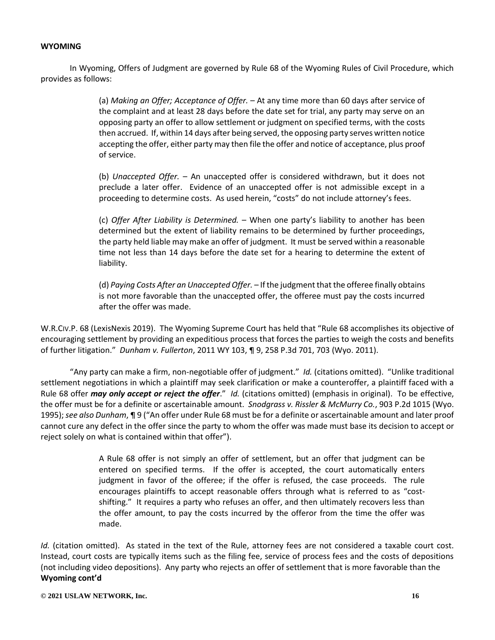## **WYOMING**

In Wyoming, Offers of Judgment are governed by Rule 68 of the Wyoming Rules of Civil Procedure, which provides as follows:

> (a) *Making an Offer; Acceptance of Offer.* – At any time more than 60 days after service of the complaint and at least 28 days before the date set for trial, any party may serve on an opposing party an offer to allow settlement or judgment on specified terms, with the costs then accrued. If, within 14 days after being served, the opposing party serves written notice accepting the offer, either party may then file the offer and notice of acceptance, plus proof of service.

> (b) *Unaccepted Offer.* – An unaccepted offer is considered withdrawn, but it does not preclude a later offer. Evidence of an unaccepted offer is not admissible except in a proceeding to determine costs. As used herein, "costs" do not include attorney's fees.

> (c) *Offer After Liability is Determined.* – When one party's liability to another has been determined but the extent of liability remains to be determined by further proceedings, the party held liable may make an offer of judgment. It must be served within a reasonable time not less than 14 days before the date set for a hearing to determine the extent of liability.

> (d) *Paying Costs After an Unaccepted Offer.* – If the judgment that the offeree finally obtains is not more favorable than the unaccepted offer, the offeree must pay the costs incurred after the offer was made.

W.R.CIV.P. 68 (LexisNexis 2019). The Wyoming Supreme Court has held that "Rule 68 accomplishes its objective of encouraging settlement by providing an expeditious process that forces the parties to weigh the costs and benefits of further litigation." *Dunham v. Fullerton*, 2011 WY 103, ¶ 9, 258 P.3d 701, 703 (Wyo. 2011).

"Any party can make a firm, non-negotiable offer of judgment." *Id.* (citations omitted). "Unlike traditional settlement negotiations in which a plaintiff may seek clarification or make a counteroffer, a plaintiff faced with a Rule 68 offer *may only accept or reject the offer*." *Id.* (citations omitted) (emphasis in original). To be effective, the offer must be for a definite or ascertainable amount. *Snodgrass v. Rissler & McMurry Co.*, 903 P.2d 1015 (Wyo. 1995); *see also Dunham*, ¶ 9 ("An offer under Rule 68 must be for a definite or ascertainable amount and later proof cannot cure any defect in the offer since the party to whom the offer was made must base its decision to accept or reject solely on what is contained within that offer").

> A Rule 68 offer is not simply an offer of settlement, but an offer that judgment can be entered on specified terms. If the offer is accepted, the court automatically enters judgment in favor of the offeree; if the offer is refused, the case proceeds. The rule encourages plaintiffs to accept reasonable offers through what is referred to as "costshifting." It requires a party who refuses an offer, and then ultimately recovers less than the offer amount, to pay the costs incurred by the offeror from the time the offer was made.

*Id.* (citation omitted). As stated in the text of the Rule, attorney fees are not considered a taxable court cost. Instead, court costs are typically items such as the filing fee, service of process fees and the costs of depositions (not including video depositions). Any party who rejects an offer of settlement that is more favorable than the **Wyoming cont'd**

## **© 2021 USLAW NETWORK, Inc. 16**